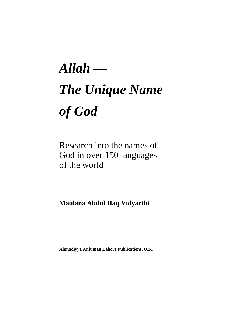*Allah —* 

# *The Unique Name of God*

## Research into the names of God in over 150 languages of the world

### **Maulana Abdul Haq Vidyarthi**

**Ahmadiyya Anjuman Lahore Publications, U.K.**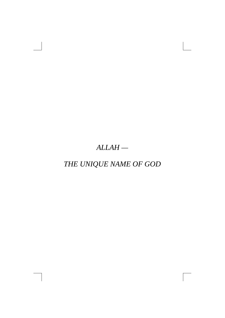### *ALLAH —*

### *THE UNIQUE NAME OF GOD*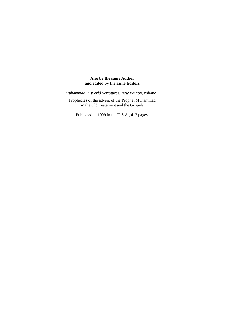#### **Also by the same Author and edited by the same Editors**

*Muhammad in World Scriptures, New Edition, volume 1*

Prophecies of the advent of the Prophet Muhammad in the Old Testament and the Gospels

Published in 1999 in the U.S.A., 412 pages.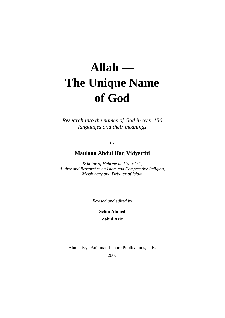# **Allah — The Unique Name of God**

*Research into the names of God in over 150 languages and their meanings* 

*by*

### **Maulana Abdul Haq Vidyarthi**

*Scholar of Hebrew and Sanskrit, Author and Researcher on Islam and Comparative Religion, Missionary and Debater of Islam* 

*Revised and edited by* 

**Selim Ahmed Zahid Aziz** 

Ahmadiyya Anjuman Lahore Publications, U.K.

2007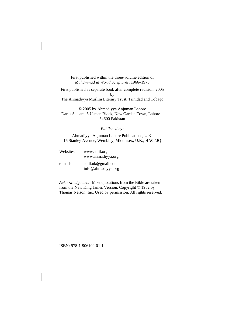First published within the three-volume edition of *Muhammad in World Scriptures,* 1966–1975

First published as separate book after complete revision, 2005 by The Ahmadiyya Muslim Literary Trust, Trinidad and Tobago

© 2005 by Ahmadiyya Anjuman Lahore Darus Salaam, 5 Usman Block, New Garden Town, Lahore – 54600 Pakistan

*Published by:* 

Ahmadiyya Anjuman Lahore Publications, U.K. 15 Stanley Avenue, Wembley, Middlesex, U.K., HA0 4JQ

Websites: www.aaiil.org www.ahmadiyya.org e-mails: aaiil.uk@gmail.com info@ahmadiyya.org

*Acknowledgement:* Most quotations from the Bible are taken from the New King James Version. Copyright © 1982 by Thomas Nelson, Inc. Used by permission. All rights reserved.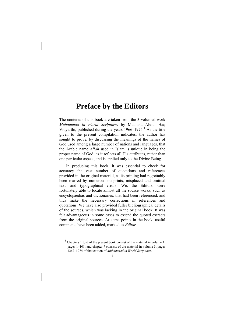### **Preface by the Editors**

The contents of this book are taken from the 3-volumed work *Muhammad in World Scriptures* by Maulana Abdul Haq Vidyarthi, published during the years  $1966 - 1975$  $1966 - 1975$ .<sup>1</sup> As the title given to the present compilation indicates, the author has sought to prove, by discussing the meanings of the names of God used among a large number of nations and languages, that the Arabic name *Allah* used in Islam is unique in being the proper name of God, as it reflects all His attributes, rather than one particular aspect, and is applied only to the Divine Being.

In producing this book, it was essential to check for accuracy the vast number of quotations and references provided in the original material, as its printing had regrettably been marred by numerous misprints, misplaced and omitted text, and typographical errors. We, the Editors, were fortunately able to locate almost all the source works, such as encyclopaedias and dictionaries, that had been referenced, and thus make the necessary corrections in references and quotations. We have also provided fuller bibliographical details of the sources, which was lacking in the original book. It was felt advantageous in some cases to extend the quoted extracts from the original sources. At some points in the book, useful comments have been added, marked as *Editor.*

<span id="page-5-0"></span> $<sup>1</sup>$  Chapters 1 to 6 of the present book consist of the material in volume 1,</sup> pages 1–101, and chapter 7 consists of the material in volume 3, pages 1262–1274 of that edition of *Muhammad in World Scriptures*.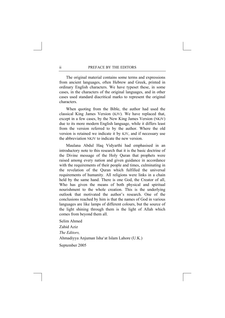The original material contains some terms and expressions from ancient languages, often Hebrew and Greek, printed in ordinary English characters. We have typeset these, in some cases, in the characters of the original languages, and in other cases used standard diacritical marks to represent the original characters.

When quoting from the Bible, the author had used the classical King James Version (KJV). We have replaced that, except in a few cases, by the New King James Version (NKJV) due to its more modern English language, while it differs least from the version referred to by the author. Where the old version is retained we indicate it by KJV, and if necessary use the abbreviation NKJV to indicate the new version.

Maulana Abdul Haq Vidyarthi had emphasised in an introductory note to this research that it is the basic doctrine of the Divine message of the Holy Quran that prophets were raised among every nation and given guidance in accordance with the requirements of their people and times, culminating in the revelation of the Quran which fulfilled the universal requirements of humanity. All religions were links in a chain held by the same hand. There is one God, the Creator of all, Who has given the means of both physical and spiritual nourishment to the whole creation. This is the underlying outlook that motivated the author's research. One of the conclusions reached by him is that the names of God in various languages are like lamps of different colours, but the source of the light shining through them is the light of Allah which comes from beyond them all.

Selim Ahmed Zahid Aziz *The Editors,* Ahmadiyya Anjuman Isha'at Islam Lahore (U.K.) September 2005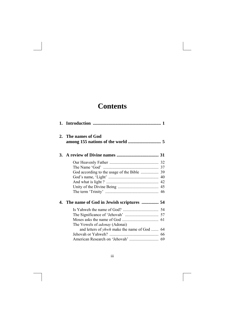### **Contents**

| 2. | The names of God                                    |  |
|----|-----------------------------------------------------|--|
|    |                                                     |  |
|    |                                                     |  |
|    |                                                     |  |
|    |                                                     |  |
|    |                                                     |  |
|    |                                                     |  |
|    |                                                     |  |
|    |                                                     |  |
|    | 4. The name of God in Jewish scriptures  54         |  |
|    |                                                     |  |
|    |                                                     |  |
|    |                                                     |  |
|    | The Vowels of <i>adonay</i> (Adonai)                |  |
|    | and letters of <i>yhwh</i> make the name of God  64 |  |
|    |                                                     |  |
|    |                                                     |  |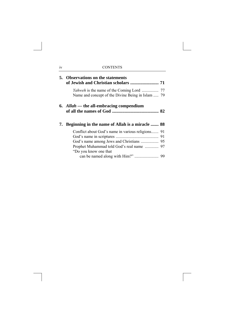|    | 5. Observations on the statements                 |  |
|----|---------------------------------------------------|--|
|    | Name and concept of the Divine Being in Islam  79 |  |
|    | 6. Allah — the all-embracing compendium           |  |
| 7. | Beginning in the name of Allah is a miracle  88   |  |
|    |                                                   |  |
|    |                                                   |  |
|    | God's name among Jews and Christians  95          |  |
|    | Prophet Muhammad told God's real name  97         |  |
|    | "Do you know one that                             |  |
|    |                                                   |  |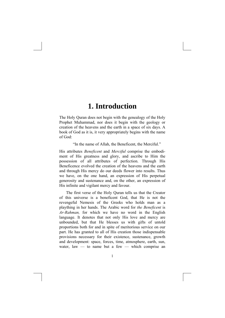### **1. Introduction**

The Holy Quran does not begin with the genealogy of the Holy Prophet Muhammad, nor does it begin with the geology or creation of the heavens and the earth in a space of six days. A book of God as it is, it very appropriately begins with the name of God:

"In the name of Allah, the Beneficent, the Merciful."

His attributes *Beneficent* and *Merciful* comprise the embodiment of His greatness and glory, and ascribe to Him the possession of all attributes of perfection. Through His Beneficence evolved the creation of the heavens and the earth and through His mercy do our deeds flower into results. Thus we have, on the one hand, an expression of His perpetual generosity and sustenance and, on the other, an expression of His infinite and vigilant mercy and favour.

The first verse of the Holy Quran tells us that the Creator of this universe is a beneficent God, that He is not the revengeful Nemesis of the Greeks who holds man as a plaything in her hands. The Arabic word for *the Beneficent* is *Ar-Rahman,* for which we have no word in the English language. It denotes that not only His love and mercy are unbounded, but that He blesses us with gifts of untold proportions both for and in spite of meritorious service on our part. He has granted to all of His creation those indispensable provisions necessary for their existence, sustenance, growth and development: space, forces, time, atmosphere, earth, sun, water, law  $-$  to name but a few  $-$  which comprise an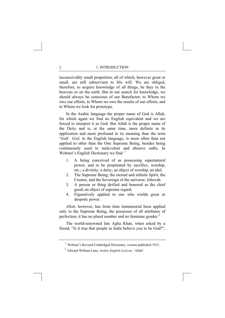inconceivably small proportion, all of which, however great or small, are still subservient to His will. We are obliged, therefore, to acquire knowledge of all things, be they in the heavens or on the earth. But in our search for knowledge, we should always be conscious of our Benefactor, to Whom we owe our efforts, to Whom we owe the results of our efforts, and to Whom we look for prototype.

In the Arabic language the proper name of God is Allah, for which again we find no English equivalent and we are forced to interpret it as God. But Allah is the proper name of the Deity and is, at the same time, more definite in its application and more profound in its meaning than the term 'God'. *God,* in the English language, is more often than not applied to other than the One Supreme Being, besides being continuously used in malevolent and abusive oaths. In Webster's English Dictionary we find: <sup>[1](#page-10-0)</sup>

- 1. A being conceived of as possessing supernatural power, and to be propitiated by sacrifice, worship, etc.; a divinity; a deity; an object of worship; an idol.
- 2. The Supreme Being; the eternal and infinite Spirit, the Creator, and the Sovereign of the universe; Jehovah.
- 3. A person or thing deified and honored as the chief good; an object of supreme regard.
- 4. Figuratively applied to one who wields great or despotic power.

*Allah,* however, has from time immemorial been applied only to the Supreme Being, the possessor of all attributes of perfection; it has no plural number and no feminine gender.<sup>[2](#page-10-1)</sup>

<span id="page-10-0"></span>The world-renowned late Agha Khan, when asked by a friend, "Is it true that people in India believe you to be God?",

<span id="page-10-1"></span><sup>1</sup> Webster's Revised Unabridged Dictionary, version published 1913.

<sup>2</sup> Edward William Lane, *Arabic-English Lexicon,* 'Allah'.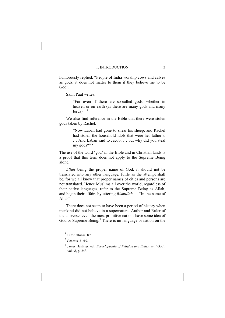humorously replied: "People of India worship cows and calves as gods; it does not matter to them if they believe me to be God".

Saint Paul writes:

"For even if there are so-called gods, whether in heaven or on earth (as there are many gods and many lords)". $1$ 

We also find reference in the Bible that there were stolen gods taken by Rachel:

> "Now Laban had gone to shear his sheep, and Rachel had stolen the household idols that were her father's. … And Laban said to Jacob: … but why did you steal my gods?" [2](#page-11-1)

The use of the word 'god' in the Bible and in Christian lands is a proof that this term does not apply to the Supreme Being alone.

*Allah* being the proper name of God, it should not be translated into any other language, futile as the attempt shall be, for we all know that proper names of cities and persons are not translated. Hence Muslims all over the world, regardless of their native languages, refer to the Supreme Being as Allah, and begin their affairs by uttering *Bismillah* — "In the name of Allah".

There does not seem to have been a period of history when mankind did not believe in a supernatural Author and Ruler of the universe; even the most primitive nations have some idea of God or Supreme Being.<sup>[3](#page-11-2)</sup> There is no language or nation on the

<span id="page-11-0"></span> $<sup>1</sup>$  1 Corinthians, 8:5.</sup>

<span id="page-11-1"></span> $<sup>2</sup>$  Genesis, 31:19.</sup>

<span id="page-11-2"></span><sup>3</sup> James Hastings, ed., *Encyclopaedia of Religion and Ethics,* art. 'God', vol. vi, p. 243.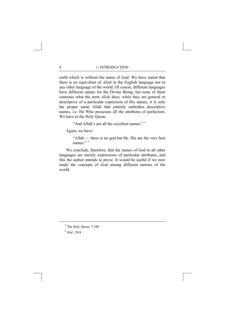earth which is without the name of God. We have stated that there is no equivalent of *Allah* in the English language nor in any other language of the world. Of course, different languages have different names for the Divine Being, but none of them connotes what the term *Allah* does; while they are general or descriptive of a particular expression of His nature, it is only the proper name Allah that entirely embodies descriptive names, i.e. He Who possesses all the attributes of perfection. We have in the Holy Quran:

"And Allah's are all the excellent names."  $1$ 

Again, we have:

"Allah — there is no god but He. His are the very best names<sup>"</sup>

We conclude, therefore, that the names of God in all other languages are merely expressions of particular attributes, and this the author intends to prove. It would be useful if we now study the concepts of God among different nations of the world.

<span id="page-12-0"></span> $<sup>1</sup>$  The Holy Quran, 7:180.</sup>

<span id="page-12-1"></span> $^{2}$  *Ibid.*, 20:8.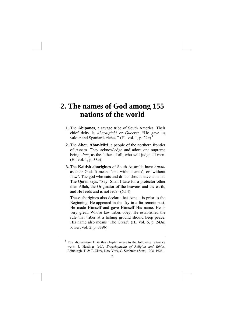### **2. The names of God among 155 nations of the world**

- **1.** The **Abipones**, a savage tribe of South America. Their chief deity is *Aharaigichi* or *Queevet.* "He gave us valour and Spaniards riches."  $(H., vol, 1, p, 29a)^1$  $(H., vol, 1, p, 29a)^1$  $(H., vol, 1, p, 29a)^1$
- **2.** The **Abor**, **Abor-Miri**, a people of the northern frontier of Assam. They acknowledge and adore one supreme being, *Jam*, as the father of all, who will judge all men. (H., vol. 1, p. 33*a*)
- **3.** The **Kaitish aborigines** of South Australia have *Atnatu* as their God. It means 'one without anus', or 'without flaw'. The god who eats and drinks should have an anus. The Quran says: "Say: Shall I take for a protector other than Allah, the Originator of the heavens and the earth, and He feeds and is not fed?" (6:14)

These aborigines also declare that Atnatu is prior to the Beginning. He appeared in the sky in a far remote past. He made Himself and gave Himself His name. He is very great, Whose law tribes obey. He established the rule that tribes at a fishing ground should keep peace. His name also means 'The Great'. (H., vol. 6, p. 243*a*, lower; vol. 2, p. 889*b*)

<span id="page-13-0"></span><sup>&</sup>lt;sup>1</sup> The abbreviation H in this chapter refers to the following reference work: J. Hastings (ed.), *Encyclopaedia of Religion and Ethics*, Edinburgh, T. & T. Clark, New York, C. Scribner's Sons, 1908–1926.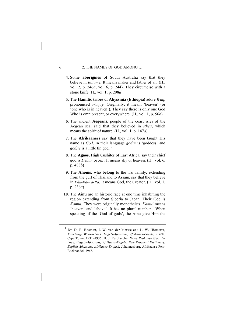- **4.** Some **aborigines** of South Australia say that they believe in *Baiame.* It means maker and father of all. (H., vol. 2, p. 246*a*; vol. 6, p. 244). They circumcise with a stone knife (H., vol. 1, p. 298*a*).
- **5.** The **Hamitic tribes of Abyssinia (Ethiopia)** adore *Waq*, pronounced *Waqay*. Originally, it meant 'heaven' (or 'one who is in heaven'). They say there is only one God Who is omnipresent, or everywhere. (H., vol. 1, p. 56*b*)
- **6.** The ancient **Aegeans**, people of the coast isles of the Aegean sea, said that they believed in *Rhea*, which means the spirit of nature. (H., vol. 1, p. 147*a*)
- **7.** The **Afrikaaners** say that they have been taught His name as *God*. In their language *godin* is 'goddess' and *godjie* is a little tin god.<sup>[1](#page-14-0)</sup>
- **8.** The **Agaos**, High Cushites of East Africa, say their chief god is *Deban* or *Jar.* It means sky or heaven. (H., vol. 6, p. 488*b*)
- **9.** The **Ahoms**, who belong to the Tai family, extending from the gulf of Thailand to Assam, say that they believe in *Phu-Ra-Ta-Ra*. It means God, the Creator. (H., vol. 1, p. 236*a*)
- **10.** The **Ainu** are an historic race at one time inhabiting the region extending from Siberia to Japan. Their God is *Kamui.* They were originally monotheists. *Kamui* means 'heaven' and 'above'. It has no plural number. "When speaking of the 'God of gods', the Ainu give Him the

<span id="page-14-0"></span><sup>1</sup> Dr. D. B. Bosman, I. W. van der Merwe and L. W. Hiemstra, *Tweetalige Woordeboek: Engels-Afrikaans, Afrikaans-Engels*, 2 vols, Cape Town, 1931–1936; H. J. Terblanche, *Nuwe Praktiese Woordeboek, Engels-Afrikaans, Afrikaans-Engels: New Practical Dictionary, English-Afrikaans, Afrikaans-English*, Johannesburg, Afrikaanse Pers-Boekhandel, 1966.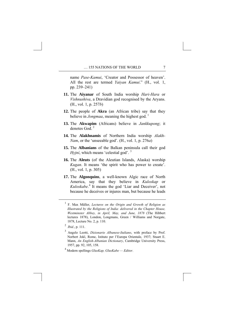name *Pase-Kamui*, 'Creator and Possessor of heaven'. All the rest are termed *Yaiyan Kamui*." (H., vol. 1, pp. 239–241)

- **11.** The **Aiyanar** of South India worship *Hari-Hara* or *Vishnushiva*, a Dravidian god recognised by the Aryans. (H., vol. 1, p. 257*b*)
- **12.** The people of **Akra** (an African tribe) say that they believe in *Jongmaa*, meaning the highest god.<sup>[1](#page-15-0)</sup>
- **13.** The **Akwapim** (Africans) believe in *Jankkupong*; it denotes God $^2$  $^2$
- **14.** The **Alakhnamis** of Northern India worship *Alakh-Nam*, or the 'unseeable god'. (H., vol. 1, p. 276*a*)
- **15.** The **Albanians** of the Balkan peninsula call their god *Hyjní*, which means 'celestial god'.<sup>[3](#page-15-2)</sup>
- **16.** The **Aleuts** (of the Aleutian Islands, Alaska) worship *Kugan*. It means 'the spirit who has power to create'. (H., vol. 1, p. 305)
- **17.** The **Algonquins**, a well-known Algic race of North America, say that they believe in *Kuloskap* or *Kuloskabe*. [4](#page-15-3) It means the god 'Liar and Deceiver', not because he deceives or injures man, but because he leads

<span id="page-15-0"></span><sup>1</sup> F. Max Müller, *Lectures on the Origin and Growth of Religion as Illustrated by the Religions of India: delivered in the Chapter House, Westminster Abbey, in April, May, and June, 1878* (The Hibbert lectures 1878), London, Longmans, Green / Williams and Norgate, 1878, Lecture No. 2, p. 110.

<span id="page-15-1"></span><sup>2</sup> *Ibid.*, p. 111.

<span id="page-15-2"></span><sup>3</sup> Angelo Leotti, *Dizionario Albanese-Italiano*, with preface by Prof. Norbert Jokl, Rome, Istituto per l'Europa Orientale, 1937; Stuart E. Mann, *An English-Albanian Dictionary*, Cambridge University Press, 1957, pp. 92, 105, 158.

<span id="page-15-3"></span><sup>4</sup> Modern spellings *GlusKap, GlusKabe — Editor*.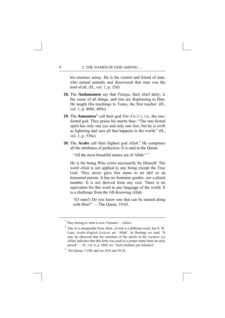his enemies astray. He is the creator and friend of man, who named animals and discovered that man was the lord of all. (H., vol. 1, p. 320)

- **18.** The **Andamanese** say that *Puluga*, their chief deity, is the cause of all things, and sins are displeasing to Him. He taught His teachings to Tomo, the first teacher. (H., vol. 1, p. 468*b*, 469*a*)
- **[1](#page-16-0)9.** The **Annamese**<sup>1</sup> call their god *Dôc-Cu'ó'c*, i.e., the onefooted god. They praise his merits thus: "The one-footed spirit has only one eye and only one foot, but he is swift as lightning and sees all that happens in the world." (H., vol. 1, p. 539*a*)
- **[2](#page-16-1)0.** The **Arabs** call their highest god *Allah*.<sup>2</sup> He comprises all the attributes of perfection. It is said in the Quran:

"All the most beautiful names are of Allah."  $3$ 

He is the being Who exists necessarily by Himself. The word *Allah* is not applied to any being except the True God. They never gave this name to an idol or an honoured person. It has no feminine gender, nor a plural number. It is not derived from any root. There is no equivalent for this word in any language of the world. It is a challenge from the All-Knowing Allah:

"(O man!) Do you know one that can be named along with Him?" — The Quran, 19:65.

<span id="page-16-0"></span><sup>1</sup> They belong to what is now Vietnam — *Editor*.

<span id="page-16-1"></span><sup>2</sup> The *Al* is inseparable from *Allah*. *Al-ilah* is a different word. See E. W. Lane, *Arabic-English Lexicon,* art. 'Allah'. In Hastings we read: "It may be observed that the retention of the article in the vocative (*ya Allah*) indicates that this form was used as a proper name from an early period" — H., vol. 6, p. 248*b*, art. 'God (Arabian, pre-Islamic)'.

<span id="page-16-2"></span><sup>3</sup> The Quran, 7:180; and see 20:8 and 59:24.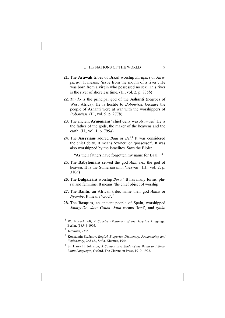- **21.** The **Arawak** tribes of Brazil worship *Jurupari* or *Jurupara-i*. It means: 'issue from the mouth of a river'. He was born from a virgin who possessed no sex. This river is the river of shoreless time. (H., vol. 2, p. 835*b*)
- **22.** *Tando* is the principal god of the **Ashanti** (negroes of West Africa). He is hostile to *Bobowissi*, because the people of Ashanti were at war with the worshippers of *Bobowissi*. (H., vol. 9, p. 277*b*)
- **23.** The ancient **Armenians'** chief deity was *Aramazd*. He is the father of the gods, the maker of the heavens and the earth. (H., vol. 1, p. 795*a*)
- **24.** The **Assyrians** adored *Baal* or *Bel*. [1](#page-17-0) It was considered the chief deity. It means 'owner' or **'**possessor'. It was also worshipped by the Israelites. Says the Bible:

"As their fathers have forgotten my name for Baal."<sup>[2](#page-17-1)</sup>

- **25.** The **Babylonians** served the god *Anu*, i.e., the god of heaven. It is the Sumerian *ana*, 'heaven'. (H., vol. 2, p. 310*a*)
- **26.** The **Bulgarians** worship *Bora.*[3](#page-17-2) It has many forms, plural and feminine. It means 'the chief object of worship'.
- **27.** The **Bantu**, an African tribe, name their god *Ambe* or *Nyambe*. It means 'God'. [4](#page-17-3)
- **28.** The **Basques**, an ancient people of Spain, worshipped *Jaungoiko*, *Jaun-Goiko*. *Jaun* means 'lord', and *goiko*

<span id="page-17-3"></span>4 Sir Harry H. Johnston, *A Comparative Study of the Bantu and Semi-Bantu Languages*, Oxford, The Clarendon Press, 1919–1922.

<span id="page-17-0"></span><sup>1</sup> W. Muss-Arnolt, *A Concise Dictionary of the Assyrian Language*, Berlin, [1854]–1905.

<span id="page-17-1"></span> $<sup>2</sup>$  Jeremiah, 23:27.</sup>

<span id="page-17-2"></span><sup>3</sup> Konstantin Stefanov, *English-Bulgarian Dictionary, Pronouncing and Explanatory*, 2nd ed., Sofia, Khemus, 1944.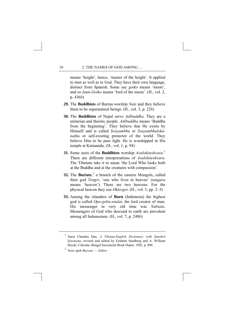means 'height', hence, 'master of the height'. It applied to men as well as to God. They have their own language, distinct from Spanish. Some say *goiko* means 'moon', and so *Jaun-Goiko* means 'lord of the moon'. (H., vol. 2, p. 436*b*)

- **29.** The **Buddhists** of Burma worship *Nats* and they believe them to be supernatural beings. (H., vol. 3, p. 22*b*)
- **30.** The **Buddhists** of Nepal serve *Adibuddha*. They are a unitarian and theistic people. *Adibuddha* means 'Buddha from the beginning'. They believe that He exists by Himself and is called *Svayambhu* or *Svayambhulokanatha* or self-existing protector of the world. They believe Him to be pure light. He is worshipped in His temple at Katmandu. (H., vol. 1, p. 94)
- **31.** Some sects of the **Buddhists** worship *Avalokiteshvara*. [1](#page-18-0) There are different interpretations of *Avalokiteshvara*. The Tibetans take it to mean 'the Lord Who looks both at the Buddha and at the creatures with compassion'.
- **32.** The **Buriats**, [2](#page-18-1) a branch of the eastern Mongols, called their god *Tengri*, 'one who lives in heaven' (*tangara*  means 'heaven'). There are two heavens. For the physical heaven they use *Oktorgoi*. (H., vol. 3, pp. 2–3)
- **33.** Among the islanders of **Buru** (Indonesia) the highest god is called *Opo-geba-snulat*, the lord creator of man. His messenger in very old time was *Nabiata*. Messengers of God who descend to earth are prevalent among all Indonesians. (H., vol. 7, p. 248*b*)

<span id="page-18-0"></span><sup>1</sup> Sarat Chandra Das, *A Tibetan-English Dictionary with Sanskrit Synonyms*, revised and edited by Graham Sandberg and A. William Heyde, Calcutta, Bengal Secretariat Book Depot, 1902, p. 806.

<span id="page-18-1"></span><sup>2</sup> Now spelt *Buryats* — *Editor.*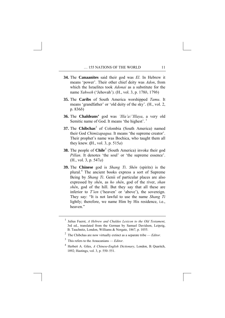- **34.** The **Canaanites** said their god was *El*. In Hebrew it means 'power'. Their other chief deity was *Adon*, from which the Israelites took *Adonai* as a substitute for the name *Yahweh* ('Jehovah'). (H., vol. 3, p. 178*b*, 179*b*)
- **35.** The **Caribs** of South America worshipped *Tamu*. It means 'grandfather' or 'old deity of the sky'. (H., vol. 2, p. 836*b*)
- **36.** The **Chaldeans'** god was *'Illa'a* /*'Illaya*, a very old Semitic name of God. It means 'the highest'.<sup>[1](#page-19-0)</sup>
- **37.** The **Chibchas**<sup>[2](#page-19-1)</sup> of Colombia (South America) named their God *Chimizapagua*. It means 'the supreme creator'. Their prophet's name was Bochica, who taught them all they knew. **(**H., vol. 3, p. 515*a*)
- **[3](#page-19-2)8.** The people of **Chile**<sup>3</sup> (South America) invoke their god *Pillan*. It denotes 'the soul' or 'the supreme essence'. (H., vol. 3, p. 547*a*)
- **39.** The **Chinese** god is *Shang Ti*. *Shên* (spirits) is the plural.[4](#page-19-3) The ancient books express a sort of Supreme Being by *Shang Ti*. Genii of particular places are also expressed by *shên*, as *ho shên*, god of the river, *shan shên*, god of the hill. But they say that all these are inferior to *T'ien* ('heaven' or 'above'), the sovereign. They say: "It is not lawful to use the name *Shang Ti* lightly; therefore, we name Him by His residence, i.e., heaven<sup>"</sup>

<span id="page-19-0"></span><sup>1</sup> Julius Fuerst, *A Hebrew and Chaldee Lexicon to the Old Testament*, 3rd ed., translated from the German by Samuel Davidson, Leipzig, B. Tauchnitz, London, Williams & Norgate, 1867, p. 1055.

<span id="page-19-1"></span><sup>2</sup> The Chibchas are now virtually extinct as a separate tribe — *Editor.*

<span id="page-19-2"></span><sup>3</sup> This refers to the Araucanians — *Editor*.

<span id="page-19-3"></span><sup>4</sup> Herbert A. Giles, *A Chinese-English Dictionary*, London, B. Quaritch, 1892; Hastings, vol. 3, p. 550–551.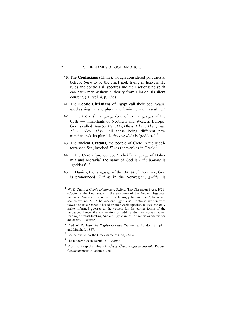- **40.** The **Confucians** (China), though considered polytheists, believe *Shên* to be the chief god, living in heaven. He rules and controls all spectres and their actions; no spirit can harm men without authority from Him or His silent consent. (H., vol. 4, p. 13*a*)
- **41.** The **Coptic Christians** of Egypt call their god *Noute*, used as singular and plural and feminine and masculine.<sup>[1](#page-20-0)</sup>
- **42.** In the **Cornish** language (one of the languages of the Celts — inhabitants of Northern and Western Europe) God is called *Dew* (or *Deu*, *Du*, *Dhew*, *Dhyw*, *Theu*, *Thu*, *Thyu*, *Thev, Thyw*, all these being different pronunciations). Its plural is *dewow*; *dués* is 'goddess'. [2](#page-20-1)
- **43.** The ancient **Cretans**, the people of Crete in the Mediterranean Sea, invoked *Theos* (heaven) as in Greek.<sup>[3](#page-20-2)</sup>
- **44.** In the **Czech** (pronounced 'Tchek') language of Bohemia and Moravia[4](#page-20-3) the name of God is *Bůh; bohynĕ* is 'goddess'. [5](#page-20-4)
- **45.** In Danish, the language of the **Danes** of Denmark, God is pronounced *Gud* as in the Norwegian; *gudder* is

<span id="page-20-0"></span><sup>1</sup> W. E. Crum, *A Coptic Dictionary*, Oxford, The Clarendon Press, 1939. (Coptic is the final stage in the evolution of the Ancient Egyptian language. *Noute* corresponds to the hieroglyphic *ntr*, 'god', for which see below, no. 50, 'The Ancient Egyptians'. Coptic is written with vowels as its alphabet is based on the Greek alphabet, but we can only make informed guesses at the vowels for the earlier forms of the language, hence the convention of adding dummy vowels when reading or transliterating Ancient Egyptian, as in 'netjer' or 'neter' for *ntr* or *ntr*. — *Editor*.)

<span id="page-20-1"></span><sup>2</sup> Fred W. P. Jago, *An English-Cornish Dictionary*, London, Simpkin and Marshall, 1887.

<span id="page-20-2"></span><sup>3</sup> See below no. 64,the Greek name of God, *Theos*.

<span id="page-20-3"></span><sup>4</sup> The modern Czech Republic — *Editor*.

<span id="page-20-4"></span><sup>5</sup> Prof. F. Krupicka, *Anglicko-Český Česko-Anglický Slovník*, Prague, Československá Akademie Ved.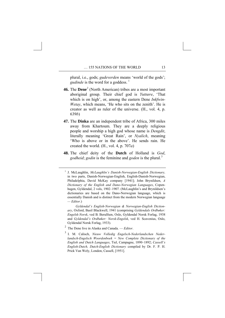plural, i.e., gods; *gudeverden* means 'world of the gods'; *gudinde* is the word for a goddess.<sup>[1](#page-21-0)</sup>

- **46.** The **Dene**<sup>[2](#page-21-1)</sup> (North American) tribes are a most important aboriginal group. Their chief god is *Yuttœre*, 'That which is on high', or, among the eastern Dene *Inkfwin-Wetay*, which means, 'He who sits on the zenith'. He is creator as well as ruler of the universe. (H., vol. 4, p. 639*b*)
- **47.** The **Dinka** are an independent tribe of Africa, 300 miles away from Khartoum. They are a deeply religious people and worship a high god whose name is *Dengdit*, literally meaning 'Great Rain', or *Nyalich*, meaning 'Who is above or in the above'. He sends rain. He created the world. (H., vol. 4, p. 707*a*)
- **48.** The chief deity of the **Dutch** of Holland is *God*, *godheid*; *godin* is the feminine and *goden* is the plural.<sup>[3](#page-21-2)</sup>

 *Gyldendal's English-Norwegian & Norwegian-English Dictionary*, Oxford, Basil Blackwell, 1941 (comprising *Gyldendals Ordbøker: Engelsk-Norsk*, ved B. Berulfsen, Oslo, Gyldendal Norsk Forlag, 1938 and *Gyldendal's Ordbøker: Norsk-Engelsk*, ved H. Scavenius, Oslo, Gyldendal Norsk Forlag, 1933).

<span id="page-21-0"></span><sup>1</sup> J. McLaughlin, *McLaughlin's Danish-Norwegian-English Dictionary,*  in two parts, Danish-Norwegian-English, English-Danish-Norwegian, Philadelphia, David McKay company [1941]; John Brynildsen, *A Dictionary of the English and Dano-Norwegian Languages*, Copenhagen, Gyldendal, 2 vols, 1902–1907. (McLaughlin's and Brynildsen's dictionaries are based on the Dano-Norwegian language, which is essentially Danish and is distinct from the modern Norwegian language *— Editor*.)

<span id="page-21-1"></span><sup>2</sup> The Dene live in Alaska and Canada. — *Editor*.

<span id="page-21-2"></span><sup>3</sup> I. M. Calisch, *Nieuw Volledig Engelsch-Nederlandschen Nederlandsch-Engelsch Woordenboek = New Complete Dictionary of the English and Dutch Languages*, Tiel, Campagne, 1890–1892; *Cassell's English-Dutch, Dutch-English Dictionary* compiled by Dr. F. P. H. Prick Van Wely, London, Cassell, [1951].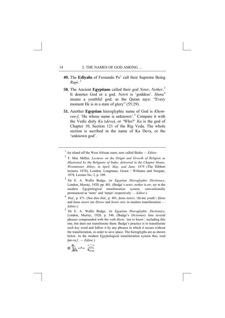- **49.** The Edîyahs of Fernando Po<sup>[1](#page-22-0)</sup> call their Supreme Being *Rupi*. [2](#page-22-1)
- **50.** The Ancient **Egyptians** called their god *Neter*, *Nether*. [3](#page-22-2) It denotes God or a god. *Netrit* is 'goddess'. *Ḥunu* [4](#page-22-3) means a youthful god; as the Quran says: "Every moment He is in a state of glory" (55:29).
- **51.** Another **Egyptian** hieroglyphic name of God is *Khem-*ren-f, 'He whose name is unknown'.<sup>[5](#page-22-4)</sup> Compare it with the Vedic deity *Ka* (*deva*), or 'Who?' *Ka* is the god of Chapter 10, Section 121 of the Rig Veda. The whole section is ascribed in the name of Ka Deva, or the 'unknown god'.

<span id="page-22-1"></span><span id="page-22-0"></span>1 An island off the West African coast, now called Bioko — *Editor*.

- 2 F. Max Müller, *Lectures on the Origin and Growth of Religion as Illustrated by the Religions of India: delivered in the Chapter House, Westminster Abbey, in April, May, and June, 1878* (The Hibbert lectures 1878), London, Longmans, Green / Williams and Norgate, 1878, Lecture No. 2, p. 109.
- <span id="page-22-2"></span>3 Sir E. A. Wallis Budge, *An Egyptian Hieroglyphic Dictionary*, London, Murray, 1920, pp. 401. (Budge's *neter*, *nether* is *ntr*, *ntr* in the modern Egyptological transliteration system, conventionally pronounced as 'neter' and 'netjer' respectively — *Editor*.)
- <span id="page-22-3"></span><sup>4</sup> *Ibid.*, p. 471. (See also *ibid.*, p. 401, *ḥunu neteri*, 'divine youth'; *Ḥunu* and *hunu neteri* are *Ḥwnw* and *hwnw ntry* in modern transliteration — *Editor*.)
- <span id="page-22-4"></span>5 Sir E. A. Wallis Budge, *An Egyptian Hieroglyphic Dictionary*, London, Murray, 1920, p. 546. (Budge's *Dictionary* lists several phrases compounded with the verb *khem*, 'not to know', including this one, but does not transliterate them. Budge's practice is to transliterate each key word and follow it by any phrases in which it occurs without the transliteration, in order to save space. The hieroglyphs are as shown below. In the modern Egyptological transliteration system they read  $hm-rn.f.$  - *Editor*.)

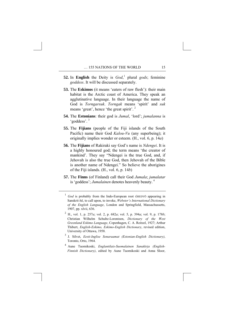- **52.** In **English** the Deity is  $God<sub>i</sub><sup>1</sup>$  $God<sub>i</sub><sup>1</sup>$  $God<sub>i</sub><sup>1</sup>$  plural *gods*; feminine *goddess*. It will be discussed separately.
- **53.** The **Eskimos** (it means 'eaters of raw flesh'): their main habitat is the Arctic coast of America. They speak an agglutinative language. In their language the name of God is *Torngarsuk*. *Torngak* means 'spirit' and *suk*  means 'great', hence 'the great spirit'. [2](#page-23-1)
- **54.** The **Estonians**: their god is *Jumal*, 'lord'; *jumalanna* is 'goddess'. [3](#page-23-2)
- **55.** The **Fijians** (people of the Fiji islands of the South Pacific) name their God *Kalou-Vu* (any superbeing); it originally implies wonder or esteem. (H., vol. 6, p. 14*a*)
- **56.** The **Fijians** of Rakiraki say God's name is *Ndengei*. It is a highly honoured god; the term means 'the creator of mankind'. They say "Ndengei is the true God, and, if Jehovah is also the true God, then Jehovah of the Bible is another name of Ndengei." So believe the aborigines of the Fiji islands. (H., vol. 6, p. 14*b*)
- **57.** The **Finns** (of Finland) call their God *Jumala*; *jumalatar*  is 'goddess'; *Jumalainen* denotes heavenly beauty. [4](#page-23-3)

- <span id="page-23-1"></span>2 H., vol. 1, p. 257*a*; vol. 2, p. 682*a*; vol. 5, p. 394*a*; vol. 9, p. 178*b*; Christian Wilhelm Schultz-Lorentzen, *Dictionary of the West Greenland Eskimo Language*, Copenhagen, C. A. Reitzel, 1927; Arthur Thibert, *English-Eskimo, Eskimo-English Dictionary*, revised edition, University of Ottawa, 1958.
- <span id="page-23-2"></span>3 J. Silvet, *Eesti-Inglise Sonaraamat (Estonian-English Dictionary)*, Toronto, Orto, 1964.
- <span id="page-23-3"></span>4 Aune Tuomikoski, *Englantilais-Suomalainen Sanakirja (English-Finnish Dictionary)*, edited by Aune Tuomikoski and Anna Sloor,

<span id="page-23-0"></span><sup>&</sup>lt;sup>1</sup> *God* is probably from the Indo-European root GHEDYŌ appearing in Sanskrit *hū*, to call upon, to invoke, *Webster's International Dictionary of the English Language*, London and Springfield, Massachussetts, 1907, pp. xlvii, 636.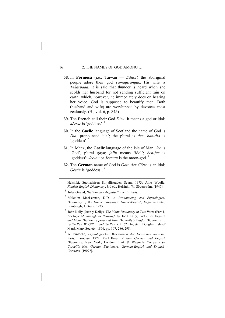- **58.** In **Formosa** (i.e., Taiwan *Editor*) the aboriginal people adore their god *Tamagisangak*. His wife is *Tekarpada*. It is said that thunder is heard when she scolds her husband for not sending sufficient rain on earth, which, however, he immediately does on hearing her voice. God is supposed to beautify men. Both (husband and wife) are worshipped by devotees most zealously. (H., vol. 6, p. 84*b*)
- **59.** The **French** call their God *Dieu*. It means a god or idol; *déesse* is 'goddess'. [1](#page-24-0)
- **60.** In the **Gaelic** language of Scotland the name of God is *Dia*, pronounced 'jia'; the plural is *dee*; *ban-dia* is 'goddess'. [2](#page-24-1)
- **61.** In Manx, the **Gaelic** language of the Isle of Man, *Jee* is 'God', plural *ghyn*; *jallu* means 'idol'; *ben-jee* is 'goddess'; *Jee-an* or *Jeeman* is the moon-god. [3](#page-24-2)
- **62.** The **German** name of God is *Gott*; *der Götze* is an idol; *Göttin* is 'goddess'. [4](#page-24-3)

Helsinki, Suomalaisen Kirjallisuuden Seura, 1973; Aino Wuolle, *Finnish-English Dictionary*, 3rd ed., Helsinki, W. Söderström, [1947].

- 1 Jules Giraud, *Dictionnaire Anglais-Français*, Paris.
- 2 Malcolm MacLennan, D.D., *A Pronouncing and Etymological Dictionary of the Gaelic Language: Gaelic-English, English-Gaelic*, Edinburgh, J. Grant, 1925.
- <span id="page-24-2"></span>3 John Kelly (Juan y Kelly), *The Manx Dictionary in Two Parts* (Part 1, *Fockleyr Manninagh as Baarlagh* by John Kelly, Part 2, *An English and Manx Dictionary prepared from Dr. Kelly's Triglot Dictionary … by the Rev. W. Gill … and the Rev. J. T. Clarke*, etc.), Douglas, [Isle of Man], Manx Society, 1866, pp. 107, 286, 298.
- <span id="page-24-3"></span><sup>4</sup> A. Pinloche, *Etymologisches Wörterbuch der Deutschen Sprache*, Paris, Larousse, 1922; Karl Breul, *A New German and English Dictionary*, New York, London, Funk & Wagnalls Company (= *Cassell's New German Dictionary: German-English and English-German*), [1909?].

<span id="page-24-1"></span><span id="page-24-0"></span><u>.</u>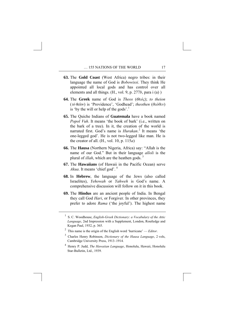- **63.** The **Gold Coast** (West Africa) negro tribes: in their language the name of God is *Bobowissi*. They think He appointed all local gods and has control over all elements and all things. (H., vol. 9, p. 277*b*, para i (a) )
- **64.** The **Greek** name of God is *Theos* (*Θεός*); *to theion* ( ) is 'Providence', 'Godhead'; *theothen* (*θεόθεν*) is 'by the will or help of the gods'.<sup>[1](#page-25-0)</sup>
- **65.** The Quiche Indians of **Guatemala** have a book named *Popol Vuh*. It means 'the book of bark' (i.e., written on the bark of a tree). In it, the creation of the world is narrated first. God's name is *Hurakan*. [2](#page-25-1) It means 'the one-legged god'. He is not two-legged like man. He is the creator of all. (H., vol. 10, p. 115*a*)
- **66.** The **Hausa** (Northern Nigeria, Africa) say: "Allah is the name of our God." But in their language *alloli* is the plural of *illah*, which are the heathen gods. [3](#page-25-2)
- **67.** The **Hawaiians** (of Hawaii in the Pacific Ocean) serve *Akua*. It means 'chief god'. [4](#page-25-3)
- **68.** In **Hebrew**, the language of the Jews (also called Israelites), *Yehowah* or *Yahweh* is God's name. A comprehensive discussion will follow on it in this book.
- **69.** The **Hindus** are an ancient people of India. In Bengal they call God *Hari*, or Forgiver. In other provinces, they prefer to adore *Rama* ('the joyful'). The highest name

<span id="page-25-0"></span><sup>1</sup> S. C. Woodhouse, *English-Greek Dictionary: a Vocabulary of the Attic Language*, 2nd Impression with a Supplement, London, Routledge and Kegan Paul, 1932, p. 365.

<span id="page-25-1"></span><sup>2</sup> This name is the origin of the English word 'hurricane' — *Editor*.

<span id="page-25-2"></span><sup>3</sup> Charles Henry Robinson, *Dictionary of the Hausa Language*, 2 vols, Cambridge University Press, 1913–1914.

<span id="page-25-3"></span><sup>4</sup> Henry P. Judd, *The Hawaiian Language*, Honolulu, Hawaii, Honolulu Star-Bulletin, Ltd., 1939.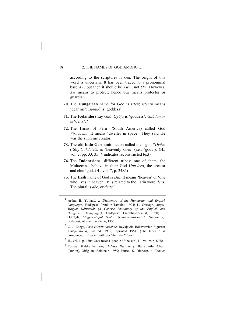according to the scriptures is *Om*. The origin of this word is uncertain. It has been traced to a pronominal base *Aw*, but then it should be *Awm*, not *Om.* However, *Aw* means to protect; hence *Om* means protector or guardian.

- **70.** The **Hungarian** name for God is *Isten*; *istenin* means 'dear me'; *istennő* is 'goddess'. [1](#page-26-0)
- **71.** The **Icelanders** say *Guð*. *Gyðja* is 'goddess'. *Guðdómur* is 'deity'. [2](#page-26-1)
- **72.** The **Incas** of Peru<sup>[3](#page-26-2)</sup> (South America) called God *Viracocha*. It means 'dweller in space'. They said He was the supreme creator.
- **73.** The old **Indo-Germanic** nation called their god \**Dyêus* ('Sky'); \**deivôs* is 'heavenly ones' (i.e., 'gods'). (H., vol. 2, pp. 33, 35; \* indicates reconstructed text)
- **74.** The **Indonesians**, different tribes: one of them, the Moluccans, believe in their God *Upu-lero*, the creator and chief god. (H., vol. 7, p. 248*b*)
- **75.** The **Irish** name of God is *Dia*. It means 'heaven' or 'one who lives in heaven'. It is related to the Latin word *deus*. The plural is *dée*, or *déite*. [4](#page-26-3)

<span id="page-26-3"></span>4 Tomás Bhaldraithe, *English-Irish Dictionary*, Baile Atha Cliath [Dublin], Oifig an tSoláthair, 1959; Patrick S. Dinneen, *A Concise* 

<span id="page-26-0"></span><sup>1</sup> Arthur B. Yolland, *A Dictionary of the Hungarian and English Languages*, Budapest, Franklin-Tarsulat, 1924; L. Országh, *Angol-Magyar Kéziszótár (A Concise Dictionary of the English and Hungarian Languages)*, Budapest, Franklin-Tarsulat, 1950; L. Országh, *Magyar-Angol Szótár (Hungarian-English Dictionary)*, Budapest, Akademiai Kiadó, 1953.

<span id="page-26-1"></span><sup>2</sup> G. J. Zoëga, *Ensk-Íslenzk Orðabók*, Reykjavík, Bókaverzlun Sigurdar Kristjánssonar, 3rd ed. 1932, reprinted 1951. (The letter ð is pronounced 'th' as in 'with', or 'that' — *Editor*.)

<span id="page-26-2"></span><sup>3</sup> H., vol. 1, p. 470*a*. *Inca* means 'people of the sun', H., vol. 9, p. 803*b*.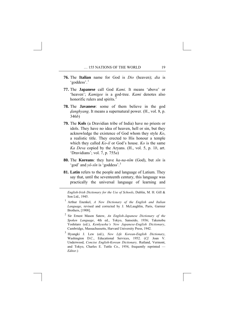- **76.** The **Italian** name for God is *Dio* (heaven); *dia* is 'goddess'.<sup>[1](#page-27-0)</sup>
- **77.** The **Japanese** call God *Kami*. It means 'above' or 'heaven'; *Kamigee* is a god-tree. *Kami* denotes also honorific rulers and spirits.<sup>[2](#page-27-1)</sup>
- **78.** The **Javanese**: some of them believe in the god *danghyang*. It means a supernatural power. (H<sub>r</sub>, vol. 8, p. 346*b*)
- **79.** The **Kols** (a Dravidian tribe of India) have no priests or idols. They have no idea of heaven, hell or sin, but they acknowledge the existence of God whom they style *Ko*, a realistic title. They erected to His honour a temple which they called *Ko-il* or God's house. *Ko* is the same *Ka Deva* copied by the Aryans. (H., vol. 5, p. 1*b*, art. 'Dravidians'; vol. 7, p. 755*a*)
- **80.** The **Koreans**: they have *ha-na-nĭm* (God), but *sĭn* is 'god' and *yŏ-sĭn* is 'goddess'.[3](#page-27-2)
- **81. Latin** refers to the people and language of Latium. They say that, until the seventeenth century, this language was practically the universal language of learning and

<span id="page-27-0"></span>-

*English-Irish Dictionary for the Use of Schools*, Dublin, M. H. Gill & Son Ltd., 1945.

- 1 Arthur Enenkel, *A New Dictionary of the English and Italian Language*, revised and corrected by J. McLaughlin, Paris, Garnier Brothers, [1908].
- <span id="page-27-1"></span>2 Sir Ernest Mason Satow, *An English-Japanese Dictionary of the Spoken Language*, 4th ed., Tokyo, Sanseido, 1936; Takenobu Yoshitaro (ed.), *Kenkyusha's New Japanese-English Dictionary*, Cambridge, Massachussetts, Harvard University Press, 1942.
- <span id="page-27-2"></span>3 Hyungki J. Lew (ed.), *New Life Korean-English Dictionary*, Washington D.C., Educational Services, 1952. (*Cf.* Joan V. Underwood, *Concise English-Korean Dictionary,* Rutland, Vermont, and Tokyo, Charles E. Tuttle Co., 1954, frequently reprinted — *Editor*.)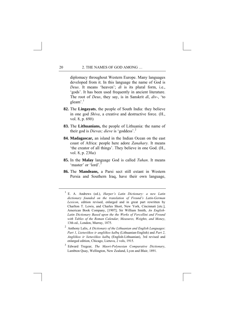diplomacy throughout Western Europe. Many languages developed from it. In this language the name of God is *Deus*. It means 'heaven'; *di* is its plural form, i.e., 'gods'. It has been used frequently in ancient literature. The root of *Deus*, they say, is in Sanskrit *dî*, *div-*, 'to gleam'.<sup>[1](#page-28-0)</sup>

- **82.** The **Lingayats**, the people of South India: they believe in one god *Shiva*, a creative and destructive force. (H., vol. 8, p. 69*b*)
- **83.** The **Lithuanians,** the people of Lithuania: the name of their god is *Dievas; dieve* is 'goddess'.[2](#page-28-1)
- **84. Madagascar,** an island in the Indian Ocean on the east coast of Africa: people here adore *Zanahary.* It means 'the creator of all things'. They believe in one God. (H., vol. 8, p. 230*a*)
- **85.** In the **Malay** language God is called *Tuhan*. It means 'master' or 'lord'.<sup>[3](#page-28-2)</sup>
- **86.** The **Mandeans,** a Parsi sect still extant in Western Persia and Southern Iraq, have their own language,

<span id="page-28-2"></span>3 Edward Tregear, *The Maori-Polynesian Comparative Dictionary*, Lambton Quay, Wellington, New Zealand, Lyon and Blair, 1891.

<span id="page-28-0"></span><sup>1</sup> E. A. Andrews (ed.), *Harper's Latin Dictionary: a new Latin dictionary founded on the translation of Freund's Latin-German Lexicon*, edition revised, enlarged and in great part rewritten by Charlton T. Lewis, and Charles Short, New York, Cincinnati [etc.], American Book Company, [1907]; Sir William Smith, *An English-Latin Dictionary Based upon the the Works of Forcellini and Freund with Tables of the Roman Calendar, Measures, Weights, and Money*, 13th ed., London, Murray, 1875.

<span id="page-28-1"></span><sup>2</sup> Anthony Lalis, *A Dictionary of the Lithuanian and English Languages*: *Part 1*, *Lietuviškos ir angliškos kalbų* (Lithuanian-English) and *Part 2*, *Angliškos ir lietuviškos kalbų* (English-Lithuanian), 3rd revised and enlarged edition, Chicago, Lietuva, 2 vols, 1915.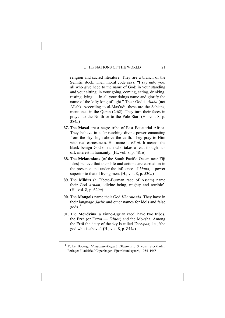religion and sacred literature. They are a branch of the Semitic stock. Their moral code says, "I say unto you, all who give heed to the name of God: in your standing and your sitting, in your going, coming, eating, drinking, resting, lying — in all your doings name and glorify the name of the lofty king of light." Their God is *Alaha* (not Allah). According to al-Mas'udi, these are the Sabians, mentioned in the Quran (2:62). They turn their faces in prayer to the North or to the Pole Star. (H., vol. 8, p. 384*a*)

- **87.** The **Masai** are a negro tribe of East Equatorial Africa. They believe in a far-reaching divine power emanating from the sky, high above the earth. They pray to Him with real earnestness. His name is *Eñ-ai*. It means: the black benign God of rain who takes a real, though faroff, interest in humanity. (H., vol. 8, p. 481*a*)
- **88.** The **Melanesians** (of the South Pacific Ocean near Fiji Isles) believe that their life and actions are carried on in the presence and under the influence of *Mana*, a power superior to that of living men. (H., vol. 8, p. 530*a*)
- **89.** The **Mikirs** (a Tibeto-Burman race of Assam) name their God *Arnam*, 'divine being, mighty and terrible'. (H., vol. 8, p. 629*a*)
- **90.** The **Mongols** name their God *Khormosda.* They have in their language *Jarlik* and other names for idols and false  $\text{gods.}$ <sup>[1](#page-29-0)</sup>
- **91.** The **Mordvins** (a Finno-Ugrian race) have two tribes, the Erzä (or Erzya — *Editor*) and the Moksha. Among the Erzä the deity of the sky is called *Vere-pas;* i.e., 'the god who is above'. **(**H., vol. 8, p. 844*a*)

<span id="page-29-0"></span><sup>1</sup> Folke Boberg, *Mongolian-English Dictionary*, 3 vols, Stockholm, Forlaget Filadelfia / Copenhagen, Ejnar Munksgaard, 1954–1955.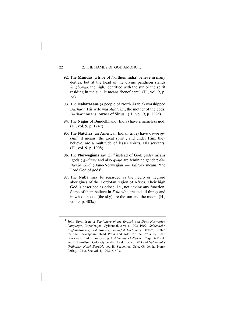- **92.** The **Mundas** (a tribe of Northern India) believe in many deities, but at the head of the divine pantheon stands *Singbonga*, the high, identified with the sun or the spirit residing in the sun. It means 'beneficent'. (H., vol. 9, p. 2*a*)
- **93.** The **Nabataeans** (a people of North Arabia) worshipped *Dushara.* His wife was *Allat*, i.e., the mother of the gods. *Dushara* means 'owner of Sirius'. (H., vol. 9, p. 122*a*)
- **94.** The **Nagas** of Bundelkhand (India) have a nameless god. (H., vol. 9, p. 124*a*)
- **95.** The **Natchez** (an American Indian tribe) have *Coyocopchill*. It means 'the great spirit', and under Him, they believe, are a multitude of lesser spirits, His servants. (H., vol. 9, p. 190*b*)
- **96.** The **Norwegians** say *Gud* instead of God; *guder* means 'gods'; *gudinne* and also *gydje* are feminine gender; *den stærke Gud* (Dano-Norwegian — *Editor*) means 'the Lord God of gods'.<sup>[1](#page-30-0)</sup>
- **97.** The **Nuba** may be regarded as the negro or negroid aborigines of the Kordofan region of Africa. Their high God is described as otiose, i.e., not having any function. Some of them believe in *Kalo* who created all things and in whose house (the sky) are the sun and the moon. (H., vol. 9, p. 403*a*)

<span id="page-30-0"></span><sup>1</sup> John Brynildsen, *A Dictionary of the English and Dano-Norwegian Languages*, Copenhagen, Gyldendal, 2 vols, 1902–1907; *Gyldendal's English-Norwegian & Norwegian-English Dictionary*, Oxford, Printed for the Shakespeare Head Press and sold for the Press by Basil Blackwell, 1941 (comprising *Gyldendals Ordbøker: Engelsk-Norsk*, ved B. Berulfsen, Oslo, Gyldendal Norsk Forlag, 1938 and *Gyldendal's Ordbøker: Norsk-Engelsk*, ved H. Scavenius, Oslo, Gyldendal Norsk Forlag, 1933). See vol. 1, 1902, p. 403.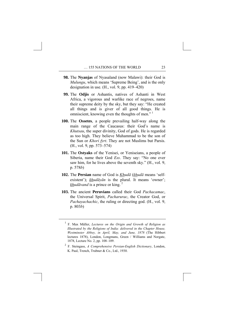- **98.** The **Nyanjas** of Nyasaland (now Malawi): their God is *Mulungu*, which means 'Supreme Being', and is the only designation in use. (H., vol. 9, pp. 419–420)
- **99.** The **Odjis** or Ashantis, natives of Ashanti in West Africa, a vigorous and warlike race of negroes, name their supreme deity by the sky, but they say: "He created all things and is giver of all good things. He is omniscient, knowing even the thoughts of men."<sup>[1](#page-31-0)</sup>
- **100.** The **Ossetes**, a people prevailing half-way along the main range of the Caucasus: their God's name is *Khutsau*, the super divinity, God of gods. He is regarded as too high. They believe Muhammad to be the son of the Sun or *Khori fyrt*. They are not Muslims but Parsis. (H., vol. 9, pp. 573–574)
- **101.** The **Ostyaks** of the Yenisei, or Yeniseians, a people of Siberia, name their God *Ess*. They say: "No one ever saw him, for he lives above the seventh sky." (H., vol. 9, p. 578*b*)
- **102.** The **Persian** name of God is *Khudā* (*khudā* means 'selfexistent'); *khudāyān* is the plural. It means 'owner';  $k$ *hud* $\bar{a}$ *vand* is a prince or king.<sup>[2](#page-31-1)</sup>
- **103.** The ancient **Peruvians** called their God *Pachacamac*, the Universal Spirit, *Pacharurac*, the Creator God, or *Pachayachachic*, the ruling or directing god. (H., vol. 9, p. 803*b*)

<span id="page-31-0"></span><sup>1</sup> F. Max Müller, *Lectures on the Origin and Growth of Religion as Illustrated by the Religions of India: delivered in the Chapter House, Westminster Abbey, in April, May, and June, 1878* (The Hibbert lectures 1878), London, Longmans, Green / Williams and Norgate, 1878, Lecture No. 2, pp. 108–109.

<span id="page-31-1"></span><sup>2</sup> F. Steingass, *A Comprehensive Persian-English Dictionary*, London, K. Paul, Trench, Trubner & Co., Ltd., 1930.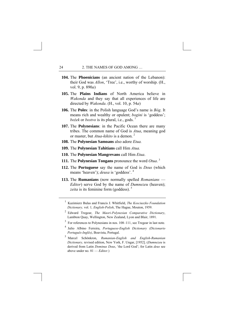- **104.** The **Phoenicians** (an ancient nation of the Lebanon): their God was *Allon*, 'Tree', i.e., worthy of worship. (H., vol. 9, p. 890*a*)
- **105.** The **Plains Indians** of North America believe in *Wakonda* and they say that all experiences of life are directed by *Wakonda*. (H., vol. 10, p. 54*a*)
- **106.** The **Poles**: in the Polish language God's name is *Bóg*. It means rich and wealthy or opulent; *bogini* is 'goddess'; *bożek* or *bostvo* is its plural, i.e., gods. [1](#page-32-0)
- **107.** The **Polynesians**: in the Pacific Ocean there are many tribes. The common name of God is *Atua*, meaning god or master, but *Atua-kikito* is a demon. [2](#page-32-1)
- **108.** The **Polynesian Samoans** also adore *Etua.*
- **109.** The **Polynesian Tahitians** call Him *Atua.*
- **110.** The **Polynesian Mangrevans** call Him *Etua*.
- **111.** The **Polynesian Tongans** pronounce the word *Otua*. [3](#page-32-2)
- **112.** The **Portuguese** say the name of God is *Deus* (which means 'heaven'); *deusa* is 'goddess'. [4](#page-32-3)
- **113.** The **Rumanians** (now normally spelled *Romanians Editor*) serve God by the name of *Dumnezeu* (heaven); zeita is its feminine form (goddess).<sup>[5](#page-32-4)</sup>

- <span id="page-32-3"></span><span id="page-32-2"></span><sup>3</sup> For references to Polynesians in nos. 108–111, see Tregear in last note.
- 4 Julio Albino Ferreira, *Portuguese-English Dictionary (Dicionario Português-Inglês)*, Boavista, Portugal.
- <span id="page-32-4"></span><sup>5</sup> Marcel Schönkron, *Rumanian-English and English-Rumanian Dictionary,* revised edition, New York, F. Ungar, [1952]. (*Dumnezeu* is derived from Latin *Dominus Deus*, 'the Lord God'; for Latin *deus* see above under no. 81 — *Editor.*)

<span id="page-32-0"></span><sup>1</sup> Kazimierz Bulas and Francis J. Whitfield, *The Kosciuszko Foundation Dictionary,* vol. 1*, English-Polish*, The Hague, Mouton, 1959.

<span id="page-32-1"></span><sup>2</sup> Edward Tregear, *The Maori-Polynesian Comparative Dictionary*, Lambton Quay, Wellington, New Zealand, Lyon and Blair, 1891.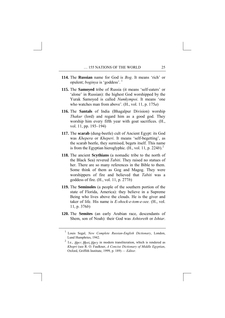- **114.** The **Russian** name for God is *Bog*. It means 'rich' or opulent; *boginya* is 'goddess'. [1](#page-33-0)
- **115.** The **Samoyed** tribe of Russia (it means 'self-eaters' or 'alone' in Russian): the highest God worshipped by the Yurak Samoyed is called *Numkympoi*. It means 'one who watches man from above'. (H., vol. 11, p. 175*a*)
- **116.** The **Santals** of India (Bhagalpur Division) worship *Thakur* (lord) and regard him as a good god. They worship him every fifth year with goat sacrifices. (H., vol. 11, pp. 193–194)
- **117.** The **scarab** (dung-beetle) cult of Ancient Egypt: its God was *Khepera* or *Kheperi*. It means 'self-begetting', as the scarab beetle, they surmised, begets itself. This name is from the Egyptian hieroglyphic. (H., vol. 11, p. 224*b*).[2](#page-33-1)
- **118.** The ancient **Scythians** (a nomadic tribe to the north of the Black Sea) revered *Tabiti*. They raised no statues of her. There are so many references in the Bible to them. Some think of them as Gog and Magog. They were worshippers of fire and believed that *Tabiti* was a goddess of fire. (H., vol. 11, p. 277*b*)
- **119.** The **Seminoles** (a people of the southern portion of the state of Florida, America): they believe in a Supreme Being who lives above the clouds. He is the giver and taker of life. His name is *E-shock-e-tom-e-see.* (H., vol. 11, p. 376*b*)
- <span id="page-33-0"></span>**120.** The **Semites** (an early Arabian race, descendants of Shem, son of Noah): their God was *Ashtoreth* or *Ishtar*.

<sup>1</sup> Louis Segal, *New Complete Russian-English Dictionary*, London, Lund Humphries, 1942.

<span id="page-33-1"></span><sup>&</sup>lt;sup>2</sup> I.e., *Hprr, Hpri, Hpry* in modern transliteration, which is rendered as *Khopri* (see R. O. Faulkner, *A Concise Dictionary of Middle Egyptian*, Oxford, Griffith Institute, 1999, p. 189) — *Editor*.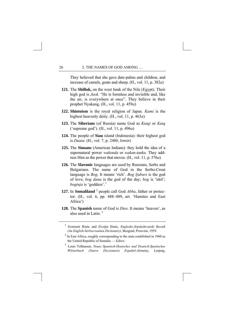They believed that she gave date-palms and children, and increase of camels, goats and sheep. (H., vol. 11, p. 382*a*)

- **121.** The **Shilluk,** on the west bank of the Nile (Egypt). Their high god is *Juok.* "He is formless and invisible and, like the air, is everywhere at once". They believe in their prophet Nyakang. (H., vol. 11, p. 459*a*)
- **122. Shintoism** is the royal religion of Japan. *Kami* is the highest heavenly deity. (H., vol. 11, p. 463*a*)
- **123.** The **Siberians** (of Russia) name God as *Kutqi* or *Kutq* ('supreme god'). (H., vol. 11, p. 496*a*)
- **124.** The people of **Siau** island (Indonesia): their highest god is *Duata*. (H., vol. 7, p. 248*b*, lower)
- **125.** The **Siouans** (American Indians): they hold the idea of a supernatural power *wakonda* or *wakan-tanka*. They address Him as the power that moves. (H., vol. 11, p. 576*a*)
- **126.** The **Slavonic** languages are used by Russians, Serbs and Bulgarians. The name of God in the Serbo-Croat language is *Bog*. It means 'rich'. *Bog ljubavi* is the god of love; *bog dana* is the god of the day; *bog* is 'idol'; *boginja* is 'goddess'.<sup>[1](#page-34-0)</sup>
- **1[2](#page-34-1)7.** In **Somaliland**<sup>2</sup> people call God *Abba*, father or protector. (H., vol. 6, pp. 488–489, art. 'Hamites and East Africa')
- <span id="page-34-0"></span>**128.** The **Spanish** name of God is *Dios*. It means 'heaven', as also used in Latin<sup>[3](#page-34-2)</sup>

<sup>1</sup> Svetomir Ristic and Zivojin Simic, *Englesko-Srpskohrvatski Recnik (An English-Serbocroatian Dictionary)*, Beograd, Prosveta, 1959.

<span id="page-34-1"></span> $2$  In East Africa, roughly corresponding to the state established in 1960 as the United Republic of Somalia — *Editor*.

<span id="page-34-2"></span><sup>3</sup> Louis Tolhausen, *Neues Spanisch-Deutsches und Deutsch-Spanisches Wörterbuch (Nuevo Diccionario Español-Alemán)*, Leipzig,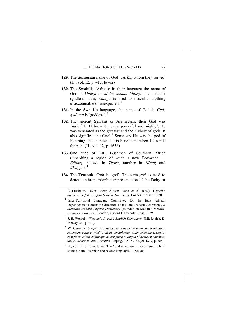- **129.** The **Sumerian** name of God was *îlu*, whom they served. (H., vol. 12, p. 41*a*, lower)
- **130.** The **Swahilis** (Africa): in their language the name of God is *Mungu* or *Mola; mkana Mungu* is an atheist (godless man); *Mungu* is used to describe anything unaccountable or unexpected.  $\frac{1}{1}$  $\frac{1}{1}$  $\frac{1}{1}$
- **131.** In the **Swedish** language, the name of God is *Gud;*  gudinna is 'goddess'.<sup>[2](#page-35-1)</sup>
- **132.** The ancient **Syrians** or Aramaeans: their God was *Hadad*. In Hebrew it means 'powerful and mighty'. He was venerated as the greatest and the highest of gods. It also signifies 'the One'.<sup>[3](#page-35-2)</sup> Some say He was the god of lightning and thunder. He is beneficent when He sends the rain. (H., vol. 12, p. 165*b*)
- **133.** One tribe of Tati, Bushmen of Southern Africa (inhabiting a region of what is now Botswana — *Editor*), believe in *Thora*, another in *!Kang* and *//Kaggen*. [4](#page-35-3)
- **134.** The **Teutonic** *Guth* is 'god'. The term *god* as used to denote anthropomorphic (representation of the Deity or

<span id="page-35-0"></span><u>.</u>

B. Tauchnitz, 1897; Edgar Allison Peers *et al.* (eds.), *Cassell's Spanish-English, English-Spanish Dictionary*, London, Cassell, 1970.

<sup>1</sup> Inter-Territorial Language Committee for the East African Dependencies (under the direction of the late Frederick Johnson), *A Standard Swahili-English Dictionary* (founded on Madan's *Swahili-English Dictionary*), London, Oxford University Press, 1939.

<span id="page-35-1"></span>2 J. E. Wessely, *Wessely's Swedish-English Dictionary*, Philadelphia, D. McKay Co., [1941].

<span id="page-35-2"></span>3 W. Gesenius, *Scripturae linguaeque phoeniciae monumenta quotquot supersunt edita et inedita ad autographorum optimorumque exemplorum fidem edidit additisque de scriptura et lingua phoenicum commentariis illustravit Guil. Gesenius*, Leipzig, F. C. G. Vogel, 1837, p. 385.

<span id="page-35-3"></span>4 H., vol. 12, p. 206*b*, lower. The *!* and // represent two different 'click' sounds in the Bushman and related languages — *Editor*.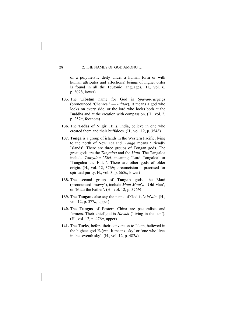of a polytheistic deity under a human form or with human attributes and affections) beings of higher order is found in all the Teutonic languages. (H., vol. 6, p. 302*b*, lower)

- **135.** The **Tibetan** name for God is *Spayan-rasgzigs* (pronounced 'Chenresi' — *Editor*). It means a god who looks on every side, or the lord who looks both at the Buddha and at the creation with compassion. (H., vol. 2, p. 257*a*, footnote)
- **136.** The **Todas** of Nilgiri Hills, India, believe in one who created them and their buffaloes. (H., vol. 12, p. 354*b*)
- **137. Tonga** is a group of islands in the Western Pacific, lying to the north of New Zealand. *Tonga* means 'Friendly Islands'. There are three groups of Tongan gods. The great gods are the *Tangaloa* and the *Maui*. The Tangaloa include *Tangaloa* '*Eiki,* meaning 'Lord Tangaloa' or 'Tangaloa the Elder'. There are other gods of older origin. (H., vol. 12, 376*b*; circumcision is practised for spiritual purity, H., vol. 3, p. 665*b*, lower)
- **138.** The second group of **Tongan** gods, the Maui (pronounced 'mowy'), include *Maui Motu*'*a*, 'Old Man', or 'Maui the Father'. (H., vol. 12, p. 376*b*)
- **139.** The **Tongans** also say the name of God is '*Alo*'*alo*. (H., vol. 12, p. 377*a*, upper)
- **140.** The **Tungus** of Eastern China are pastoralists and farmers. Their chief god is *Havaki* ('living in the sun'). (H., vol. 12, p. 476*a*, upper)
- **141.** The **Turks**, before their conversion to Islam, believed in the highest god *Yulgen*. It means 'sky' or 'one who lives in the seventh sky'. (H., vol. 12, p. 482*a*)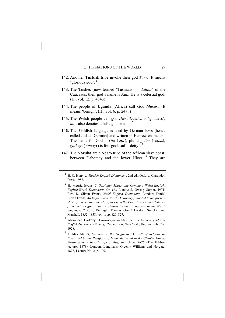- **142.** Another **Turkish** tribe invoke their god *Tanrı*. It means 'glorious god'. [1](#page-37-0)
- **143.** The **Tushes** (now termed 'Tushians' *Editor*) of the Caucasus: their god's name is *Kati.* He is a celestial god. (H., vol. 12, p. 484*a*)
- **144.** The people of **Uganda** (Africa) call God *Mukasa*. It means 'benign'. (H., vol. 6, p. 247*a*)
- **145.** The **Welsh** people call god *Duw. Duwies* is 'goddess'; *duw* also denotes a false god or idol.<sup>[2](#page-37-1)</sup>
- **146.** The **Yiddish** language is used by German Jews (hence called Judaeo-German) and written in Hebrew characters. The name for God is *Got* (גאָט), plural *getter* (געטער);  $gothayt$  (גאַטהייט) is for 'godhead', 'deity'.<sup>[3](#page-37-2)</sup>
- **147.** The **Yoruba** are a Negro tribe of the African slave coast, between Dahomey and the lower Niger.<sup>[4](#page-37-3)</sup> They are

<span id="page-37-2"></span>3 Alexander Harkavy, *Yidish-English-Hebreisher Verterbuch (Yiddish-English-Hebrew Dictionary)*, 2nd edition, New York, Hebrew Pub. Co., 1928.

<span id="page-37-0"></span><sup>1</sup> H. C. Hony, *A Turkish-English Dictionary*, 2nd ed., Oxford, Clarendon Press, 1957.

<span id="page-37-1"></span><sup>2</sup> H. Meurig Evans, *Y Geiriadur Mawr: the Complete Welsh-English, English-Welsh Dictionary*, 5th ed., Llandysul, Gwasg Gomer, 1971; Rev. D. Silvan Evans, *Welsh-English Dictionary*, London; Daniel Silvan Evans, *An English and Welsh Dictionary*, *adapted to the present state of science and literature; in which the English words are deduced from their originals, and explained by their synonyms in the Welsh language*, 2 vols, Denbigh, Thomas Gee / London, Simpkin and Marshall, 1852–1858, vol. 1, pp. 826–827.

<span id="page-37-3"></span><sup>4</sup> F. Max Müller, *Lectures on the Origin and Growth of Religion as Illustrated by the Religions of India: delivered in the Chapter House, Westminster Abbey, in April, May, and June, 1878* (The Hibbert lectures 1878), London, Longmans, Green / Williams and Norgate, 1878, Lecture No. 2, p. 109.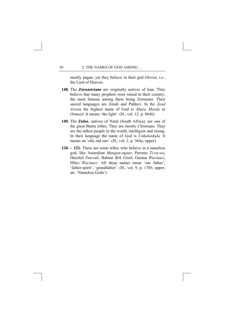mostly pagan, yet they believe in their god *Olorun,* i.e., the Lord of Heaven.

- **148.** The **Zoroastrians** are originally natives of Iran. They believe that many prophets were raised in their country, the most famous among them being Zoroaster. Their sacred languages are Zendi and Pahlavi. In the *Zend Avesta* the highest name of God is *Ahura Mazda* or *Ormuzd*. It means 'the light'. (H., vol. 12, p. 864*b*)
- **149.** The **Zulus**, natives of Natal (South Africa), are one of the great Bantu tribes. They are mostly Christians. They are the tallest people in the world, intelligent and strong. In their language the name of God is *Unkulunkulu.* It means an 'old, old one'. (H., vol. 2, p. 364*a*, upper)
- **150. 155.** There are some tribes who believe in a nameless god, like Australian *Mungan-ngaur*, Pawnee *Ti-ra-wa*, Huichol *Tatevali*, Bahnar *Bōk Glaih*, Guiana *Wacinaci*, Ifilici *Wacinaci*. All these names mean 'our father', 'father-spirit', 'grandfather'. (H., vol. 9, p. 178*b*, upper, art. 'Nameless Gods')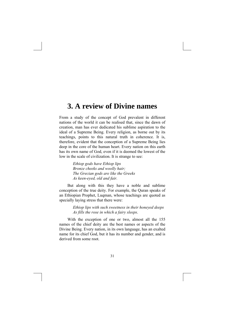# **3. A review of Divine names**

From a study of the concept of God prevalent in different nations of the world it can be realised that, since the dawn of creation, man has ever dedicated his sublime aspiration to the ideal of a Supreme Being. Every religion, as borne out by its teachings, points to this natural truth in coherence. It is, therefore, evident that the conception of a Supreme Being lies deep in the core of the human heart. Every nation on this earth has its own name of God, even if it is deemed the lowest of the low in the scale of civilization. It is strange to see:

> *Ethiop gods have Ethiop lips Bronze cheeks and woolly hair; The Grecian gods are like the Greeks As keen-eyed, old and fair.*

 But along with this they have a noble and sublime conception of the true deity. For example, the Quran speaks of an Ethiopian Prophet, Luqman, whose teachings are quoted as specially laying stress that there were:

> *Ethiop lips with such sweetness in their honeyed deeps As fills the rose in which a fairy sleeps*.

 With the exception of one or two, almost all the 155 names of the chief deity are the best names or aspects of the Divine Being. Every nation, in its own language, has an exalted name for its chief God, but it has its number and gender, and is derived from some root.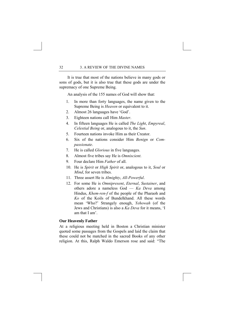It is true that most of the nations believe in many gods or sons of gods, but it is also true that these gods are under the supremacy of one Supreme Being.

An analysis of the 155 names of God will show that:

- 1. In more than forty languages, the name given to the Supreme Being is *Heaven* or equivalent to it.
- 2. Almost 26 languages have 'God'.
- 3. Eighteen nations call Him *Master*.
- 4. In fifteen languages He is called *The Light*, *Empyreal*, *Celestial Being* or, analogous to it, the *Sun*.
- 5. Fourteen nations invoke Him as their Creator.
- 6. Six of the nations consider Him *Benign* or *Compassionate*.
- 7. He is called *Glorious* in five languages.
- 8. Almost five tribes say He is *Omniscient*.
- 9. Four declare Him *Father* of all.
- 10. He is *Spirit* or *High Spirit* or, analogous to it, *Soul* or *Mind*, for seven tribes.
- 11. Three assert He is *Almighty*, *All-Powerful*.
- 12. For some He is *Omnipresent*, *Eternal*, *Sustainer*, and others adore a nameless God — *Ka Deva* among Hindus, *Khem-ren-f* of the people of the Pharaoh and *Ko* of the Koils of Bundelkhand. All these words mean 'Who?' Strangely enough, *Yehowah* (of the Jews and Christians) is also a *Ka Deva* for it means, 'I am that I am'.

## **Our Heavenly Father**

At a religious meeting held in Boston a Christian minister quoted some passages from the Gospels and laid the claim that these could not be matched in the sacred Books of any other religion. At this, Ralph Waldo Emerson rose and said: "The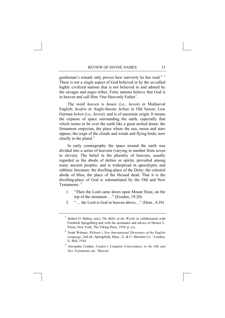gentleman's remark only proves how narrowly he has read."<sup>[1](#page-41-0)</sup> There is not a single aspect of God believed in by the so-called highly civilized nations that is not believed in and adored by the savages and negro tribes. Forty nations believe that God is in heaven and call Him 'Our Heavenly Father'.

 The word *heaven* is *heuen* (i.e., *heven*) in Mediaeval English; *heofon* in Anglo-Saxon; *heban* in Old Saxon; Low German *heben* (i.e., *heven*); and is of uncertain origin. It means the expanse of space surrounding the earth, especially that which seems to be over the earth like a great arched dome; the firmament empyrian, the place where the sun, moon and stars appear; the reign of the clouds and winds and flying birds; now chiefly in the plural. $<sup>2</sup>$  $<sup>2</sup>$  $<sup>2</sup>$ </sup>

 In early cosmography the space around the earth was divided into a series of heavens (varying in number from seven to eleven). The belief in the plurality of heavens, usually regarded as the abode of deities or spirits, prevailed among many ancient peoples, and is widespread in apocalyptic and rabbinic literature: the dwelling-place of the Deity; the celestial abode of bliss; the place of the blessed dead. That it is the dwelling-place of God is substantiated by the Old and New Testaments:  $3$ 

- 1. "Then the Lord came down upon Mount Sinai, on the top of the mountain …" (Exodus, 19:20)
- 2. "… the Lord is God in heaven above…" (Deut., 4:39)

<span id="page-41-0"></span><sup>1</sup> Robert O. Ballou, (ed.), *The Bible of the World*, in collaboration with Friedrich Spiegelberg and with the assistance and advice of Horace L. Friess, New York, The Viking Press, 1939, p. xvi.

<span id="page-41-1"></span><sup>2</sup> Noah Webster, *Webster's New International Dictionary of the English Language*, 2nd ed., Springfield, Mass., G. & C. Merriam Co. / London, G. Bell, 1934.

<span id="page-41-2"></span><sup>3</sup> Alexander Cruden, *Cruden's Complete Concordance to the Old and New Testaments*, art. 'Heaven'.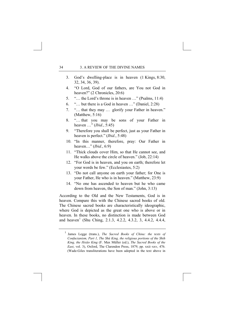- 3. God's dwelling-place is in heaven (1 Kings, 8:30, 32, 34, 36, 39).
- 4. "O Lord, God of our fathers, are You not God in heaven?" (2 Chronicles, 20:6)
- 5. "… the Lord's throne is in heaven …" (Psalms, 11:4)
- 6. "… but there is a God in heaven …" (Daniel, 2:28)
- 7. "… that they may … glorify your Father in heaven." (Matthew, 5:16)
- 8. "… that you may be sons of your Father in heaven …" (*Ibid.*, 5:45)
- 9. "Therefore you shall be perfect, just as your Father in heaven is perfect." (*Ibid.*, 5:48)
- 10. "In this manner, therefore, pray: Our Father in heaven…" (*Ibid.*, 6:9)
- 11. "Thick clouds cover Him, so that He cannot see, and He walks above the circle of heaven." (Job, 22:14)
- 12. "For God is in heaven, and you on earth; therefore let your words be few." (Ecclesiastes, 5:2)
- 13. "Do not call anyone on earth your father; for One is your Father, He who is in heaven." (Matthew, 23:9)
- 14. "No one has ascended to heaven but he who came down from heaven, the Son of man." (John, 3:13)

According to the Old and the New Testaments, God is in heaven. Compare this with the Chinese sacred books of old. The Chinese sacred books are characteristically ideographic, where God is depicted as the great one who is above or in heaven. In these books, no distinction is made between God and heaven<sup>[1](#page-42-0)</sup> (Shu Ching, 2.1.3, 4.2.2, 4.3.2, 3, 4.4.2, 4.4.4,

<span id="page-42-0"></span><sup>1</sup> James Legge (trans.), *The Sacred Books of China: the texts of Confucianism, Part 1, The Shû King, the religious portions of the Shih King, the Hsiâo King* (F. Max Müller (ed.), *The Sacred Books of the East*, vol. 3), Oxford, The Clarendon Press, 1879, pp. xxii–xxv, 476. (Wade-Giles transliterations have been adopted in the text above in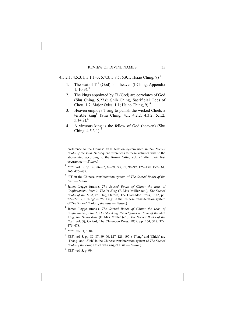4.5.2.[1](#page-43-0), 4.5.3.1, 5.1.1–3, 5.7.3, 5.8.5, 5.9.1; Hsiao Ching, 9)<sup>1</sup>:

- 1. The seat of  $Ti<sup>2</sup>$  $Ti<sup>2</sup>$  $Ti<sup>2</sup>$  (God) is in heaven (I Ching, Appendix  $1, 10:3$  $1, 10:3$ ).<sup>3</sup>
- 2. The kings appointed by Ti (God) are correlates of God (Shu Ching, 5.27.6; Shih Ching, Sacrificial Odes of Chou, 1.7, Major Odes, 1.1; Hsiao Ching, 9).[4](#page-43-3)
- 3. Heaven employs T'ang to punish the wicked Chieh, a terrible king<sup>[5](#page-43-4)</sup> (Shu Ching, 4.1, 4.2.2, 4.3.2, 5.1.2,  $5.14.2$ ).<sup>[6](#page-43-5)</sup>
- 4. A virtuous king is the fellow of God (heaven) (Shu Ching,  $4.5.3.1$ ).

preference to the Chinese transliteration system used in *The Sacred Books of the East*. Subsequent references to these volumes will be the abbreviated according to the format '*SBE*, vol. *n*' after their first occurrence — *Editor*.)

- <sup>1</sup> *SBE*, vol. 3, pp. 39, 86–87, 89–91, 93, 95, 98–99, 125–130, 159–161, 166, 476–477.
- <span id="page-43-1"></span>2 'Tî' in the Chinese transliteration system of *The Sacred Books of the East* — *Editor*.
- <span id="page-43-2"></span>3 James Legge (trans.), *The Sacred Books of China: the texts of Confucianism, Part 2, The Yi King* (F. Max Müller (ed.), *The Sacred Books of the East*, vol. 16), Oxford, The Clarendon Press, 1882, pp. 222–223. ('I Ching' is 'Yi King' in the Chinese transliteration system of *The Sacred Books of the East* — *Editor*.)
- <span id="page-43-3"></span>4 James Legge (trans.), *The Sacred Books of China: the texts of Confucianism, Part 1, The Shû King, the religious portions of the Shih King, the Hsiâo King* (F. Max Müller (ed.), *The Sacred Books of the East*, vol. 3), Oxford, The Clarendon Press, 1879, pp. 264, 317, 379, 476–478.
- <span id="page-43-4"></span><sup>5</sup> *SBE.*, vol. 3, p. 84.

<span id="page-43-0"></span>-

- <span id="page-43-5"></span><sup>6</sup> *SBE*, vol. 3, pp. 85–87, 89–90, 127–128, 197. ('T'ang' and 'Chieh' are 'Thang' and '*K*ieh' in the Chinese transliteration system of *The Sacred Books of the East*; Chieh was king of Hsia — *Editor*.)
- <span id="page-43-6"></span><sup>7</sup> *SBE,* vol. 3, p. 99.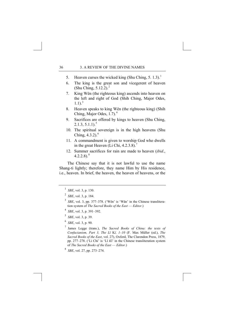- 5. Heaven curses the wicked king (Shu Ching, 5. [1](#page-44-0).3).<sup>1</sup>
- 6. The king is the great son and vicegerent of heaven (Shu Ching,  $5.12.2$  $5.12.2$  $5.12.2$ ).<sup>2</sup>
- 7. King Wên (the righteous king) ascends into heaven on the left and right of God (Shih Ching, Major Odes,  $1.1$ ).<sup>[3](#page-44-2)</sup>
- 8. Heaven speaks to king Wên (the righteous king) (Shih Ching, Major Odes, 1.7).<sup>[4](#page-44-3)</sup>
- 9. Sacrifices are offered by kings to heaven (Shu Ching,  $2.1.3, 5.1.1$  $2.1.3, 5.1.1$  $2.1.3, 5.1.1$ <sup>5</sup>
- 10. The spiritual sovereign is in the high heavens (Shu Ching,  $4.3.2$ ). $^{6}$  $^{6}$  $^{6}$
- 11. A commandment is given to worship God who dwells in the great Heaven (Li Chi,  $4.2.3.8$ ).<sup>[7](#page-44-6)</sup>
- 12. Summer sacrifices for rain are made to heaven (*ibid*.,  $4.2.2.8$  $4.2.2.8$ ).<sup>8</sup>

 The Chinese say that it is not lawful to use the name Shang-ti lightly; therefore, they name Him by His residence, i.e., heaven. In brief, the heaven, the heaven of heavens, or the

- <span id="page-44-2"></span><span id="page-44-1"></span><sup>3</sup> *SBE*, vol. 3, pp. 377–378. ('Wên' is 'Wăn' in the Chinese transliteration system of *The Sacred Books of the East* — *Editor*.)
- <span id="page-44-3"></span><sup>4</sup> *SBE*, vol. 3, p. 391–392.
- <span id="page-44-4"></span><sup>5</sup> *SBE*, vol. 3, p. 39.
- <span id="page-44-6"></span><span id="page-44-5"></span><sup>6</sup> *SBE*, vol. 3, p. 90.
- 7 James Legge (trans.), *The Sacred Books of China: the texts of Confucianism, Part 3, The Lî* K*î, 1–10* (F. Max Müller (ed.), *The Sacred Books of the East*, vol. 27), Oxford, The Clarendon Press, 1879, pp. 277–278. ('Li Chi' is 'Lî *K*î' in the Chinese transliteration system of *The Sacred Books of the East* — *Editor*.)

<span id="page-44-0"></span> $^{1}$  *SBE*, vol. 3, p. 130.

<sup>2</sup>  *SBE*, vol. 3, p. 184.

<span id="page-44-7"></span><sup>8</sup> *SBE*, vol. 27, pp. 273–274.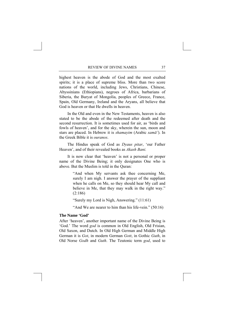highest heaven is the abode of God and the most exalted spirits; it is a place of supreme bliss. More than two score nations of the world, including Jews, Christians, Chinese, Abyssinians (Ethiopians), negroes of Africa, barbarians of Siberia, the Buryat of Mongolia, peoples of Greece, France, Spain, Old Germany, Ireland and the Aryans, all believe that God is heaven or that He dwells in heaven.

 In the Old and even in the New Testaments, heaven is also stated to be the abode of the redeemed after death and the second resurrection. It is sometimes used for air, as 'birds and fowls of heaven', and for the sky, wherein the sun, moon and stars are placed. In Hebrew it is *shamayim* (Arabic *samā'*). In the Greek Bible it is *ouranos*.

 The Hindus speak of God as *Dyaus pitar*, 'our Father Heaven', and of their revealed books as *Akash Bani.*

 It is now clear that 'heaven' is not a personal or proper name of the Divine Being; it only designates One who is above. But the Muslim is told in the Quran:

> "And when My servants ask thee concerning Me, surely I am nigh. I answer the prayer of the suppliant when he calls on Me, so they should hear My call and believe in Me, that they may walk in the right way." (2:186)

"Surely my Lord is Nigh, Answering." (11:61)

"And We are nearer to him than his life-vein."  $(50:16)$ 

#### **The Name 'God'**

After 'heaven', another important name of the Divine Being is 'God.' The word *god* is common in Old English, Old Frisian, Old Saxon, and Dutch. In Old High German and Middle High German it is *Got*, in modern German *Gott*, in Gothic *Guth*, in Old Norse *Godh* and *Guth*. The Teutonic term *god*, used to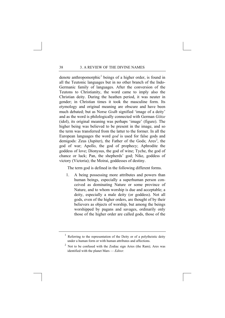denote anthropomorphic<sup>[1](#page-46-0)</sup> beings of a higher order, is found in all the Teutonic languages but in no other branch of the Indo-Germanic family of languages. After the conversion of the Teutons to Christianity, the word came to imply also the Christian deity. During the heathen period, it was neuter in gender; in Christian times it took the masculine form. Its etymology and original meaning are obscure and have been much debated; but as Norse *Godh* signified 'image of a deity' and as the word is philologically connected with German *Götze* (idol), its original meaning was perhaps 'image' (figure). The higher being was believed to be present in the image, and so the term was transferred from the latter to the former. In all the European languages the word *god* is used for false gods and demigods: Zeus (Jupiter), the Father of the Gods; Ares<sup>[2](#page-46-1)</sup>, the god of war; Apollo, the god of prophecy; Aphrodite the goddess of love; Dionysus, the god of wine; Tyche, the god of chance or luck; Pan, the shepherds' god; Nike, goddess of victory (Victoria); the Moirai, goddesses of destiny.

The term god is defined in the following different forms.

1. A being possessing more attributes and powers than human beings, especially a superhuman person conceived as dominating Nature or some province of Nature, and to whom worship is due and acceptable; a deity, especially a male deity (or goddess). Not all gods, even of the higher orders, are thought of by their believers as objects of worship, but among the beings worshipped by pagans and savages, ordinarily only those of the higher order are called gods, those of the

<span id="page-46-0"></span> $1$  Referring to the representation of the Deity or of a polytheistic deity under a human form or with human attributes and affections.

<span id="page-46-1"></span> $2$  Not to be confused with the Zodiac sign Aries (the Ram); Ares was identified with the planet Mars — *Editor.*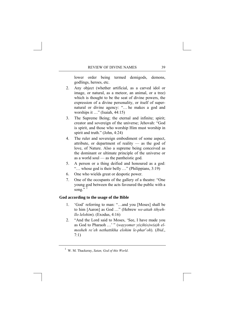lower order being termed demigods, demons, godlings, heroes, etc.

- 2. Any object (whether artificial, as a carved idol or image, or natural, as a meteor, an animal, or a tree) which is thought to be the seat of divine powers, the expression of a divine personality, or itself of supernatural or divine agency: "… he makes a god and worships it …" (Isaiah, 44:15)
- 3. The Supreme Being; the eternal and infinite; spirit; creator and sovereign of the universe; Jehovah: "God is spirit, and those who worship Him must worship in spirit and truth." (John, 4:24)
- 4. The ruler and sovereign embodiment of some aspect, attribute, or department of reality — as the god of love, of Nature. Also a supreme being conceived as the dominant or ultimate principle of the universe or as a world soul — as the pantheistic god.
- 5. A person or a thing deified and honoured as a god: "… whose god is their belly …" (Philippians, 3:19)
- 6. One who wields great or despotic power.
- 7. One of the occupants of the gallery of a theatre: "One young god between the acts favoured the public with a song. $\overline{5}$ <sup>[1](#page-47-0)</sup>

## **God according to the usage of the Bible**

- 1. 'God' referring to man: "…and you [Moses] shall be to him [Aaron] as God …" (Hebrew *we-attah tihyehllo lelohim*). (Exodus, 4:16)
- 2. "And the Lord said to Moses, 'See, I have made you as God to Pharaoh …' " (*wayyomer y(e)h(o)w(a)h elmosheh re'eh nethattikha elohim le-phar*'*oh*). (*Ibid*., 7:1)

<span id="page-47-0"></span><sup>1</sup> W. M. Thackeray, *Satan, God of this World*.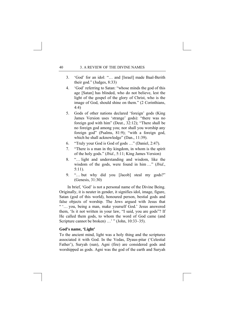- 3. 'God' for an idol: "… and [Israel] made Baal-Berith their god." (Judges, 8:33)
- 4. 'God' referring to Satan: "whose minds the god of this age [Satan] has blinded, who do not believe, lest the light of the gospel of the glory of Christ, who is the image of God, should shine on them." (2 Corinthians, 4:4)
- 5. Gods of other nations declared 'foreign' gods (King James Version uses 'strange' gods): "there was no foreign god with him" (Deut., 32:12); "There shall be no foreign god among you; nor shall you worship any foreign god" (Psalms, 81:9); "with a foreign god, which he shall acknowledge" (Dan., 11:39).
- 6. "Truly your God is God of gods …" (Daniel, 2:47).
- 7. "There is a man in thy kingdom, in whom is the spirit of the holy gods." (*Ibid*., 5:11; King James Version)
- 8. "… light and understanding and wisdom, like the wisdom of the gods, were found in him …" (*Ibid*., 5:11).
- 9. "… but why did you [Jacob] steal my gods?" (Genesis, 31:30)

 In brief, 'God' is not a personal name of the Divine Being. Originally, it is neuter in gender, it signifies idol, image, figure, Satan (god of this world), honoured person, bestial gods and false objects of worship. The Jews argued with Jesus that " '… you, being a man, make yourself God.' Jesus answered them, 'Is it not written in your law, "I said, you are gods"? If He called them gods, to whom the word of God came (and Scripture cannot be broken) …' " (John, 10:33–35).

## **God's name, 'Light'**

To the ancient mind, light was a holy thing and the scriptures associated it with God. In the Vedas, Dyaus-pitar ('Celestial Father'), Suryah (sun), Agni (fire) are considered gods and worshipped as gods. Agni was the god of the earth and Suryah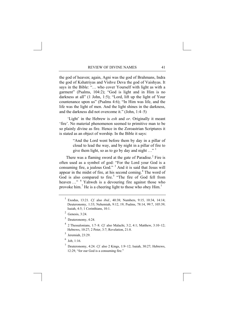the god of heaven; again, Agni was the god of Brahmans, Indra the god of Kshatriyas and Vishve Deva the god of Vaishyas. It says in the Bible: "… who cover Yourself with light as with a garment" (Psalms, 104:2); "God is light and in Him is no darkness at all" (1 John, 1:5); "Lord, lift up the light of Your countenance upon us" (Psalms 4:6); "In Him was life, and the life was the light of men. And the light shines in the darkness, and the darkness did not overcome it." (John, 1:4–5)

 'Light' in the Hebrew is *esh* and *or*. Originally it meant 'fire'. No material phenomenon seemed to primitive man to be so plainly divine as fire. Hence in the Zoroastrian Scriptures it is stated as an object of worship. In the Bible it says:

> "And the Lord went before them by day in a pillar of cloud to lead the way, and by night in a pillar of fire to give them light, so as to go by day and night  $\ldots$ <sup>" [1](#page-49-0)</sup>

There was a flaming sword at the gate of Paradise. $2$  Fire is often used as a symbol of god: "For the Lord your God is a consuming fire, a jealous God."<sup>[3](#page-49-2)</sup> And it is said that Jesus will appear in the midst of fire, at his second coming. $4$  The word of God is also compared to fire.<sup>[5](#page-49-4)</sup> "The fire of God fell from heaven ..." <sup>[6](#page-49-5)</sup> Yahweh is a devouring fire against those who provoke him.<sup>[7](#page-49-6)</sup> He is a cheering light to those who obey  $\text{Him.}^1$  $\text{Him.}^1$ 

- <span id="page-49-3"></span><span id="page-49-2"></span><span id="page-49-1"></span>3 Deuteronomy, 4:24.
- 4 2 Thessalonians, 1:7–8. *Cf.* also Malachi, 3:2, 4:1; Matthew, 3:10–12; Hebrews, 10:27; 2 Peter, 3:7; Revelation, 21:8.
- 5 Jeremiah, 23:29.
- <span id="page-49-5"></span><span id="page-49-4"></span> $6$  Job, 1:16.
- <span id="page-49-7"></span><span id="page-49-6"></span>7 Deuteronomy, 4:24. *Cf.* also 2 Kings, 1:9–12; Isaiah, 30:27; Hebrews, 12:29, "for our God is a consuming fire."

<span id="page-49-0"></span><sup>1</sup> Exodus, 13:21. *Cf.* also *ibid.*, 40:38; Numbers, 9:15, 10:34, 14:14; Deuteronomy, 1:33; Nehemiah, 9:12, 19; Psalms, 78:14, 99:7, 105:39; Isaiah, 4:5; 1 Corinthians, 10:1.

 $<sup>2</sup>$  Genesis, 3:24.</sup>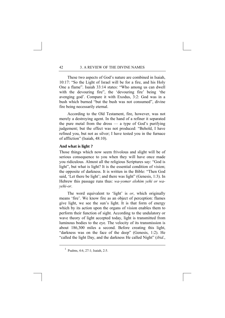These two aspects of God's nature are combined in Isaiah, 10:17: "So the Light of Israel will be for a fire, and his Holy One a flame". Isaiah 33:14 states: "Who among us can dwell with the devouring fire", the 'devouring fire' being 'the avenging god'. Compare it with Exodus, 3:2: God was in a bush which burned "but the bush was not consumed", divine fire being necessarily eternal.

 According to the Old Testament, fire, however, was not merely a destroying agent. In the hand of a refiner it separated the pure metal from the dross — a type of God's purifying judgement; but the effect was not produced: "Behold, I have refined you, but not as silver; I have tested you in the furnace of affliction" (Isaiah, 48:10).

### **And what is light ?**

Those things which now seem frivolous and slight will be of serious consequence to you when they will have once made you ridiculous. Almost all the religious Scriptures say: "God is light", but what is light? It is the essential condition of vision; the opposite of darkness. It is written in the Bible: "Then God said, 'Let there be light'; and there was light'' (Genesis, 1:3). In Hebrew this passage runs thus: *wa-yomer elohim yehi or wayehi-or*.

 The word equivalent to 'light' is *or*, which originally means 'fire'. We know fire as an object of perception: flames give light, we see the sun's light. It is that form of energy which by its action upon the organs of vision enables them to perform their function of sight. According to the undulatory or wave theory of light accepted today, light is transmitted from luminous bodies to the eye. The velocity of its transmission is about 186,300 miles a second. Before creating this light, "darkness was on the face of the deep" (Genesis, 1:2). He "called the light Day, and the darkness He called Night" (*ibid.*,

 $\frac{1}{1}$ Psalms, 4:6, 27:1; Isaiah, 2:5.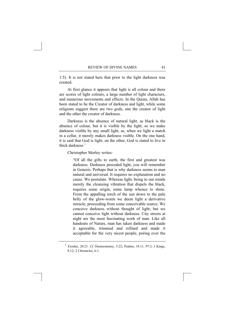1:5). It is not stated here that prior to the light darkness was created.

 At first glance it appears that light is all colour and there are scores of light colours, a large number of light characters, and numerous movements and effects. In the Quran, Allah has been stated to be the Creator of darkness and light, while some religions suggest there are two gods, one the creator of light and the other the creator of darkness.

 Darkness is the absence of natural light, as black is the absence of colour, but it is visible by the light; so we make darkness visible by any small light, as, when we light a match in a cellar, it merely makes darkness visible. On the one hand, it is said that God is light; on the other, God is stated to live in thick darkness  $<sup>1</sup>$  $<sup>1</sup>$  $<sup>1</sup>$ </sup>

Christopher Morley writes:

"Of all the gifts to earth, the first and greatest was darkness. Darkness preceded light, you will remember in Genesis. Perhaps that is why darkness seems to man natural and universal. It requires no explanation and no cause. We postulate. Whereas light, being to our minds merely the cleansing vibration that dispels the black, requires some origin, some lamp whence to shine. From the appalling torch of the sun down to the pale belly of the glow-worm we deem light a derivative miracle, proceeding from some conceivable source. We conceive darkness without thought of light; but we cannot conceive light without darkness. City streets at night are the most fascinating work of man. Like all handouts of Nature, man has taken darkness and made it agreeable, trimmed and refined and made it acceptable for the very nicest people, poring over the

<span id="page-51-0"></span><sup>&</sup>lt;sup>1</sup> Exodus, 20:21. *Cf.* Deuteronomy, 5:22; Psalms, 18:11, 97:2; 1 Kings, 8:12; 2 Chronicles, 6:1.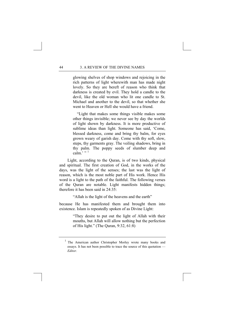glowing shelves of shop windows and rejoicing in the rich patterns of light wherewith man has made night lovely. So they are bereft of reason who think that darkness is created by evil. They hold a candle to the devil, like the old woman who lit one candle to St. Michael and another to the devil, so that whether she went to Heaven or Hell she would have a friend.

"Light that makes some things visible makes some other things invisible; we never see by day the worlds of light shown by darkness. It is more productive of sublime ideas than light. Someone has said, 'Come, blessed darkness, come and bring thy balm, for eyes grown weary of garish day. Come with thy soft, slow, steps, thy garments gray. The veiling shadows, bring in thy palm. The poppy seeds of slumber deep and  $\text{calm}$ <sup>'</sup>, "<sup>[1](#page-52-0)</sup>

 Light, according to the Quran, is of two kinds, physical and spiritual. The first creation of God, in the works of the days, was the light of the senses; the last was the light of reason, which is the most noble part of His work. Hence His word is a light to the path of the faithful. The following verses of the Quran are notable. Light manifests hidden things; therefore it has been said in  $24.35$ 

"Allah is the light of the heavens and the earth"

because He has manifested them and brought them into existence. Islam is repeatedly spoken of as Divine Light:

> "They desire to put out the light of Allah with their mouths, but Allah will allow nothing but the perfection of His light." (The Quran, 9:32, 61:8)

<span id="page-52-0"></span><sup>&</sup>lt;sup>1</sup> The American author Christopher Morley wrote many books and essays. It has not been possible to trace the source of this quotation — *Editor*.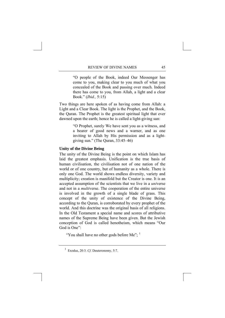"O people of the Book, indeed Our Messenger has come to you, making clear to you much of what you concealed of the Book and passing over much. Indeed there has come to you, from Allah, a light and a clear Book." (*Ibid.,* 5:15)

Two things are here spoken of as having come from Allah: a Light and a Clear Book. The light is the Prophet, and the Book, the Quran. The Prophet is the greatest spiritual light that ever dawned upon the earth; hence he is called a light-giving sun:

> "O Prophet, surely We have sent you as a witness, and a bearer of good news and a warner, and as one inviting to Allah by His permission and as a lightgiving sun." (The Quran, 33:45–46)

## **Unity of the Divine Being**

The unity of the Divine Being is the point on which Islam has laid the greatest emphasis. Unification is the true basis of human civilisation, the civilisation not of one nation of the world or of one country, but of humanity as a whole. There is only one God. The world shows endless diversity, variety and multiplicity; creation is manifold but the Creator is one. It is an accepted assumption of the scientists that we live in a *uni*verse and not in a *multi*verse. The cooperation of the entire universe is involved in the growth of a single blade of grass. This concept of the unity of existence of the Divine Being, according to the Quran, is corroborated by every prophet of the world. And this doctrine was the original basis of all religions. In the Old Testament a special name and scores of attributive names of the Supreme Being have been given. But the Jewish conception of God is called henotheism, which means "Our God is One":

"You shall have no other gods before Me";  $<sup>1</sup>$  $<sup>1</sup>$  $<sup>1</sup>$ </sup>

<span id="page-53-0"></span><sup>1</sup> Exodus, 20:3. *Cf.* Deuteronomy, 5:7.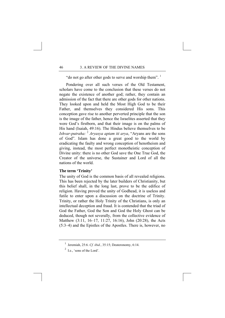"do not go after other gods to serve and worship them".<sup>[1](#page-54-0)</sup>

Pondering over all such verses of the Old Testament, scholars have come to the conclusion that these verses do not negate the existence of another god; rather, they contain an admission of the fact that there are other gods for other nations. They looked upon and held the Most High God to be their Father, and themselves they considered His sons. This conception gave rise to another perverted principle that the son is the image of the father, hence the Israelites asserted that they were God's firstborn, and that their image is on the palms of His hand (Isaiah, 49:16). The Hindus believe themselves to be *Ishvar-putraha:* [2](#page-54-1) *Aryasya aptam iti arya*, "Aryans are the sons of God". Islam has done a great good to the world by eradicating the faulty and wrong conception of henotheism and giving, instead, the most perfect monotheistic conception of Divine unity: there is no other God save the One True God, the Creator of the universe, the Sustainer and Lord of all the nations of the world.

## **The term 'Trinity'**

The unity of God is the common basis of all revealed religions. This has been rejected by the later builders of Christianity, but this belief shall, in the long last, prove to be the edifice of religion. Having proved the unity of Godhead, it is useless and futile to enter upon a discussion on the doctrine of Trinity. Trinity, or rather the Holy Trinity of the Christians, is only an intellectual deception and fraud. It is contended that the triad of God the Father, God the Son and God the Holy Ghost can be deduced, though not severally, from the collective evidence of Matthew (3:11, 16–17, 11:27, 16:16), John (20:28), the Acts (5:3–4) and the Epistles of the Apostles. There is, however, no

<span id="page-54-0"></span><sup>1</sup> Jeremiah, 25:6. *Cf. ibid.*, 35:15; Deuteronomy, 6:14.

<span id="page-54-1"></span> $<sup>2</sup>$  I.e., 'sons of the Lord'.</sup>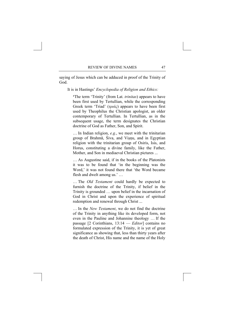saying of Jesus which can be adduced in proof of the Trinity of God.

It is in Hastings' *Encyclopedia of Religion and Ethics:* 

**'**The term 'Trinity' (from Lat. *trinitas*) appears to have been first used by Tertullian, while the corresponding Greek term 'Triad' (*τριάς*) appears to have been first used by Theophilus the Christian apologist, an older contemporary of Tertullian. In Tertullian, as in the subsequent usage, the term designates the Christian doctrine of God as Father, Son, and Spirit.

… In Indian religion, *e.g.*, we meet with the trinitarian group of Brahmā, Śiva, and Visnu, and in Egyptian religion with the trinitarian group of Osiris, Isis, and Horus, constituting a divine family, like the Father, Mother, and Son in mediaeval Christian pictures ...

… As Augustine said, if in the books of the Platonists it was to be found that 'in the beginning was the Word,' it was not found there that 'the Word became flesh and dwelt among us.' …

… The *Old Testament* could hardly be expected to furnish the doctrine of the Trinity, if belief in the Trinity is grounded … upon belief in the incarnation of God in Christ and upon the experience of spiritual redemption and renewal through Christ ...

… In the *New Testament*, we do not find the doctrine of the Trinity in anything like its developed form, not even in the Pauline and Johannine theology … If the passage [2 Corinthians, 13:14 — *Editor*] contains no formulated expression of the Trinity, it is yet of great significance as showing that, less than thirty years after the death of Christ, His name and the name of the Holy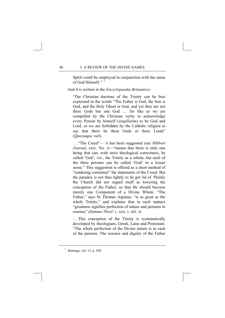Spirit could be employed in conjunction with the name of God Himself. **'** [1](#page-56-0)

And it is written in the *Encyclopaedia Britannica*:

**'**The Christian doctrine of the Trinity can be best expressed in the words "The Father is God, the Son is God, and the Holy Ghost is God, and yet they are not three Gods but one God … for like as we are compelled by the Christian verity to acknowledge every Person by himself (*singillatim*) to be God and Lord, so we are forbidden by the Catholic religion to say that there be three Gods or three Lords" (*Quicunque vult*).

… "The Creed"— it has been suggested (see *Hibbert Journal*, xxiv. No. I)—"means that there is only one being that can, with strict theological correctness, be called 'God', viz., the Trinity as a whole; but each of the three persons can be called 'God' in a looser sense." This suggestion is offered as a short method of "rendering consistent" the statements of the Creed. But the paradox is not thus lightly to be got rid of. Plainly the Church did not regard itself as lowering the conception of the Father, so that He should become merely one Component of a Divine Whole. "The Father," says St. Thomas Aquinas, "is as great as the whole Trinity," and explains that in such matters "greatness signifies perfection of nature and pertains to essence" (*Summa Theol*. i., xxx. I, xlii. 4).

… This conception of the Trinity is systematically developed by theologians, Greek, Latin and Protestant. "The whole perfection of the Divine nature is in each of the persons. The essence and dignity of the Father

<span id="page-56-0"></span><sup>1</sup> Hastings, vol. 12, p. 458.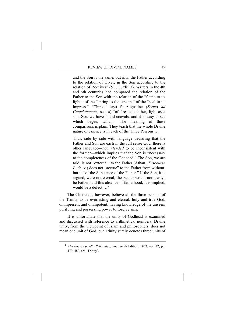and the Son is the same, but is in the Father according to the relation of Giver, in the Son according to the relation of Receiver" (*S.T.* i., xlii. 4). Writers in the 4th and 5th centuries had compared the relation of the Father to the Son with the relation of the "flame to its light," of the "spring to the stream," of the "seal to its impress." "Think," says St. Augustine (*Sermo ad Catechumenos*, sec. 8) "of fire as a father, light as a son. See: we have found coevals: and it is easy to see which begets which." The meaning of these comparisons is plain. They teach that the whole Divine nature or essence is in each of the Three Persons …

Thus, side by side with language declaring that the Father and Son are each in the full sense God, there is other language—not *intended* to be inconsistent with the former—which implies that the Son is "necessary to the completeness of the Godhead." The Son, we are told, is not "external" to the Father (Athan., *Discourse I*., ch. v.) does not "accrue" to the Father from without, but is "of the Substance of the Father." If the Son, it is argued, were not eternal, the Father would not always be Father, and this absence of fatherhood, it is implied, would be a defect  $\cdot$  <sup>[1](#page-57-0)</sup>

 The Christians, however, believe all the three persons of the Trinity to be everlasting and eternal, holy and true God, omnipresent and omnipotent, having knowledge of the unseen, purifying and possessing power to forgive sins.

 It is unfortunate that the unity of Godhead is examined and discussed with reference to arithmetical numbers. Divine unity, from the viewpoint of Islam and philosophers, does not mean one unit of God, but Trinity surely denotes three units of

<span id="page-57-0"></span><sup>&</sup>lt;sup>1</sup> *The Encyclopaedia Britannica*, Fourteenth Edition, 1932, vol. 22, pp. 479–480, art. 'Trinity'.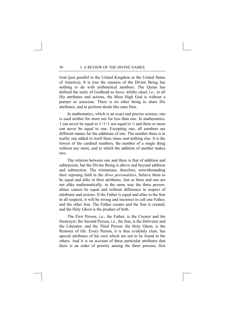God (just parallel to the United Kingdom or the United States of America). It is true the oneness of the Divine Being has nothing to do with arithmetical numbers. The Quran has defined the unity of Godhead as *huwa Allāhu ahad*, i.e., in all His attributes and actions, the Most High God is without a partner or associate. There is no other being to share His attributes, and to perform deeds like unto Him.

 In mathematics, which is an exact and precise science, one is used neither for more nor for less than one. In mathematics, 1 can never be equal to 1+1+1 nor equal to ⅓ and three or more can never be equal to one. Excepting one, all numbers are different names for the additions of one. The number three is in reality one added to itself three times and nothing else. It is the lowest of the cardinal numbers, the number of a single thing without any more, and to which the addition of another makes two.

 The relation between one and three is that of addition and subtraction, but the Divine Being is above and beyond addition and subtraction. The trinitarians, therefore, notwithstanding their reposing faith in the *three personalities*, believe them to be equal and alike in their attributes. Just as three and one are not alike mathematically, in the same way the three personalities cannot be equal and without difference in respect of attributes and actions. If the Father is equal and alike to the Son in all respects, it will be wrong and incorrect to call one Father, and the other Son. The Father creates and the Son is created, and the Holy Ghost is the product of both.

 The First Person, i.e., the Father, is the Creator and the Destroyer; the Second Person, i.e., the Son, is the Deliverer and the Liberator, and the Third Person, the Holy Ghost, is the Restorer of life. Every Person, it is thus evidently clear, has special attributes of his own which are not to be found in the others. And it is on account of these particular attributes that there is an order of priority among the three persons; first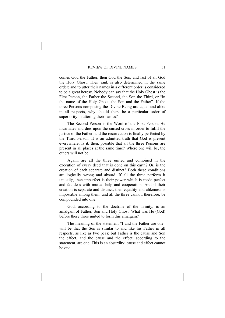comes God the Father, then God the Son, and last of all God the Holy Ghost. Their rank is also determined in the same order; and to utter their names in a different order is considered to be a great heresy. Nobody can say that the Holy Ghost is the First Person, the Father the Second, the Son the Third, or "in the name of the Holy Ghost, the Son and the Father". If the three Persons composing the Divine Being are equal and alike in all respects, why should there be a particular order of superiority in uttering their names?

 The Second Person is the Word of the First Person. He incarnates and dies upon the cursed cross in order to fulfil the justice of the Father; and the resurrection is finally perfected by the Third Person. It is an admitted truth that God is present everywhere. Is it, then, possible that all the three Persons are present in all places at the same time? Where one will be, the others will not be.

 Again, are all the three united and combined in the execution of every deed that is done on this earth? Or, is the creation of each separate and distinct? Both these conditions are logically wrong and absurd. If all the three perform it unitedly, then imperfect is their power which is made perfect and faultless with mutual help and cooperation. And if their creation is separate and distinct, then equality and alikeness is impossible among them; and all the three cannot, therefore, be compounded into one.

 God, according to the doctrine of the Trinity, is an amalgam of Father, Son and Holy Ghost. What was He (God) before these three united to form this amalgam?

 The meaning of the statement "I and the Father are one" will be that the Son is similar to and like his Father in all respects, as like as two peas; but Father is the cause and Son the effect, and the cause and the effect, according to the statement, are one. This is an absurdity; cause and effect cannot be one.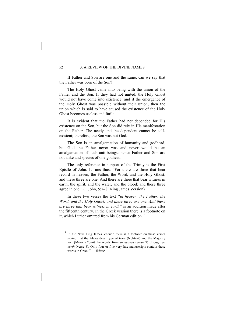If Father and Son are one and the same, can we say that the Father was born of the Son?

 The Holy Ghost came into being with the union of the Father and the Son. If they had not united, the Holy Ghost would not have come into existence, and if the emergence of the Holy Ghost was possible without their union, then the union which is said to have caused the existence of the Holy Ghost becomes useless and futile.

 It is evident that the Father had not depended for His existence on the Son, but the Son did rely in His manifestation on the Father. The needy and the dependent cannot be selfexistent; therefore, the Son was not God.

 The Son is an amalgamation of humanity and godhead, but God the Father never was and never would be an amalgamation of such anti-beings; hence Father and Son are not alike and species of one godhead.

 The only reference in support of the Trinity is the First Epistle of John. It runs thus: "For there are three that bear record in heaven, the Father, the Word, and the Holy Ghost: and these three are one. And there are three that bear witness in earth, the spirit, and the water, and the blood: and these three agree in one." (1 John, 5:7–8; King James Version)

 In these two verses the text *"in heaven, the Father, the Word, and the Holy Ghost: and these three are one. And there are three that bear witness in earth"* is an addition made after the fifteenth century. In the Greek version there is a footnote on it, which Luther omitted from his German edition.<sup>[1](#page-60-0)</sup>

<span id="page-60-0"></span><sup>1</sup> In the New King James Version there is a footnote on these verses saying that the Alexandrian type of texts (NU-text) and the Majority text (M-text) "omit the words from *in heaven* (verse 7) through *on earth* (verse 8). Only four or five very late manuscripts contain these words in Greek." — *Editor.*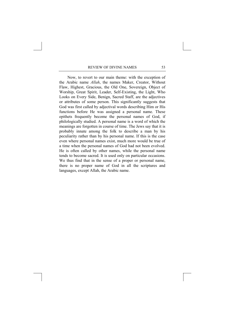Now, to revert to our main theme: with the exception of the Arabic name *Allah*, the names Maker, Creator, Without Flaw, Highest, Gracious, the Old One, Sovereign, Object of Worship, Great Spirit, Leader, Self-Existing, the Light, Who Looks on Every Side, Benign, Sacred Staff, are the adjectives or attributes of some person. This significantly suggests that God was first called by adjectival words describing Him or His functions before He was assigned a personal name. These epithets frequently become the personal names of God, if philologically studied. A personal name is a word of which the meanings are forgotten in course of time. The Jews say that it is probably innate among the folk to describe a man by his peculiarity rather than by his personal name. If this is the case even where personal names exist, much more would be true of a time when the personal names of God had not been evolved. He is often called by other names, while the personal name tends to become sacred. It is used only on particular occasions. We thus find that in the sense of a proper or personal name, there is no proper name of God in all the scriptures and languages, except Allah, the Arabic name.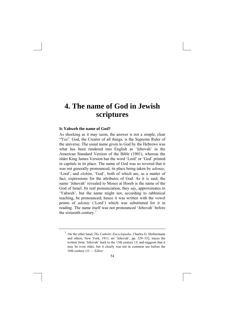## **4. The name of God in Jewish scriptures**

#### **Is Yahweh the name of God?**

As shocking as it may seem, the answer is not a simple, clear "Yes". God, the Creator of all things, is the Supreme Ruler of the universe. The usual name given to God by the Hebrews was what has been rendered into English as 'Jehovah' in the American Standard Version of the Bible (1901), whereas the older King James Version has the word 'Lord' or 'God' printed in capitals in its place. The name of God was so revered that it was not generally pronounced, its place being taken by *adonay*, 'Lord', and *elohim*, 'God', both of which are, as a matter of fact, expressions for the attributes of God. As it is said, the name 'Jehovah' revealed to Moses at Horeb is the name of the God of Israel. Its real pronunciation, they say, approximates to 'Yahweh', but the name might not, according to rabbinical teaching, be pronounced; hence it was written with the vowel points of *adonay* ('Lord') which was substituted for it in reading. The name itself was not pronounced 'Jehovah' before the sixteenth century. $<sup>1</sup>$  $<sup>1</sup>$  $<sup>1</sup>$ </sup>

<span id="page-62-0"></span><sup>&</sup>lt;sup>1</sup> On the other hand, *The Catholic Encyclopedia*, Charles G. Herbermann and others, New York, 1913, art 'Jehovah', pp. 329–332, traces the written form 'Jehovah' back to the 13th century CE and suggests that it may be even older, but it clearly was not in common use before the 16th century CE — *Editor*.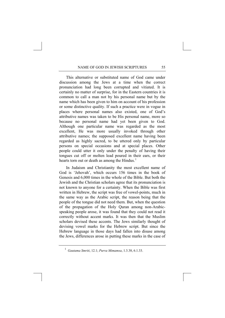This alternative or substituted name of God came under discussion among the Jews at a time when the correct pronunciation had long been corrupted and vitiated. It is certainly no matter of surprise, for in the Eastern countries it is common to call a man not by his personal name but by the name which has been given to him on account of his profession or some distinctive quality. If such a practice were in vogue in places where personal names also existed, one of God's attributive names was taken to be His personal name, more so because no personal name had yet been given to God. Although one particular name was regarded as the most excellent, He was more usually invoked through other attributive names; the supposed excellent name having been regarded as highly sacred, to be uttered only by particular persons on special occasions and at special places. Other people could utter it only under the penalty of having their tongues cut off or molten lead poured in their ears, or their hearts torn out or death as among the Hindus.<sup>[1](#page-63-0)</sup>

In Judaism and Christianity the most excellent name of God is 'Jehovah', which occurs 156 times in the book of Genesis and 6,000 times in the whole of the Bible. But both the Jewish and the Christian scholars agree that its pronunciation is not known to anyone for a certainty. When the Bible was first written in Hebrew, the script was free of vowel-points, much in the same way as the Arabic script, the reason being that the people of the tongue did not need them. But, when the question of the propagation of the Holy Quran among non-Arabicspeaking people arose, it was found that they could not read it correctly without accent marks. It was then that the Muslim scholars devised these accents. The Jews similarly thought of devising vowel marks for the Hebrew script. But since the Hebrew language in those days had fallen into disuse among the Jews, differences arose in putting these marks in the case of

<span id="page-63-0"></span><sup>1</sup> *Gautama Smriti*, 12.1; *Purva Mimamsa*, 1.3.38, 6.1.33.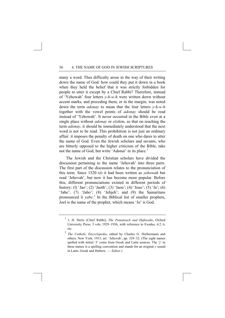many a word. Thus difficulty arose in the way of their writing down the name of God: how could they put it down in a book when they held the belief that it was strictly forbidden for people to utter it except by a Chief Rabbi? Therefore, instead of 'Yehowah' four letters *y-h-w-h* were written down without accent marks, and preceding them, or in the margin, was noted down the term *adonay* to mean that the four letters *y-h-w-h* together with the vowel points of *adonay* should be read instead of 'Yehowah'. It never occurred in the Bible even at a single place without *adonay* or *elohim*, so that on reaching the term *adonay*, it should be immediately understood that the next word is not to be read. This prohibition is not just an ordinary affair: it imposes the penalty of death on one who dares to utter the name of God. Even the Jewish scholars and savants, who are bitterly opposed to the higher criticism of the Bible, take not the name of God, but write 'Adonai' in its place.<sup>[1](#page-64-0)</sup>

The Jewish and the Christian scholars have divided the discussion pertaining to the name 'Jehovah' into three parts. The first part of the discussion relates to the pronunciation of this term. Since 1520 AD it had been written as *yehowah* but read 'Jehovah', but now it has become more popular. Before this, different pronunciations existed in different periods of history: (1) 'Jao'; (2) 'Jaoth'; (3) 'Jaou'; (4) 'Jeuo'; (5) 'Ja'; (6) 'Jabe'; (7) 'Jaho'; (8) 'Jehjeh'; and (9) the Samaritans pronounced it *yabe*. [2](#page-64-1) In the Biblical list of smaller prophets, Joel is the name of the prophet, which means 'Jo' is God.

<span id="page-64-0"></span><sup>1</sup> J. H. Hertz (Chief Rabbi), *The Pentateuch and Haftorahs*, Oxford University Press, 5 vols, 1929–1936, with reference to Exodus, 6:2, 6, etc.

<span id="page-64-1"></span><sup>2</sup>  *The Catholic Encyclopedia*, edited by Charles G. Herbermann and others, New York, 1913, art. 'Jehovah', pp. 329–32. (The eight names spelled with initial 'J' come from Greek and Latin sources. The 'j' in these names is a spelling convention and stands for an original *y* sound in Latin, Greek and Hebrew. — *Editor*.)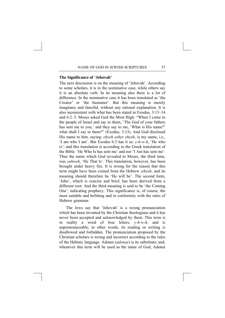#### **The Significance of 'Jehovah'**

The next discussion is on the meaning of 'Jehovah'. According to some scholars, it is in the nominative case, while others say it is an absolute verb. In its meaning also there is a lot of difference. In the nominative case it has been translated as 'the Creator' or 'the Sustainer'. But this meaning is merely imaginary and fanciful, without any rational explanation. It is also inconsistent with what has been stated in Exodus, 3:13–14 and 6:2–3. Moses asked God the Most High: "When I come to the people of Israel and say to them, 'The God of your fathers has sent me to you,' and they say to me, 'What is His name?' what shall I say to them?" (Exodus, 3:13). And God disclosed His name to him, saying: *ehyeh asher ehyeh*, is my name, i.e., 'I am who I am'. But Exodus 6:3 has it as: *y-h-w-h*, 'He who is'; and this translation is according to the Greek translation of the Bible: 'He Who Is has sent me' and not 'I Am has sent me'. Thus the name which God revealed to Moses, the third time, was *yahweh*, 'He That Is'. This translation, however, has been brought under heavy fire. It is wrong for the reason that this term might have been coined from the Hebrew *yihyeh*, and its meaning should therefore be 'He will be'. The second form, 'Jehu', which is concise and brief, has been derived from a different root. And the third meaning is said to be 'the Coming One', indicating prophecy. This significance is, of course, the most suitable and befitting and in conformity with the rules of Hebrew grammar.

The Jews say that 'Jehovah' is a wrong pronunciation which has been invented by the Christian theologians and it has never been accepted and acknowledged by them. This term is in reality a word of four letters, *y-h-w-h*, and is unpronounceable; in other words, its reading or writing is disallowed and forbidden. The pronunciation proposed by the Christian scholars is wrong and incorrect according to the rules of the Hebraic language. Adonai (*adonay*) is its substitute; and, whenever this term will be used as the name of God, Adonai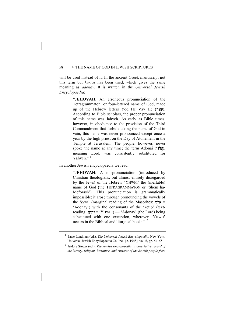will be used instead of it. In the ancient Greek manuscript not this term but *kurios* has been used, which gives the same meaning as *adonay*. It is written in the *Universal Jewish Encyclopaedia*:

> "**JEHOVAH,** An erroneous pronunciation of the Tetragrammaton, or four-lettered name of God, made up of the Hebrew letters Yod He Vav He (יהוה). According to Bible scholars, the proper pronunciation of this name was Jahveh. As early as Bible times, however, in obedience to the provision of the Third Commandment that forbids taking the name of God in vain, this name was never pronounced except once a year by the high priest on the Day of Atonement in the Temple at Jerusalem. The people, however, never spoke the name at any time; the term Adonai (אֲדֹנָי), meaning Lord, was consistently substituted for Yahveh  $"$   $^1$  $^1$

In another Jewish encyclopaedia we read:

"**JEHOVAH:** A mispronunciation (introduced by Christian theologians, but almost entirely disregarded by the Jews) of the Hebrew 'YHWH,' the (ineffable) name of God (the TETRAGRAMMATON or 'Shem ha-Meforash'). This pronunciation is grammatically impossible; it arose through pronouncing the vowels of the 'kere' (marginal reading of the Masorites:  $\frac{1}{2}$  are 'Adonay') with the consonants of the 'ketib' (textreading: = 'YHWH') — 'Adonay' (the Lord) being substituted with one exception, wherever 'YHWH' occurs in the Biblical and liturgical books." [2](#page-66-1)

<span id="page-66-0"></span><sup>1</sup> Isaac Landman (ed.), *The Universal Jewish Encyclopaedia*, New York, Universal Jewish Encyclopaedia Co. Inc., [c. 1948], vol. 6, pp. 54–55.

<span id="page-66-1"></span><sup>2</sup> Isidore Singer (ed.), *The Jewish Encyclopedia: a descriptive record of the history, religion, literature, and customs of the Jewish people from*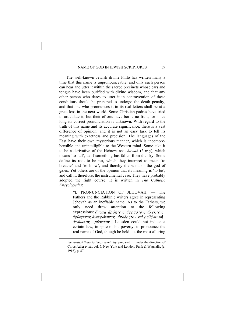The well-known Jewish divine Philo has written many a time that this name is unpronounceable, and only such person can hear and utter it within the sacred precincts whose ears and tongue have been purified with divine wisdom, and that any other person who dares to utter it in contravention of these conditions should be prepared to undergo the death penalty, and that one who pronounces it in its real letters shall be at a great loss in the next world. Some Christian padres have tried to articulate it; but their efforts have borne no fruit, for since long its correct pronunciation is unknown. With regard to the truth of this name and its accurate significance, there is a vast difference of opinion, and it is not an easy task to tell its meaning with exactness and precision. The languages of the East have their own mysterious manner, which is incomprehensible and unintelligible to the Western mind. Some take it to be a derivative of the Hebrew root *hawah* (*h-w-y*), which means 'to fall', as if something has fallen from the sky. Some define its root to be *wa*, which they interpret to mean 'to breathe' and 'to blow', and thereby the wind or the god of gales. Yet others are of the opinion that its meaning is 'to be', and call it, therefore, the instrumental case. They have probably adopted the right course. It is written in *The Catholic Encyclopedia*:

> "I. PRONUNCIATION OF JEHOVAH. — The Fathers and the Rabbinic writers agree in representing Jehovah as an ineffable name. As to the Fathers, we only need draw attention to the following expressions:  $\delta$ voµa  $\delta \rho \delta \eta \tau$ ov,  $\delta \rho \rho$ aστov,  $\delta \lambda \epsilon \kappa \tau$ ov, άφθεγκτον, άνεκφώνητον, άπόρρητον καὶ ρηθῆναι μὴ δυνάμενον, μύστικον. Leusden could not induce a certain Jew, in spite of his poverty, to pronounce the real name of God, though he held out the most alluring

-

*the earliest times to the present day*, prepared … under the direction of Cyrus Adler *et al.*, vol. 7, New York and London, Funk & Wagnalls, [c. 1916], p. 87.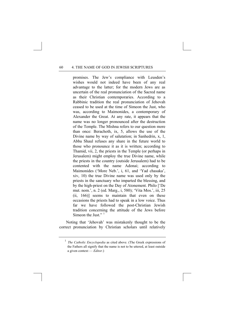promises. The Jew's compliance with Leusden's wishes would not indeed have been of any real advantage to the latter; for the modern Jews are as uncertain of the real pronunciation of the Sacred name as their Christian contemporaries. According to a Rabbinic tradition the real pronunciation of Jehovah ceased to be used at the time of Simeon the Just, who was, according to Maimonides, a contemporary of Alexander the Great. At any rate, it appears that the name was no longer pronounced after the destruction of the Temple. The Mishna refers to our question more than once: Berachoth, ix, 5, allows the use of the Divine name by way of salutation; in Sanhedrin, x, 1, Abba Shaul refuses any share in the future world to those who pronounce it as it is written; according to Thamid, vii, 2, the priests in the Temple (or perhaps in Jerusalem) might employ the true Divine name, while the priests in the country (outside Jerusalem) had to be contented with the name Adonai; according to Maimonides ('More Neb.', i, 61, and 'Yad chasaka', xiv, 10) the true Divine name was used only by the priests in the sanctuary who imparted the blessing, and by the high-priest on the Day of Atonement. Philo ['De mut. nom.', n. 2 (ed. Marg., i, 580); 'Vita Mos.', iii, 25 (ii, 166)] seems to maintain that even on these occasions the priests had to speak in a low voice. Thus far we have followed the post-Christian Jewish tradition concerning the attitude of the Jews before Simeon the Just."<sup>[1](#page-68-0)</sup>

<span id="page-68-0"></span>Noting that 'Jehovah' was mistakenly thought to be the correct pronunciation by Christian scholars until relatively

<sup>&</sup>lt;sup>1</sup> *The Catholic Encyclopedia* as cited above. (The Greek expressions of the Fathers all signify that the name is not to be uttered, at least outside a given context — *Editor*.)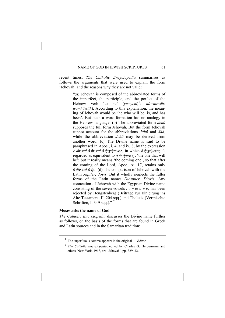recent times, *The Catholic Encyclopedia* summarises as follows the arguments that were used to explain the form 'Jehovah' and the reasons why they are not valid:

> "(a) Jehovah is composed of the abbreviated forms of the imperfect, the participle, and the perfect of the Hebrew verb 'to be' (*ye=yehî*, [1](#page-69-0) *; hô=howêh; wa=hāwâh*). According to this explanation, the meaning of Jehovah would be 'he who will be, is, and has been'. But such a word-formation has no analogy in the Hebrew language. (b) The abbreviated form *Jehô* supposes the full form Jehovah. But the form Jehovah cannot account for the abbreviations *Jāhû* and *Jāh*, while the abbreviation *Jehô* may be derived from another word. (c) The Divine name is said to be paraphrased in Apoc., i, 4, and iv, 8, by the expression  $\vec{a}$  *'o'*  $\vec{a}$  *o'*  $\vec{b}$  *i*)  $\vec{b}$  *is*  $\vec{b}$  *i*)  $\vec{c}$  *j*)  $\vec{c}$  *is is*  $\vec{b}$  *is is is is is ignified*  $\vec{a}$  *is*  $\vec{b}$ regarded as equivalent to  $\acute{o}$   $\acute{e}$   $\sigma \acute{o} \mu \acute{e} \nu \circ \varsigma$ , 'the one that will be'; but it really means 'the coming one', so that after the coming of the Lord, Apoc., xi, 17, retains only  $\dot{\phi}$   $\partial \dot{\phi}$  *kai*  $\dot{\phi}$   $\hat{\eta}$ *y*. (d) The comparison of Jehovah with the Latin *Jupiter, Jovis*. But it wholly neglects the fuller forms of the Latin names *Diespiter, Diovis*. Any connection of Jehovah with the Egyptian Divine name consisting of the seven vowels *ι ε η ω ο υ α*, has been rejected by Hengstenberg (Beiträge zur Einleitung ins Alte Testament, II, 204 sqq.) and Tholuck (Vermischte Schriften, I, 349 sqq.)."<sup>[2](#page-69-1)</sup>

#### **Moses asks the name of God**

<span id="page-69-0"></span>*The Catholic Encyclopedia* discusses the Divine name further as follows, on the basis of the forms that are found in Greek and Latin sources and in the Samaritan tradition:

<sup>1</sup> The superfluous comma appears in the original — *Editor*.

<span id="page-69-1"></span><sup>2</sup> *The Catholic Encyclopedia*, edited by Charles G. Herbermann and others, New York, 1913, art. 'Jehovah', pp. 329–32.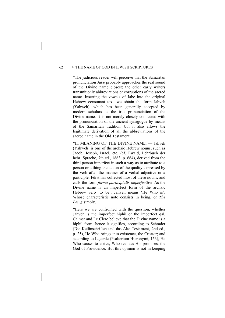"The judicious reader will perceive that the Samaritan pronunciation *Jabe* probably approaches the real sound of the Divine name closest; the other early writers transmit only abbreviations or corruptions of the sacred name. Inserting the vowels of Jabe into the original Hebrew consonant text, we obtain the form Jahveh (Yahweh), which has been generally accepted by modern scholars as the true pronunciation of the Divine name. It is not merely closely connected with the pronunciation of the ancient synagogue by means of the Samaritan tradition, but it also allows the legitimate derivation of all the abbreviations of the sacred name in the Old Testament.

**"**II. MEANING OF THE DIVINE NAME. — Jahveh (Yahweh) is one of the archaic Hebrew nouns, such as Jacob, Joseph, Israel, etc. (cf. Ewald, Lehrbuch der hebr. Sprache, 7th ed., 1863, p. 664), derived from the third person imperfect in such a way as to attribute to a person or a thing the action of the quality expressed by the verb after the manner of a verbal adjective or a participle. Fürst has collected most of these nouns, and calls the form *forma participialis imperfectiva.* As the Divine name is an imperfect form of the archaic Hebrew verb 'to be', Jahveh means 'He Who is', Whose characteristic note consists in being, or *The Being* simply.

"Here we are confronted with the question, whether Jahveh is the imperfect hiphil or the imperfect qal*.* Calmet and Le Clerc believe that the Divine name is a hiphil form; hence it signifies, according to Schrader (Die Keilinschriften und das Alte Testament, 2nd ed., p. 25), He Who brings into existence, the Creator; and according to Lagarde (Psalterium Hieronymi, 153), He Who causes to arrive, Who realizes His promises, the God of Providence. But this opinion is not in keeping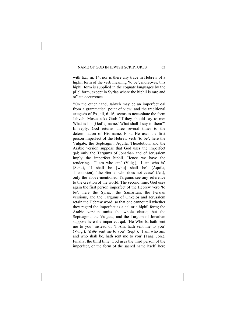with Ex., iii, 14, nor is there any trace in Hebrew of a hiphil form of the verb meaning 'to be': moreover, this hiphil form is supplied in the cognate languages by the pi'el form, except in Syriac where the hiphil is rare and of late occurrence.

"On the other hand, Jahveh may be an imperfect qal from a grammatical point of view, and the traditional exegesis of Ex., iii, 6–16, seems to necessitate the form Jahveh. Moses asks God: 'If they should say to me: What is his [God's] name? What shall I say to them?' In reply, God returns three several times to the determination of His name. First, He uses the first person imperfect of the Hebrew verb 'to be'; here the Vulgate, the Septuagint, Aquila, Theodotion, and the Arabic version suppose that God uses the imperfect qal; only the Targums of Jonathan and of Jerusalem imply the imperfect hiphil. Hence we have the renderings: 'I am who am' (Vulg.), 'I am who is' (Sept.), 'I shall be [who] shall be' (Aquila, Theodotion), 'the Eternal who does not cease' (Ar.); only the above-mentioned Targums see any reference to the creation of the world. The second time, God uses again the first person imperfect of the Hebrew verb 'to be'; here the Syriac, the Samaritan, the Persian versions, and the Targums of Onkelos and Jerusalem retain the Hebrew word, so that one cannot tell whether they regard the imperfect as a qal or a hiphil form; the Arabic version omits the whole clause; but the Septuagint, the Vulgate, and the Targum of Jonathan suppose here the imperfect qal: 'He Who Is, hath sent me to you' instead of 'I Am, hath sent me to you' (Vulg.); ' $\acute{o}$   $\ddot{\omega}$  v sent me to you' (Sept.); 'I am who am, and who shall be, hath sent me to you' (Targ. Jon.). Finally, the third time, God uses the third person of the imperfect, or the form of the sacred name itself; here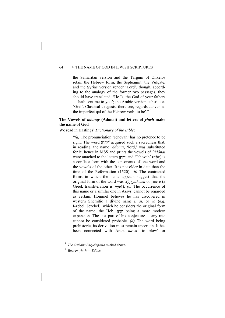the Samaritan version and the Targum of Onkelos retain the Hebrew form; the Septuagint, the Vulgate, and the Syriac version render 'Lord', though, according to the analogy of the former two passages, they should have translated, 'He Is, the God of your fathers … hath sent me to you'; the Arabic version substitutes 'God'. Classical exegesis, therefore, regards Jahveh as the imperfect qal of the Hebrew verb 'to be'."  $1$ 

### **The Vowels of** *adonay* **(Adonai) and letters of** *yhwh* **make the name of God**

We read in Hastings' *Dictionary of the Bible*:

"*(a)* The pronunciation 'Jehovah' has no pretence to be right. The word  $\pi r^2$  $\pi r^2$  acquired such a sacredness that, in reading, the name *'ǎdônāi*, 'lord,' was substituted for it; hence in MSS and prints the vowels of *'ǎdônāi* were attached to the letters יהוה, and 'Jehovah' (יְהוֹה) is a conflate form with the consonants of one word and the vowels of the other. It is not older in date than the time of the Reformation (1520). *(b)* The contracted forms in which the name appears suggest that the original form of the word was *yahweh* or *yahve* (a Greek transliteration is  $i\alpha\beta\epsilon$ ). *(c)* The occurrence of this name or a similar one in Assyr. cannot be regarded as certain. Hommel believes he has discovered in western Shemitic a divine name *i*, *ai*, or *ya* (*e.g.* I-zebel, Jezebel), which he considers the original form of the name, the Heb. being a more modern expansion. The last part of his conjecture at any rate cannot be considered probable. *(d)* The word being prehistoric, its derivation must remain uncertain. It has been connected with Arab. *hawa* 'to blow' or

<span id="page-72-1"></span><span id="page-72-0"></span><sup>&</sup>lt;sup>1</sup> *The Catholic Encyclopedia* as cited above.

 $^2$  Hebrew *yhwh* — *Editor*.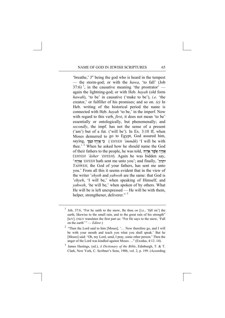'breathe,' J″ being the god who is heard in the tempest — the storm-god; or with the *hawa*, 'to fall' (Job 37:6)<sup> $1$ </sup>, in the causative meaning 'the prostrator' again the lightning-god; or with Heb. *hayah* (old form *hawah*), 'to be' in causative ('make to be'), *i.e.* 'the creator,' or fulfiller of his promises; and so on. *(e)* In Heb. writing of the historical period the name is connected with Heb. *hayah* 'to be,' in the imperf. Now with regard to this verb, *first*, it does not mean 'to be' essentially or ontologically, but phenomenally; and *secondly*, the impf. has not the sense of a present  $('am')$  but of a fut.  $('will be')$ . In Ex. 3:10 ff, when Moses demurred to go to Egypt, God assured him, saying, (*'EHYEH 'immāk*) 'I will be with thee.<sup>[2](#page-73-1)</sup> When he asked how he should name the God of their fathers to the people, he was told, (*'EHYEH 'ăsher 'EHYEH*). Again he was bidden say, ' *'EHYEH* hath sent me unto you'; and finally, ' *YAHWEH*, the God of your fathers, has sent me unto you.' From all this it seems evident that in the view of the writer '*ehyeh* and *yahweh* are the same: that God is '*ehyeh*, 'I will be,' when speaking of Himself, and *yahweh*, 'he will be,' when spoken of by others. What He will be is left unexpressed — He will be with them, helper, strengthener, deliverer."<sup>[3](#page-73-2)</sup>

<span id="page-73-0"></span><sup>&</sup>lt;sup>1</sup> Job, 37:6, "For he saith to the snow, Be thou *on* [i.e., 'fall on'] the earth, likewise to the small rain, and to the great rain of his strength" [KJV]. (NKJV translates the first part as: "For He says to the snow, 'Fall on the earth' " — *Editor*.)

<span id="page-73-1"></span><sup>&</sup>lt;sup>2</sup> "Then the Lord said to him [Moses], '... Now therefore go, and I will be with your mouth and teach you what you shall speak.' But he [Moses] said: 'Oh, my Lord, send, I pray, some other person.' Then the anger of the Lord was kindled against Moses …" (Exodus, 4:12–14).

<span id="page-73-2"></span><sup>3</sup> James Hastings, (ed.), *A Dictionary of the Bible*, Edinburgh, T. & T. Clark, New York, C. Scribner's Sons, 1906, vol. 2, p. 199. (According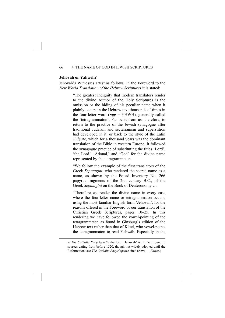#### **Jehovah or Yahweh?**

<u>.</u>

Jehovah's Witnesses attest as follows. In the Foreword to the *New World Translation of the Hebrew Scriptures* it is stated:

> "The greatest indignity that modern translators render to the divine Author of the Holy Scriptures is the omission or the hiding of his peculiar name when it plainly occurs in the Hebrew text thousands of times in the four-letter word ( $\tau$ יהוה = YHWH), generally called the 'tetragrammaton'. Far be it from us, therefore, to return to the practice of the Jewish synagogue after traditional Judaism and sectarianism and superstition had developed in it, or back to the style of the Latin *Vulgate*, which for a thousand years was the dominant translation of the Bible in western Europe. It followed the synagogue practice of substituting the titles 'Lord', 'the Lord,' 'Adonai,' and 'God' for the divine name represented by the tetragrammaton.

> "We follow the example of the first translators of the Greek *Septuagint*, who rendered the sacred name as a name, as shown by the Fouad Inventory No. 266 papyrus fragments of the 2nd century B.C., of the Greek *Septuagint* on the Book of Deuteronomy …

> "Therefore we render the divine name in every case where the four-letter name or tetragrammaton occurs, using the most familiar English form 'Jehovah', for the reasons offered in the Foreword of our translation of the Christian Greek Scriptures, pages 10–25. In this rendering we have followed the vowel-pointing of the tetragrammaton as found in Ginsburg's edition of the Hebrew text rather than that of Kittel, who vowel-points the tetragrammaton to read Yehwáh. Especially in the

to *The Catholic Encyclopedia* the form 'Jehovah' is, in fact, found in sources dating from before 1520, though not widely adopted until the Reformation: see *The Catholic Encyclopedia* cited above — *Editor*.)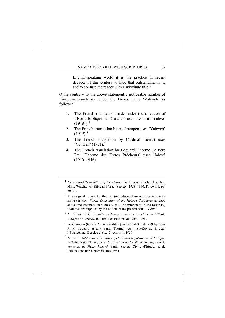English-speaking world it is the practice in recent decades of this century to hide that outstanding name and to confuse the reader with a substitute title." <sup>[1](#page-75-0)</sup>

Quite contrary to the above statement a noticeable number of European translators render the Divine name 'Yahweh' as  $follows<sup>2</sup>$  $follows<sup>2</sup>$  $follows<sup>2</sup>$ 

- 1. The French translation made under the direction of l'Ecole Biblique de Jérusalem uses the form 'Yahvé'  $(1948-)^3$  $(1948-)^3$
- 2. The French translation by A. Crampon uses 'Yahweh'  $(1939).<sup>4</sup>$  $(1939).<sup>4</sup>$  $(1939).<sup>4</sup>$
- 3. The French translation by Cardinal Liénart uses 'Yahweh'  $(1951)$  $(1951)$  $(1951)$ .<sup>5</sup>
- 4. The French translation by Edouard Dhorme (le Père Paul Dhorme des Frères Prêcheurs) uses 'Iahve'  $(1910-1946)^1$  $(1910-1946)^1$  $(1910-1946)^1$

- <span id="page-75-2"></span><sup>3</sup> *La Sainte Bible: traduite en français sous la direction de L'Ecole Biblique de Jérusalem*, Paris, Les Editions du Cerf , 1955.
- <span id="page-75-3"></span>4 A. Crampon (trans.), *La Sainte Bible* (revised 1923 and 1939 by Jules P. N. Touzard et al.), Paris, Tournai [etc.], Société de S. Jean l'Evangéliste, Desclée et cie, 2 vols. in 1, 1939.

<span id="page-75-5"></span><span id="page-75-0"></span><sup>1</sup>  *New World Translation of the Hebrew Scriptures*, 5 vols, Brooklyn, N.Y., Watchtower Bible and Tract Society, 1953–1960, Foreword, pp.  $20 - 21$ 

<span id="page-75-1"></span> $2$  The original source for this list (reproduced here with some amendments) is *New World Translation of the Hebrew Scriptures* as cited above and Footnote on Genesis, 2:4. The references in the following footnotes are supplied by the Editors of the present text — *Editor*.

<span id="page-75-4"></span><sup>5</sup> *La Sainte Bible: nouvelle édition publié sous le patronage de la Ligue catholique de l'Evangile, et la direction de Cardinal Liénart, avec le concours de Henri Renard*, Paris, Société Civile d'Etudes et de Publications non Commerciales, 1951.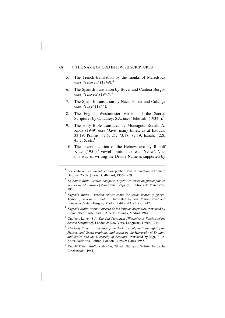- 5. The French translation by the monks of Maredsous uses 'Yahweh'  $(1949)$ <sup>[2](#page-76-0)</sup>
- 6. The Spanish translation by Bover and Cantera Burgos uses 'Yahveh'  $(1947)$ .<sup>[3](#page-76-1)</sup>
- 7. The Spanish translation by Nácar Fuster and Colunga uses 'Yave'  $(1944)$  $(1944)$  $(1944)$ <sup>4</sup>
- 8. The English Westminster Version of the Sacred Scriptures by C. Lattey, S.J., uses 'Jehovah'  $(1934-).$ <sup>[5](#page-76-3)</sup>
- 9. The Holy Bible translated by Monsignor Ronald A. Knox (1949) uses 'Javé' many times, as at Exodus, 33:19; Psalms, 67:5, 21; 73:18; 82:19; Isaiah, 42:8; 45:5, [6](#page-76-4); etc.<sup>6</sup>
- 10. The seventh edition of the Hebrew text by Rudolf Kittel  $(1951)$ <sup>[7](#page-76-5)</sup> vowel-points it to read 'Yehwáh', as this way of writing the Divine Name is supported by

- <sup>2</sup> *La Sainte Bible: version complète d'après les textes originaux par les moines de Maredsous* [Maredsous, Belgium], Editions de Maredsous, 1950.
- <span id="page-76-1"></span><sup>3</sup> *Sagrada Biblia: versión crítica sobre los textos hebreo y griego,*  Tomo 1, *Génesis a sabiduría*, translated by José María Bover and Francisco Cantera Burgos, Madrid, Editorial Católica, 1947.
- <span id="page-76-2"></span><sup>4</sup> *Sagrada Biblia*: *versión directa de las lenguas originales*, translated by Eloíno Nácar Fuster and P. Alberto Colunga, Madrid, 1944.
- <span id="page-76-3"></span>5 Cuthbert Lattey, S.J., *The Old Testament [Westminster Version of the Sacred Scriptures]*, London & New York, Longmans, Green, 1934.
- <span id="page-76-4"></span><sup>6</sup> *The Holy Bible: a translation from the Latin Vulgate in the light of the Hebrew and Greek originals, authorized by the Hierarchy of England and Wales and the Hierarchy of Scotland*, translated by Mgr. R. A. Knox, Definitive Edition, London, Burns & Oates, 1955.
- <span id="page-76-5"></span>7 Rudolf Kittel, *Biblia Hebraica*, 7th ed., Stuttgart, Württembergische Bibelanstalt, [1951].

<span id="page-76-0"></span> $\frac{1}{1}$  See *L'Ancien Testament:* édition publiée sous la direction d'Edouard Dhorme, 2 vols, [Paris], Gallimard, 1956–1959.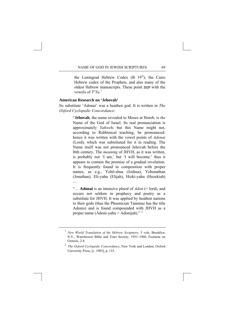the Leningrad Hebrew Codex  $(B \ 19<sup>A</sup>)$ , the Cairo Hebrew codex of the Prophets, and also many of the oldest Hebrew manuscripts. These point יהוה with the vowels of  $Y^eYa$ .<sup>[1](#page-77-0)</sup>

### **American Research on 'Jehovah'**

Its substitute 'Adonai' was a heathen god. It is written in *The Oxford Cyclopedic Concordance*:

> "**Jehovah**, the name revealed to Moses at Horeb, is *the* Name of the God of Israel. Its real pronunciation is approximately *Yahweh*, but this Name might not, according to Rabbinical teaching, be pronounced: hence it was written with the vowel points of *Adonai* (Lord), which was substituted for it in reading. The Name itself was not pronounced Jehovah before the l6th century. The *meaning* of JHVH, as it was written, is probably not 'I am,' but 'I will become;' thus it appears to contain the promise of a gradual revelation. It is frequently found in composition with proper names, as e.g., Yehô-shua (Joshua), Yehonathan (Jonathan), Eli-yahu (Elijah), Hizki-yahu (Hezekiah) …

> "… **Adonai** is an intensive plural of *Adon* (= lord), and occurs not seldom in prophecy and poetry as a substitute for JHVH. It was applied by heathen nations to their gods (thus the Phoenician Tammuz has the title Adonis) and is found compounded with JHVH as a proper name (Adoni-yahu = Adonijah)."  $2$

<span id="page-77-0"></span><sup>1</sup> *New World Translation of the Hebrew Scriptures*, 5 vols, Brooklyn, N.Y., Watchtower Bible and Tract Society, 1953–1960, Footnote on Genesis, 2:4.

<span id="page-77-1"></span><sup>2</sup> *The Oxford Cyclopedic Concordance*, New York and London, Oxford University Press, [c. 1903], p. 133.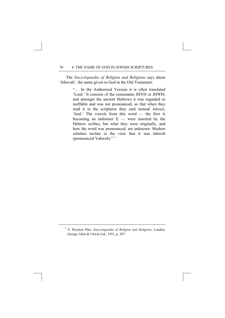The *Encyclopaedia of Religion and Religions* says about 'Jehovah', the name given to God in the Old Testament:

> "… In the Authorised Version it is often translated 'Lord.' It consists of the consonants JHVH or JHWH; and amongst the ancient Hebrews it was regarded as ineffable and was not pronounced, so that when they read it in the scriptures they said instead *Adonai*, 'lord.' The vowels from this word — the first A becoming an indistinct  $E -$  were inserted by the Hebrew scribes, but what they were originally, and how the word was pronounced, are unknown. Modern scholars incline to the view that it was Jahweh (pronounced Yahweh)." [1](#page-78-0)

<span id="page-78-0"></span><sup>1</sup> E. Royston Pike, *Encyclopaedia of Religion and Religions*, London, George Allen & Unwin Ltd., 1951, p. 207.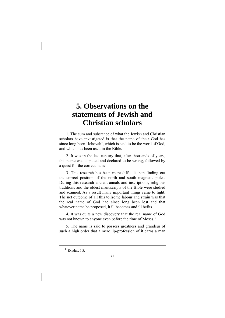# **5. Observations on the statements of Jewish and Christian scholars**

1. The sum and substance of what the Jewish and Christian scholars have investigated is that the name of their God has since long been 'Jehovah', which is said to be the word of God, and which has been used in the Bible.

2. It was in the last century that, after thousands of years, this name was disputed and declared to be wrong, followed by a quest for the correct name.

3. This research has been more difficult than finding out the correct position of the north and south magnetic poles. During this research ancient annals and inscriptions, religious traditions and the oldest manuscripts of the Bible were studied and scanned. As a result many important things came to light. The net outcome of all this toilsome labour and strain was that the real name of God had since long been lost and that whatever name be proposed, it ill becomes and ill befits.

4. It was quite a new discovery that the real name of God was not known to anyone even before the time of Moses.<sup>[1](#page-79-0)</sup>

<span id="page-79-0"></span>5. The name is said to possess greatness and grandeur of such a high order that a mere lip-profession of it earns a man

 $<sup>1</sup>$  Exodus, 6:3.</sup>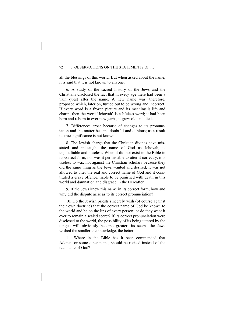all the blessings of this world. But when asked about the name, it is said that it is not known to anyone.

6. A study of the sacred history of the Jews and the Christians disclosed the fact that in every age there had been a vain quest after the name. A new name was, therefore, proposed which, later on, turned out to be wrong and incorrect. If every word is a frozen picture and its meaning is life and charm, then the word 'Jehovah' is a lifeless word; it had been born and reborn in ever new garbs, it grew old and died.

7. Differences arose because of changes to its pronunciation and the matter became doubtful and dubious; as a result its true significance is not known.

8. The Jewish charge that the Christian divines have misstated and mistaught the name of God as Jehovah, is unjustifiable and baseless. When it did not exist in the Bible in its correct form, nor was it permissible to utter it correctly, it is useless to wax hot against the Christian scholars because they did the same thing as the Jews wanted and desired; it was not allowed to utter the real and correct name of God and it constituted a grave offence, liable to be punished with death in this world and damnation and disgrace in the Hereafter.

9. If the Jews knew this name in its correct form, how and why did the dispute arise as to its correct pronunciation?

10. Do the Jewish priests sincerely wish (of course against their own doctrine) that the correct name of God be known to the world and be on the lips of every person; or do they want it ever to remain a sealed secret? If its correct pronunciation were disclosed to the world, the possibility of its being uttered by the tongue will obviously become greater; its seems the Jews wished the smaller the knowledge, the better.

11. Where in the Bible has it been commanded that Adonai, or some other name, should be recited instead of the real name of God?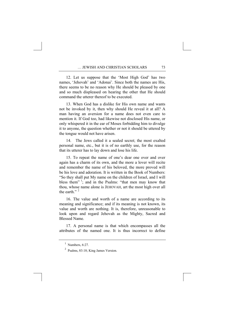12. Let us suppose that the 'Most High God' has two names, 'Jehovah' and 'Adonai'. Since both the names are His there seems to be no reason why He should be pleased by one and so much displeased on hearing the other that He should command the utterer thereof to be executed.

13. When God has a dislike for His own name and wants not be invoked by it, then why should He reveal it at all? A man having an aversion for a name does not even care to mention it. If God too, had likewise not disclosed His name, or only whispered it in the ear of Moses forbidding him to divulge it to anyone, the question whether or not it should be uttered by the tongue would not have arisen.

14. The Jews called it a sealed secret; the most exalted personal name, etc., but it is of no earthly use, for the reason that its utterer has to lay down and lose his life.

15. To repeat the name of one's dear one over and over again has a charm of its own, and the more a lover will recite and remember the name of his beloved, the more proved will be his love and adoration. It is written in the Book of Numbers: "So they shall put My name on the children of Israel, and I will bless them" $\frac{1}{2}$  $\frac{1}{2}$  $\frac{1}{2}$ ; and in the Psalms: "that men may know that thou, whose name alone is JEHOVAH, art the most high over all the earth."<sup>[2](#page-81-1)</sup>

16. The value and worth of a name are according to its meaning and significance; and if its meaning is not known, its value and worth are nothing. It is, therefore, unreasonable to look upon and regard Jehovah as the Mighty, Sacred and Blessed Name.

<span id="page-81-1"></span><span id="page-81-0"></span>17. A personal name is that which encompasses all the attributes of the named one. It is thus incorrect to define

 $<sup>1</sup>$  Numbers, 6:27.</sup>

<sup>2</sup> Psalms, 83:18; King James Version.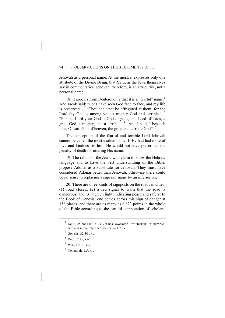Jehovah as a personal name. At the most, it expresses only one attribute of the Divine Being, that *He is*, as the Jews themselves say in commentaries. Jehovah, therefore, is an attributive, not a personal name.

[1](#page-82-0)8. It appears from Deuteronomy that it is a "fearful" name.<sup>1</sup> And Jacob said: "For I have seen God face to face, and my life is preserved";  $2 \text{ "Though not be affrighted at them: for the}$  $2 \text{ "Though not be affrighted at them: for the}$ Lord thy God is among you, a mighty God and terrible.";  $3$ "For the Lord your God is God of gods, and Lord of lords, a great God, a mighty, and a terrible"; <sup>[4](#page-82-3)</sup> "And I said, I beseech thee, O Lord God of heaven, the great and terrible God".<sup>[5](#page-82-4)</sup>

The conception of the fearful and terrible Lord Jehovah cannot be called the most exalted name. If He had had more of love and kindness in him, He would not have prescribed the penalty of death for uttering His name.

19. The rabbis of the Jews, who claim to know the Hebrew language and to have the best understanding of the Bible, propose Adonai as a substitute for Jehovah. They must have considered Adonai better than Jehovah; otherwise there could be no sense in replacing a superior name by an inferior one.

20. There are three kinds of signposts on the roads in cities: (1) road closed; (2) a red signal to warn that the road is dangerous, and (3) a green light, indicating peace and safety. In the Book of Genesis, one comes across this sign of danger at 156 places, and there are as many as 6,823 points in the whole of the Bible according to the careful computation of scholars.

- <span id="page-82-2"></span> $3$  Deut., 7:21; KJV.
- <span id="page-82-4"></span><span id="page-82-3"></span><sup>4</sup> *Ibid.*, 10:17; KJV.
- $<sup>5</sup>$  Nehemiah, 1:5; KJV.</sup>

<span id="page-82-0"></span><sup>&</sup>lt;sup>1</sup> Deut., 28:58; KJV. In NKJV it has "awesome" for "fearful" or "terrible" here and in the references below — *Editor.* 

<span id="page-82-1"></span> $<sup>2</sup>$  Genesis, 32:30; KVJ.</sup>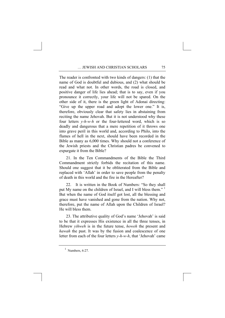The reader is confronted with two kinds of dangers: (1) that the name of God is doubtful and dubious, and (2) what should be read and what not. In other words, the road is closed, and positive danger of life lies ahead; that is to say, even if you pronounce it correctly, your life will not be spared. On the other side of it, there is the green light of Adonai directing: "Give up the upper road and adopt the lower one." It is, therefore, obviously clear that safety lies in abstaining from reciting the name Jehovah. But it is not understood why these four letters *y-h-w-h* or the four-lettered word, which is so deadly and dangerous that a mere repetition of it throws one into grave peril in this world and, according to Philo, into the flames of hell in the next, should have been recorded in the Bible as many as 6,000 times. Why should not a conference of the Jewish priests and the Christian padres be convened to expurgate it from the Bible?

21. In the Ten Commandments of the Bible the Third Commandment strictly forbids the recitation of this name. Should one suggest that it be obliterated from the Bible and replaced with 'Allah' in order to save people from the penalty of death in this world and the fire in the Hereafter?

22. It is written in the Book of Numbers: "So they shall put My name on the children of Israel, and I will bless them."<sup>[1](#page-83-0)</sup> But when the name of God itself got lost, all the blessing and grace must have vanished and gone from the nation. Why not, therefore, put the name of Allah upon the Children of Israel? He will bless them.

23. The attributive quality of God's name 'Jehovah' is said to be that it expresses His existence in all the three tenses, in Hebrew *yihweh* is in the future tense, *howeh* the present and *hawah* the past. It was by the fusion and coalescence of one letter from each of the four letters *y-h-w-h*, that 'Jehovah' came

<span id="page-83-0"></span> $<sup>1</sup>$  Numbers, 6:27.</sup>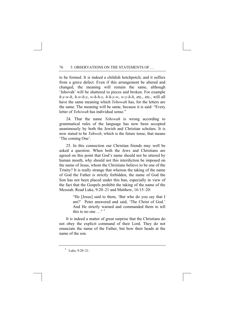to be formed. It is indeed a childish hotchpotch; and it suffers from a grave defect. Even if this arrangement be altered and changed, the meaning will remain the same, although 'Jehovah' will be shattered to pieces and broken. For example *h-y-w-h*, *h-w-h-y*, *w-h-h-y*, *h-h-y-w*, *w-y-h-h*, etc., etc., will all have the same meaning which *Yehowah* has, for the letters are the same. The meaning will be same, because it is said: "Every letter of *Yehowah* has individual sense."

24. That the name *Yehowah* is wrong according to grammatical rules of the language has now been accepted unanimously by both the Jewish and Christian scholars. It is now stated to be *Yahweh*, which is the future tense, that means 'The coming One'.

25. In this connection our Christian friends may well be asked a question. When both the Jews and Christians are agreed on this point that God's name should not be uttered by human mouth, why should not this interdiction be imposed on the name of Jesus, whom the Christians believe to be one of the Trinity? It is really strange that whereas the taking of the name of God the Father is strictly forbidden, the name of God the Son has not been placed under this ban, especially in view of the fact that the Gospels prohibit the taking of the name of the Messiah. Read Luke, 9:20–21 and Matthew, 16:15–20:

> "He [Jesus] said to them, 'But who do you say that I am?' Peter answered and said, 'The Christ of God.' And He strictly warned and commanded them to tell this to no one  $\frac{1}{1}$  $\frac{1}{1}$  $\frac{1}{1}$  ...

It is indeed a matter of great surprise that the Christians do not obey the explicit command of their Lord. They do not enunciate the name of the Father, but bow their heads at the name of the son.

<span id="page-84-0"></span><sup>1</sup> Luke, 9:20–21.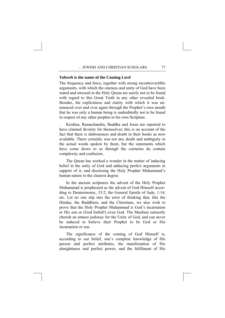#### *Yahweh* **is the name of the Coming Lord**

The frequency and force, together with strong incontrovertible arguments, with which the oneness and unity of God have been stated and stressed in the Holy Quran are surely not to be found with regard to this Great Truth in any other revealed book. Besides, the explicitness and clarity with which it was announced over and over again through the Prophet's own mouth that he was only a human being is undoubtedly not to be found in respect of any other prophet in his own Scripture.

Krishna, Ramachandra, Buddha and Jesus are reported to have claimed divinity for themselves; this is on account of the fact that there is dubiousness and doubt in their books as now available. There certainly was not any doubt and ambiguity in the actual words spoken by them, but the statements which have come down to us through the centuries do contain complexity and confusion.

The Quran has worked a wonder in the matter of inducing belief in the unity of God and adducing perfect arguments in support of it, and disclosing the Holy Prophet Muhammad's human nature to the clearest degree.

In the ancient scriptures the advent of the Holy Prophet Muhammad is prophesied as the advent of God Himself according to Deuteronomy, 33:2; the General Epistle of Jude, 1:14, etc. Let no one slip into the error of thinking that, like the Hindus, the Buddhists, and the Christians, we also wish to prove that the Holy Prophet Muhammad is God's incarnation or His son or (God forbid!) even God. The Muslims earnestly cherish an utmost jealousy for the Unity of God, and can never be induced to believe their Prophet to be God or His incarnation or son.

The significance of the coming of God Himself is, according to our belief, one's complete knowledge of His person and perfect attributes, the manifestation of His almightiness and perfect power, and the fulfilment of His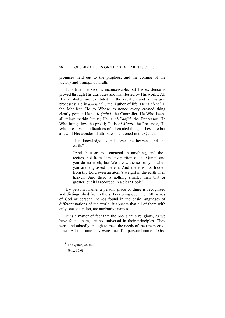promises held out to the prophets, and the coming of the victory and triumph of Truth.

It is true that God is inconceivable, but His existence is proved through His attributes and manifested by His works. All His attributes are exhibited in the creation and all natural processes: He is *al-Mubdī'*, the Author of life; He is *al-Zāhir*, the Manifest, He to Whose existence every created thing clearly points; He is *Al-Qābid*, the Controller, He Who keeps all things within limits; He is *Al-Khāfid*, the Depressor, He Who brings low the proud; He is *Al-Muqīt*, the Preserver, He Who preserves the faculties of all created things. These are but a few of His wonderful attributes mentioned in the Quran:

> "His knowledge extends over the heavens and the earth $" '$ <sup>[1](#page-86-0)</sup>

> "And thou art not engaged in anything, and thou recitest not from Him any portion of the Quran, and you do no work, but We are witnesses of you when you are engrossed therein. And there is not hidden from thy Lord even an atom's weight in the earth or in heaven. And there is nothing smaller than that or greater, but it is recorded in a clear Book." [2](#page-86-1)

By personal name, a person, place or thing is recognised and distinguished from others. Pondering over the 150 names of God or personal names found in the basic languages of different nations of the world, it appears that all of them with only one exception, are attributive names.

It is a matter of fact that the pre-Islamic religions, as we have found them, are not universal in their principles. They were undoubtedly enough to meet the needs of their respective times. All the same they were true. The personal name of God

<sup>&</sup>lt;sup>1</sup> The Quran, 2:255.

<span id="page-86-1"></span><span id="page-86-0"></span><sup>2</sup> *Ibid,*, 10:61.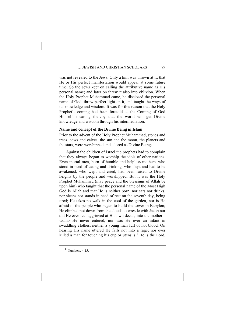was not revealed to the Jews. Only a hint was thrown at it; that He or His perfect manifestation would appear at some future time. So the Jews kept on calling the attributive name as His personal name; and later on threw it also into oblivion. When the Holy Prophet Muhammad came, he disclosed the personal name of God, threw perfect light on it, and taught the ways of its knowledge and wisdom. It was for this reason that the Holy Prophet's coming had been foretold as the Coming of God Himself, meaning thereby that the world will get Divine knowledge and wisdom through his intermediation.

### **Name and concept of the Divine Being in Islam**

Prior to the advent of the Holy Prophet Muhammad, stones and trees, cows and calves, the sun and the moon, the planets and the stars, were worshipped and adored as Divine Beings.

Against the children of Israel the prophets had to complain that they always began to worship the idols of other nations. Even mortal men, born of humble and helpless mothers, who stood in need of eating and drinking, who slept and had to be awakened, who wept and cried, had been raised to Divine heights by the people and worshipped. But it was the Holy Prophet Muhammad (may peace and the blessings of Allah be upon him) who taught that the personal name of the Most High God is Allah and that He is neither born, nor eats nor drinks, nor sleeps nor stands in need of rest on the seventh day, being tired; He takes no walk in the cool of the garden, nor is He afraid of the people who began to build the tower in Babylon; He climbed not down from the clouds to wrestle with Jacob nor did He ever feel aggrieved at His own deeds; into the mother's womb He never entered, nor was He ever an infant in swaddling clothes, neither a young man full of hot blood. On hearing His name uttered He falls not into a rage; nor ever killed a man for touching his cup or utensils.<sup>[1](#page-87-0)</sup> He is the Lord,

<span id="page-87-0"></span> $<sup>1</sup>$  Numbers, 4:15.</sup>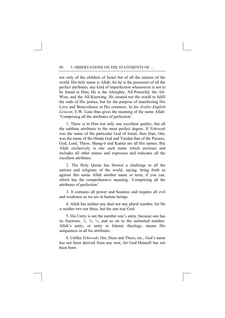not only of the children of Israel but of all the nations of the world. His holy name is Allah, for he is the possessor of all the perfect attributes; any kind of imperfection whatsoever is not to be found in Him; He is the Almighty, All-Powerful, the All-Wise, and the All-Knowing. He created not the world to fulfil the ends of His justice, but for the purpose of manifesting His Love and Benevolence to His creatures. In his *Arabic-English Lexicon*, E.W. Lane thus gives the meaning of the name Allah: 'Comprising all the attributes of perfection'.

1. There is in Him not only one excellent quality, but all the sublime attributes to the most perfect degree. If *Yehowah* was the name of the particular God of Israel, then Hari, Om, was the name of the Hindu God and Yazdan that of the Parsees. God, Lord, Theos, Shang-ti and Kamui are all His names. But Allah exclusively is one such name which encloses and includes all other names and expresses and indicates all the excellent attributes.

2. The Holy Quran has thrown a challenge to all the nations and religions of the world, saying: bring forth as against this name Allah another name or term, if you can, which has the comprehensive meaning: 'Comprising all the attributes of perfection'.

3. It contains all power and beauties and negates all evil and weakness as we see in human beings.

4. Allah has neither any dual nor any plural number, for He is neither two nor three, but the one true God.

5. His Unity is not the number one's unity, because one has its fractions,  $\frac{1}{2}$ ,  $\frac{1}{3}$ ,  $\frac{1}{4}$ , and so on to the unlimited number. Allah's unity, or unity in Islamic theology, means His uniqueness in all his attributes.

6. Unlike *Yehowah*, Om, Deus and Theos, etc., God's name has not been derived from any root, for God Himself has not been born.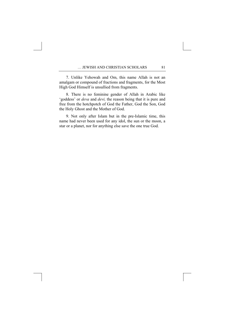7. Unlike Yehowah and Om, this name Allah is not an amalgam or compound of fractions and fragments, for the Most High God Himself is unsullied from fragments.

8. There is no feminine gender of Allah in Arabic like 'goddess' or *deva* and *devi,* the reason being that it is pure and free from the hotchpotch of God the Father, God the Son, God the Holy Ghost and the Mother of God.

9. Not only after Islam but in the pre-Islamic time, this name had never been used for any idol, the sun or the moon, a star or a planet, nor for anything else save the one true God.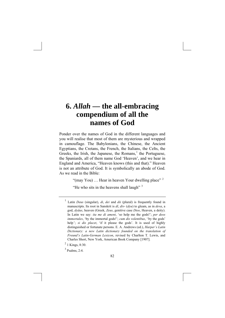### **6.** *Allah* **— the all-embracing compendium of all the names of God**

Ponder over the names of God in the different languages and you will realise that most of them are mysterious and wrapped in camouflage. The Babylonians, the Chinese, the Ancient Egyptians, the Cretans, the French, the Italians, the Celts, the Greeks, the Irish, the Japanese, the Romans, $<sup>1</sup>$  $<sup>1</sup>$  $<sup>1</sup>$  the Portuguese,</sup> the Spaniards, all of them name God 'Heaven', and we hear in England and America, "Heaven knows (this and that)." Heaven is not an attribute of God. It is symbolically an abode of God. As we read in the Bible:

"(may You) ... Hear in heaven Your dwelling place"<sup>[2](#page-90-1)</sup>

"He who sits in the heavens shall laugh"  $3$ 

<span id="page-90-0"></span><sup>1</sup> Latin *Deus* (singular), *di*, *dei* and *dii* (plural) is frequently found in manuscripts. Its root in Sanskrit is *dî*, *div-* (*dyu*) to gleam, as in *deva*, a god, *dyâus*, heaven (Greek, *Zeus*, genitive case *Dios*, Heaven, a deity). In Latin we say: *ita me di ament*, 'so help me the gods!'; *per deos immortales*, 'by the immortal gods!'; *cum dis volentibus*, ' by the gods' help '; *si dis placet*, 'if it please the gods'. It is used of highly distinguished or fortunate persons. E. A. Andrews (ed.), *Harper's Latin Dictionary: a new Latin dictionary founded on the translation of Freund's Latin-German Lexicon*, revised by Charlton T. Lewis, and Charles Short, New York, American Book Company [1907].

<span id="page-90-1"></span> $^{2}$  1 Kings, 8:30.

<span id="page-90-2"></span><sup>3</sup> Psalms, 2:4.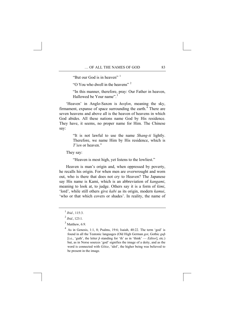"But our God is in heaven"<sup>[1](#page-91-0)</sup>

"O You who dwell in the heavens" [2](#page-91-1)

"In this manner, therefore, pray: Our Father in heaven, Hallowed be Your name".<sup>[3](#page-91-2)</sup>

'Heaven' in Anglo-Saxon is *heofon*, meaning the sky, firmament, expanse of space surrounding the earth. $\frac{1}{4}$  $\frac{1}{4}$  $\frac{1}{4}$  There are seven heavens and above all is the heaven of heavens in which God abides. All these nations name God by His residence. They have, it seems, no proper name for Him. The Chinese say:

> "It is not lawful to use the name *Shang-ti* lightly. Therefore, we name Him by His residence, which is *T'ien* or heaven."

They say:

"Heaven is most high, yet listens to the lowliest."

Heaven is man's origin and, when oppressed by poverty, he recalls his origin. For when men are overwrought and worn out, who is there that does not cry to Heaven? The Japanese say His name is Kami, which is an abbreviation of *kangami*, meaning to look at, to judge. Others say it is a form of *kimi*, 'lord', while still others give *kabi* as its origin, modern *kamui*, 'who or that which covers or shades'. In reality, the name of

<span id="page-91-0"></span> $1$  *Ibid.*, 115:3.

<span id="page-91-2"></span><span id="page-91-1"></span><sup>2</sup> *Ibid.*, 123:1.

 $3$  Matthew, 6:9.

<span id="page-91-3"></span><sup>4</sup> As in Genesis, 1:1, 8; Psalms, 19:6; Isaiah, 40:22. The term 'god' is found in all the Teutonic languages (Old High German *got*, Gothic *guþ*  [i.e., 'guth', the letter  $\hat{p}$  standing for 'th' as in 'think' — *Editor*], etc.) but, as in Norse sources 'god' signifies the image of a deity, and as the word is connected with *Götze*, 'idol', the higher being was believed to be present in the image.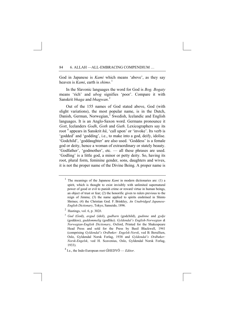God in Japanese is *Kami* which means 'above', as they say heaven is *Kami*, earth is *shimo.*[1](#page-92-0)

In the Slavonic languages the word for God is *Bog. Bogaty* means 'rich' and *ubog* signifies 'poor'. Compare it with Sanskrit *bhaga* and *bhagwan*. [2](#page-92-1)

Out of the 155 names of God stated above, God (with slight variations), the most popular name, is in the Dutch, Danish, German, Norwegian,<sup>[3](#page-92-2)</sup> Swedish, Icelandic and English languages. It is an Anglo-Saxon word. Germans pronounce it *Gott*, Icelanders *Godh*, *Goth* and *Guth*. Lexicographers say its root<sup>[4](#page-92-3)</sup> appears in Sanskrit  $h\bar{u}$ , 'call upon' or 'invoke'. Its verb is 'godded' and 'godding', i.e., to make into a god, deify, idolise. 'Godchild', 'goddaughter' are also used. 'Goddess' is a female god or deity, hence a woman of extraordinary or stately beauty. 'Godfather', 'godmother', etc. — all these phrases are used. 'Godling' is a little god, a minor or petty deity. So, having its root, plural form, feminine gender, sons, daughters and wives, it is not the proper name of the Divine Being. A proper name is

<span id="page-92-0"></span><sup>&</sup>lt;sup>1</sup> The meanings of the Japanese *Kami* in modern dictionaries are: (1) a spirit, which is thought to exist invisibly with unlimited supernatural power of good or evil to punish crime or reward virtue in human beings, an object of trust or fear; (2) the honorific given to rulers previous to the reign of Jimmu; (3) the name applied to spirits enshrined in Shinto Shrines; (4) the Christian God. F. Brinkley, *An Unabridged Japanese-English Dictionary*, Tokyo, Sanseido, 1896.

<sup>2</sup> Hastings, vol. 6, p. 302*b*.

<span id="page-92-2"></span><span id="page-92-1"></span><sup>3</sup> *Gud* (God), *avgud* (idol), *gudbarn* (godchild), *gudinne* and *gydje* (goddess), *guddommelig* (godlike). *Gyldendal's English-Norwegian & Norwegian-English Dictionary*, Oxford, Printed for the Shakespeare Head Press and sold for the Press by Basil Blackwell, 1941 (comprising *Gyldendal's Ordbøker: Engelsk-Norsk*, ved B. Berulfsen, Oslo, Gyldendal Norsk Forlag, 1938 and *Gyldendal's Ordbøker: Norsk-Engelsk*, ved H. Scavenius, Oslo, Gyldendal Norsk Forlag, 1933).

<span id="page-92-3"></span><sup>4</sup> I.e., the Indo-European root ǴHEDYŌ — *Editor*.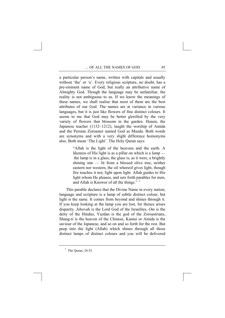a particular person's name, written with capitals and usually without 'the' or 'a'. Every religious scripture, no doubt, has a pre-eminent name of God, but really an attributive name of Almighty God. Though the language may be unfamiliar, the reality is not ambiguous to us. If we know the meanings of these names, we shall realise that most of them are the best attributes of our God. The names are at variance in various languages, but it is just like flowers of fine distinct colours. It seems to me that God may be better glorified by the very variety of flowers that blossom in the garden. Honen, the Japanese teacher (1132–1212), taught the worship of Amida and the Persian Zoroaster named God as Mazda. Both words are synonyms and with a very slight difference homonyms also. Both mean 'The Light'. The Holy Quran says:

> "Allah is the light of the heavens and the earth. A likeness of His light is as a pillar on which is a lamp the lamp is in a glass, the glass is, as it were, a brightly shining star — lit from a blessed olive tree, neither eastern nor western, the oil whereof gives light, though fire touches it not, light upon light. Allah guides to His light whom He pleases, and sets forth parables for men, and Allah is Knower of all the things." [1](#page-93-0)

This parable declares that the Divine Name in every nation, language and scripture is a lamp of subtle distinct colour, but light is the same. It comes from beyond and shines through it. If you keep looking at the lamp you are lost, for thence arises disparity. Jehovah is the Lord God of the Israelites, *Om* is the deity of the Hindus, Yazdan is the god of the Zoroastrians, Shang-ti is the heaven of the Chinese, Kamui or Amida is the saviour of the Japanese, and so on and so forth for the rest. But peep into the light (Allah) which shines through all those distinct lamps of distinct colours and you will be delivered

<span id="page-93-0"></span><sup>&</sup>lt;sup>1</sup> The Quran, 24:35.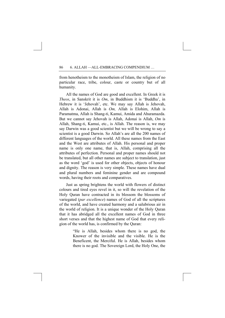from henotheism to the monotheism of Islam, the religion of no particular race, tribe, colour, caste or country but of all humanity.

All the names of God are good and excellent. In Greek it is *Theos*, in Sanskrit it is *Om*, in Buddhism it is 'Buddha', in Hebrew it is 'Jehovah', etc. We may say Allah is Jehovah, Allah is Adonai, Allah is *Om,* Allah is Elohim, Allah is Paramatma, Allah is Shang-ti, Kamui, Amida and Ahuramazda. But we cannot say Jehovah is Allah, Adonai is Allah, *Om* is Allah, Shang-ti, Kamui, etc., is Allah. The reason is, we may say Darwin was a good scientist but we will be wrong to say a scientist is a good Darwin. So Allah's are all the 200 names of different languages of the world. All these names from the East and the West are attributes of Allah. His personal and proper name is only one name, that is, Allah, comprising all the attributes of perfection. Personal and proper names should not be translated, but all other names are subject to translation, just as the word 'god' is used for other objects, objects of honour and dignity. The reason is very simple. These names have dual and plural numbers and feminine gender and are compound words, having their roots and comparatives.

Just as spring brightens the world with flowers of distinct colours and tired eyes revel in it, so will the revelation of the Holy Quran have contracted in its blossom the blossoms of variegated (*par excellence*) names of God of all the scriptures of the world, and have created harmony and a salubrious air in the world of religion. It is a unique wonder of the Holy Quran that it has abridged all the excellent names of God in three short verses and that the highest name of God that every religion of the world has, is confirmed by the Quran:

> "He is Allah, besides whom there is no god, the Knower of the invisible and the visible. He is the Beneficent, the Merciful. He is Allah, besides whom there is no god. The Sovereign Lord, the Holy One, the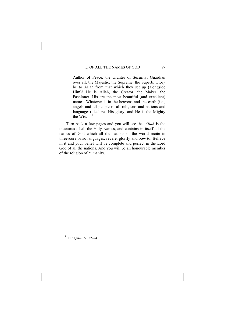Author of Peace, the Granter of Security, Guardian over all, the Majestic, the Supreme, the Superb. Glory be to Allah from that which they set up (alongside Him)! He is Allah, the Creator, the Maker, the Fashioner. His are the most beautiful (and excellent) names. Whatever is in the heavens and the earth (i.e., angels and all people of all religions and nations and languages) declares His glory; and He is the Mighty the Wise $^{1/1}$  $^{1/1}$  $^{1/1}$ 

Turn back a few pages and you will see that *Allah* is the thesaurus of all the Holy Names, and contains in itself all the names of God which all the nations of the world recite in threescore basic languages, revere, glorify and bow to. Believe in it and your belief will be complete and perfect in the Lord God of all the nations. And you will be an honourable member of the religion of humanity.

<span id="page-95-0"></span><sup>&</sup>lt;sup>1</sup> The Quran, 59:22–24.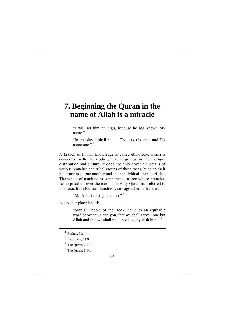## **7. Beginning the Quran in the name of Allah is a miracle**

"I will set him on high, because he has known My name $"$ <sup>[1](#page-96-0)</sup>

"In that day it shall be — 'The LORD is one,' and His name one." $\frac{1}{2}$  $\frac{1}{2}$  $\frac{1}{2}$ 

A branch of human knowledge is called ethnology, which is concerned with the study of racial groups in their origin, distribution and culture. It does not only cover the details of various branches and tribal groups of these races, but also their relationship to one another and their individual characteristics. The whole of mankind is compared to a tree whose branches have spread all over the earth. The Holy Quran has referred to this basic truth fourteen hundred years ago when it declared:

```
3</sup>
```
At another place it said:

"Say: O People of the Book, come to an equitable word between us and you, that we shall serve none but Allah and that we shall not associate any with him."<sup>[4](#page-96-3)</sup>

<span id="page-96-0"></span> $^{1}$  Psalms, 91:14.

<span id="page-96-1"></span> $2$  Zechariah, 14:9.

<span id="page-96-2"></span><sup>3</sup> The Quran, 2:213.

<span id="page-96-3"></span> $4$  The Quran, 3:64.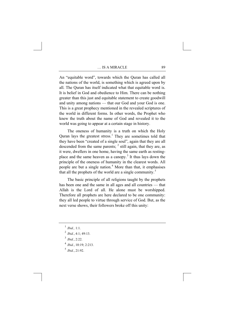An "equitable word", towards which the Quran has called all the nations of the world, is something which is agreed upon by all. The Quran has itself indicated what that equitable word is. It is belief in God and obedience to Him. There can be nothing greater than this just and equitable statement to create goodwill and unity among nations — that our God and your God is one. This is a great prophecy mentioned in the revealed scriptures of the world in different forms. In other words, the Prophet who knew the truth about the name of God and revealed it to the world was going to appear at a certain stage in history.

 The oneness of humanity is a truth on which the Holy Quran lays the greatest stress.<sup>[1](#page-97-0)</sup> They are sometimes told that they have been "created of a single soul", again that they are all descended from the same parents;  $<sup>2</sup>$  $<sup>2</sup>$  $<sup>2</sup>$  still again, that they are, as</sup> it were, dwellers in one home, having the same earth as resting-place and the same heaven as a canopy.<sup>[3](#page-97-2)</sup> It thus lays down the principle of the oneness of humanity in the clearest words. All people are but a single nation.<sup>[4](#page-97-3)</sup> More than that, it emphasises that all the prophets of the world are a single community.<sup>[5](#page-97-4)</sup>

 The basic principle of all religions taught by the prophets has been one and the same in all ages and all countries — that Allah is the Lord of all. He alone must be worshipped. Therefore all prophets are here declared to be one community: they all led people to virtue through service of God. But, as the next verse shows, their followers broke off this unity:

- <span id="page-97-1"></span> $^{2}$  *Ibid.*, 4:1: 49:13.
- <span id="page-97-2"></span>3  *Ibid.*, 2:22.
- <span id="page-97-3"></span>4  *Ibid.*, 10:19; 2:213.
- <span id="page-97-4"></span>5  *Ibid.*, 21:92.

<span id="page-97-0"></span> $^{1}$  *Ibid.*, 1:1.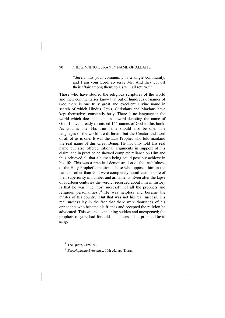"Surely this your community is a single community, and I am your Lord, so serve Me. And they cut off their affair among them; to Us will all return."  $1$ 

Those who have studied the religious scriptures of the world and their commentaries know that out of hundreds of names of God there is one truly great and excellent Divine name in search of which Hindus, Jews, Christians and Magians have kept themselves constantly busy. There is no language in the world which does not contain a word denoting the name of God. I have already discussed 155 names of God in this book. As God is one, His true name should also be one. The languages of the world are different, but the Creator and Lord of all of us is one. It was the Last Prophet who told mankind the real name of this Great Being. He not only told His real name but also offered rational arguments in support of his claim, and in practice he showed complete reliance on Him and thus achieved all that a human being could possibly achieve in his life. This was a practical demonstration of the truthfulness of the Holy Prophet's mission. Those who opposed him in the name of other-than-God were completely humiliated in spite of their superiority in number and armaments. Even after the lapse of fourteen centuries the verdict recorded about him in history is that he was "the most successful of all the prophets and religious personalities".<sup>[2](#page-98-1)</sup> He was helpless and became the master of his country. But that was not his real success. His real success lay in the fact that there were thousands of his opponents who became his friends and accepted the religion he advocated. This was not something sudden and unexpected; the prophets of yore had foretold his success. The prophet David sang:

<span id="page-98-0"></span><sup>&</sup>lt;sup>1</sup> The Quran, 21:92-93.

<span id="page-98-1"></span><sup>2</sup> *Encyclopaedia Britannica*, 10th ed., art. 'Koran'.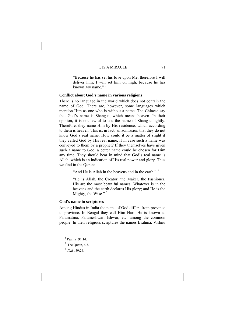"Because he has set his love upon Me, therefore I will deliver him; I will set him on high, because he has known My name." $1$ 

### **Conflict about God's name in various religions**

There is no language in the world which does not contain the name of God. There are, however, some languages which mention Him as one who is without a name. The Chinese say that God's name is Shang-ti, which means heaven. In their opinion, it is not lawful to use the name of Shang-ti lightly. Therefore, they name Him by His residence, which according to them is heaven. This is, in fact, an admission that they do not know God's real name. How could it be a matter of slight if they called God by His real name, if in case such a name was conveyed to them by a prophet? If they themselves have given such a name to God, a better name could be chosen for Him any time. They should bear in mind that God's real name is Allah, which is an indication of His real power and glory. Thus we find in the Quran:

"And He is Allah in the heavens and in the earth"<sup>[2](#page-99-1)</sup>

"He is Allah, the Creator, the Maker, the Fashioner. His are the most beautiful names. Whatever is in the heavens and the earth declares His glory; and He is the Mighty, the Wise."<sup>[3](#page-99-2)</sup>

### **God's name in scriptures**

Among Hindus in India the name of God differs from province to province. In Bengal they call Him Hari. He is known as Paramatma, Parameshwar, Ishwar, etc. among the common people. In their religious scriptures the names Brahma, Vishnu

<span id="page-99-1"></span><span id="page-99-0"></span><sup>1</sup> Psalms, 91:14.

 $<sup>2</sup>$  The Quran, 6:3.</sup>

<span id="page-99-2"></span><sup>3</sup> *Ibid.*, 59:24.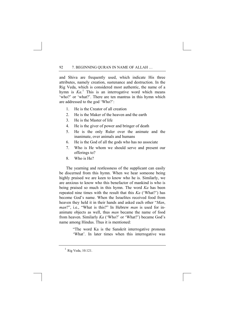and Shiva are frequently used, which indicate His three attributes, namely creation, sustenance and destruction. In the Rig Veda, which is considered most authentic, the name of a hymn is *Ka*.<sup>[1](#page-100-0)</sup> This is an interrogative word which means 'who?' or 'what?'. There are ten mantras in this hymn which are addressed to the god 'Who?':

- 1. He is the Creator of all creation
- 2. He is the Maker of the heaven and the earth
- 3. He is the Master of life
- 4. He is the giver of power and bringer of death
- 5. He is the only Ruler over the animate and the inanimate, over animals and humans
- 6. He is the God of all the gods who has no associate
- 7. Who is He whom we should serve and present our offerings to?
- 8. Who is He?

The yearning and restlessness of the supplicant can easily be discerned from this hymn. When we hear someone being highly praised we are keen to know who he is. Similarly, we are anxious to know who this benefactor of mankind is who is being praised so much in this hymn. The word *Ka* has been repeated nine times with the result that this *Ka* ('What?') has become God's name. When the Israelites received food from heaven they held it in their hands and asked each other "*Man*, *man*?", i.e., "What is this?" In Hebrew *man* is used for inanimate objects as well, thus *man* became the name of food from heaven. Similarly *Ka* ('Who?' or 'What?') became God's name among Hindus. Thus it is mentioned:

> "The word Ka is the Sanskrit interrogative pronoun 'What'. In later times when this interrogative was

<span id="page-100-0"></span><sup>&</sup>lt;sup>1</sup> Rig Veda, 10.121.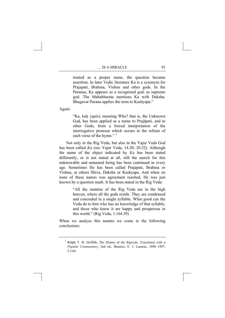treated as a proper name, the question became assertion. In later Vedic literature Ka is a synonym for Prajapati, Brahma, Vishnu and other gods. In the Puranas, Ka appears as a recognised god, as supreme god. The Mahabharata mentions Ka with Daksha. Bhagavat Purana applies the term to Kashyapa."

Again:

"Ka, kah (quis), meaning Who? that is, the Unknown God, has been applied as a name to Prajāpati, and to other Gods, from a forced interpretation of the interrogative pronoun which occurs in the refrain of each verse of the hymn."<sup>[1](#page-101-0)</sup>

Not only in the Rig Veda, but also in the Yajur Veda God has been called *Ka* (see Yajur Veda, 14.20; 20.22). Although the name of the object indicated by *Ka* has been stated differently, or is not stated at all, still the search for this unknowable and unnamed being has been continued in every age. Sometimes He has been called Prajapati, Brahma or Vishnu, at others Shiva, Daksha or Kashyapa. And when on none of these names was agreement reached, He was just known by a question mark. It has been stated in the Rig Veda:

> "All the mantras of the Rig Veda are in the high heaven, where all the gods reside. They are condensed and concealed in a single syllable. What good can the Veda do to him who has no knowledge of that syllable, and those who know it are happy and prosperous in this world." (Rig Veda, 1.164.39)

<span id="page-101-0"></span>When we analyse this mantra we come to the following conclusions:

<sup>1</sup> Ralph T. H. Griffith, *The Hymns of the Rigveda, Translated with a Popular Commentary*, 2nd ed., Benares, E. J. Lazarus, 1896–1897, 2 vols.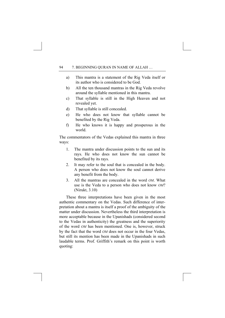- a) This mantra is a statement of the Rig Veda itself or its author who is considered to be God.
- b) All the ten thousand mantras in the Rig Veda revolve around the syllable mentioned in this mantra.
- c) That syllable is still in the High Heaven and not revealed yet.
- d) That syllable is still concealed.
- e) He who does not know that syllable cannot be benefited by the Rig Veda.
- f) He who knows it is happy and prosperous in the world.

The commentators of the Vedas explained this mantra in three ways:

- 1. The mantra under discussion points to the sun and its rays. He who does not know the sun cannot be benefited by its rays.
- 2. It may refer to the soul that is concealed in the body. A person who does not know the soul cannot derive any benefit from the body.
- 3. All the mantras are concealed in the word *OM*. What use is the Veda to a person who does not know *OM*? (Nirukt, 3.10)

These three interpretations have been given in the most authentic commentary on the Vedas. Such difference of interpretation about a mantra is itself a proof of the ambiguity of the matter under discussion. Nevertheless the third interpretation is more acceptable because in the Upanishads (considered second to the Vedas in authenticity) the greatness and the superiority of the word *OM* has been mentioned. One is, however, struck by the fact that the word *OM* does not occur in the four Vedas, but still its mention has been made in the Upanishads in such laudable terms. Prof. Griffith's remark on this point is worth quoting: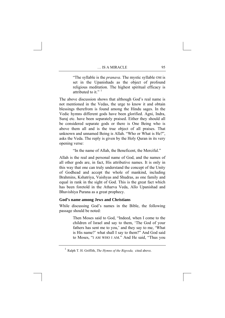"The syllable is the *pranava*. The mystic syllable OM is set in the Upanishads as the object of profound religious meditation. The highest spiritual efficacy is attributed to it."<sup> $1$ </sup>

The above discussion shows that although God's real name is not mentioned in the Vedas, the urge to know it and obtain blessings therefrom is found among the Hindu sages. In the Vedic hymns different gods have been glorified. Agni, Indra, Suraj etc. have been separately praised. Either they should all be considered separate gods or there is One Being who is above them all and is the true object of all praises. That unknown and unnamed Being is Allah. "Who or What is He?", asks the Veda. The reply is given by the Holy Quran in its very opening verse:

"In the name of Allah, the Beneficent, the Merciful."

Allah is the real and personal name of God, and the names of all other gods are, in fact, His attributive names. It is only in this way that one can truly understand the concept of the Unity of Godhead and accept the whole of mankind, including Brahmins, Kshatriya, Vaishyas and Shudras, as one family and equal in rank in the sight of God. This is the great fact which has been foretold in the Atharva Veda, Allo Upanishad and Bhavishiya Purana as a great prophecy.

### **God's name among Jews and Christians**

While discussing God's names in the Bible, the following passage should be noted:

> Then Moses said to God, "Indeed, when I come to the children of Israel and say to them, 'The God of your fathers has sent me to you,' and they say to me, 'What is His name?' what shall I say to them?" And God said to Moses, "I AM WHO I AM." And He said, "Thus you

<span id="page-103-0"></span><sup>1</sup> Ralph T. H. Griffith, *The Hymns of the Rigveda,* cited above.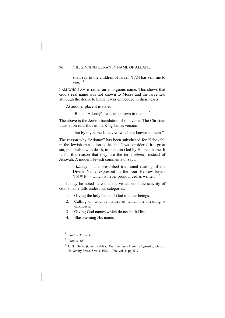shall say to the children of Israel, 'I AM has sent me to you.' [1](#page-104-0)

I AM WHO I AM is rather an ambiguous name. This shows that God's real name was not known to Moses and the Israelites, although the desire to know it was embedded in their hearts.

At another place it is stated:

"But as 'Adonay' I was not known to them." [2](#page-104-1)

The above is the Jewish translation of this verse. The Christian translation runs thus in the King James version:

"but by my name JEHOVAH was I not known to them."

The reason why "Adonay" has been substituted for "Jehovah" in the Jewish translation is that the Jews considered it a great sin, punishable with death, to mention God by His real name. It is for this reason that they use the term *adonay* instead of Jehovah. A modern Jewish commentator says:

> "*Adonay* is the prescribed traditional reading of the Divine Name expressed in the four Hebrew letters  $Y$  H W H — which is never pronounced as written."  $3$

It may be noted here that the violation of the sanctity of God's name falls under four categories:

- 1. Giving the holy name of God to other beings.
- 2. Calling on God by names of which the meaning is unknown.
- 3. Giving God names which do not befit Him.
- 4. Blaspheming His name.

<span id="page-104-0"></span> $1$  Exodus, 3:13-14.

<span id="page-104-1"></span> $2$  Exodus, 6:3.

<span id="page-104-2"></span><sup>3</sup> J. H. Hertz (Chief Rabbi), *The Pentateuch and Haftorahs*, Oxford University Press, 5 vols, 1929–1936, vol. 1, pp. 6–7.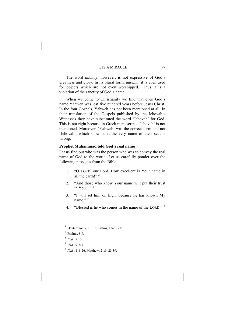The word *adonay*, however, is not expressive of God's greatness and glory. In its plural form, *adonim*, it is even used for objects which are not even worshipped.<sup>[1](#page-105-0)</sup> Thus it is a violation of the sanctity of God's name.

When we come to Christianity we find that even God's name Yahweh was lost five hundred years before Jesus Christ. In the four Gospels, Yahweh has not been mentioned at all. In their translation of the Gospels published by the Jehovah's Witnesses they have substituted the word 'Jehovah' for God. This is not right because in Greek manuscripts 'Jehovah' is not mentioned. Moreover, 'Yahweh' was the correct form and not 'Jehovah', which shows that the very name of their sect is wrong.

### **Prophet Muhammad told God's real name**

Let us find out who was the person who was to convey the real name of God to the world. Let us carefully ponder over the following passages from the Bible:

- 1. "O LORD, our Lord, How excellent is Your name in all the earth!"<sup>[2](#page-105-1)</sup>
- 2. "And those who know Your name will put their trust in You  $\cdots$ <sup>[3](#page-105-2)</sup>
- 3. "I will set him on high, because he has known My name $,$ <sup>[4](#page-105-3)</sup>
- 4. "Blessed is he who comes in the name of the LORD!"<sup>[5](#page-105-4)</sup>

<span id="page-105-3"></span><sup>4</sup> *Ibid.*, 91:14.

<span id="page-105-0"></span> $<sup>1</sup>$  Deuteronomy, 10:17; Psalms, 136:3, etc.</sup>

<span id="page-105-1"></span> $<sup>2</sup>$  Psalms, 8:9.</sup>

<span id="page-105-2"></span><sup>3</sup> *Ibid.,* 9:10.

<span id="page-105-4"></span><sup>5</sup> *Ibid.*, 118:26. Matthew, 21:9, 23:39.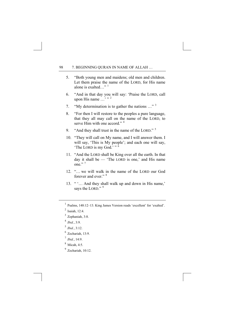- 5. "Both young men and maidens; old men and children. Let them praise the name of the LORD, for His name alone is exalted…"<sup>[1](#page-106-0)</sup>
- 6. "And in that day you will say: 'Praise the LORD, call upon His name  $\ldots$ <sup>"</sup>
- 7. "My determination is to gather the nations …" [3](#page-106-2)
- 8. "For then I will restore to the peoples a pure language, that they all may call on the name of the LORD, to serve Him with one accord  $"$ <sup>[4](#page-106-3)</sup>
- 9. "And they shall trust in the name of the LORD."<sup>[5](#page-106-4)</sup>
- 10. "They will call on My name, and I will answer them. I will say, 'This is My people'; and each one will say, 'The LORD is my God.' "  $\frac{6}{9}$  $\frac{6}{9}$  $\frac{6}{9}$
- 11. "And the LORD shall be King over all the earth. In that day it shall be — 'The LORD is one,' and His name one." $<sup>7</sup>$  $<sup>7</sup>$  $<sup>7</sup>$ </sup>
- 12. "… we will walk in the name of the LORD our God forever and ever."<sup>[8](#page-106-7)</sup>
- 13. " '… And they shall walk up and down in His name,' says the LORD."<sup>[9](#page-106-8)</sup>

- $3$  Zephaniah, 3:8.
- <span id="page-106-3"></span><span id="page-106-2"></span><sup>4</sup> *Ibid.*, 3:9.
- <span id="page-106-4"></span> $^5$  *Ibid.*, 3:12.
- $6$  Zechariah, 13:9.
- <span id="page-106-7"></span><span id="page-106-6"></span><span id="page-106-5"></span><sup>7</sup> *Ibid.*, 14:9.
- 8 Micah, 4:5.
- <span id="page-106-8"></span> $9$  Zechariah, 10:12.

<span id="page-106-0"></span><sup>1</sup> Psalms, 148:12–13. King James Version reads 'excellent' for 'exalted'.

<span id="page-106-1"></span> $<sup>2</sup>$  Isaiah, 12:4.</sup>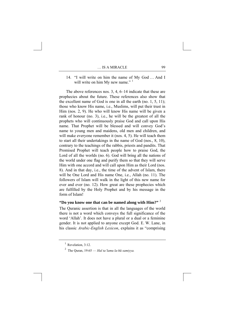14. "I will write on him the name of My God … And I will write on him My new name." <sup>[1](#page-107-0)</sup>

The above references nos. 3, 4, 6–14 indicate that these are prophecies about the future. These references also show that the excellent name of God is one in all the earth (no. 1, 5, 11); those who know His name, i.e., Muslims, will put their trust in Him (nos. 2, 9). He who will know His name will be given a rank of honour (no. 3), i.e., he will be the greatest of all the prophets who will continuously praise God and call upon His name. That Prophet will be blessed and will convey God's name to young men and maidens, old men and children, and will make everyone remember it (nos. 4, 5). He will teach them to start all their undertakings in the name of God (nos., 8, 10), contrary to the teachings of the rabbis, priests and pandits. That Promised Prophet will teach people how to praise God, the Lord of all the worlds (no. 6). God will bring all the nations of the world under one flag and purify them so that they will serve Him with one accord and will call upon Him as their Lord (nos. 8). And in that day, i.e., the time of the advent of Islam, there will be One Lord and His name One, i.e., Allah (no. 11). The followers of Islam will walk in the light of this new name for ever and ever (no. 12). How great are these prophecies which are fulfilled by the Holy Prophet and by his message in the form of Islam!

### **"Do you know one that can be named along with Him?"** [2](#page-107-1)

The Quranic assertion is that in all the languages of the world there is not a word which conveys the full significance of the word 'Allah'. It does not have a plural or a dual or a feminine gender. It is not applied to anyone except God. E. W. Lane, in his classic *Arabic-English Lexicon*, explains it as "comprising

<span id="page-107-1"></span><span id="page-107-0"></span> $<sup>1</sup>$  Revelation, 3:12.</sup>

<sup>2</sup> The Quran, 19:65 — *Hal ta'lamu la-hū samiyya.*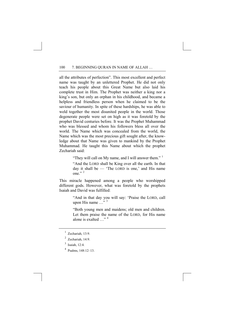all the attributes of perfection". This most excellent and perfect name was taught by an unlettered Prophet. He did not only teach his people about this Great Name but also laid his complete trust in Him. The Prophet was neither a king nor a king's son, but only an orphan in his childhood, and became a helpless and friendless person when he claimed to be the saviour of humanity. In spite of these hardships, he was able to weld together the most disunited people in the world. Those degenerate people were set on high as it was foretold by the prophet David centuries before. It was the Prophet Muhammad who was blessed and whom his followers bless all over the world. The Name which was concealed from the world, the Name which was the most precious gift sought after, the knowledge about that Name was given to mankind by the Prophet Muhammad. He taught this Name about which the prophet Zechariah said:

"They will call on My name, and I will answer them."  $\frac{1}{1}$  $\frac{1}{1}$  $\frac{1}{1}$ 

"And the LORD shall be King over all the earth. In that day it shall be — 'The LORD is one,' and His name one." $^2$  $^2$ 

This miracle happened among a people who worshipped different gods. However, what was foretold by the prophets Isaiah and David was fulfilled:

> "And in that day you will say: 'Praise the LORD, call upon His name ..."<sup>[3](#page-108-2)</sup>

> "Both young men and maidens; old men and children. Let them praise the name of the LORD, for His name alone is exalted  $\frac{m}{4}$  $\frac{m}{4}$  $\frac{m}{4}$

<span id="page-108-3"></span>4 Psalms, 148:12–13.

<span id="page-108-0"></span> $1$  Zechariah, 13:9.

<span id="page-108-1"></span> $2$  Zechariah, 14:9.

<span id="page-108-2"></span> $3$  Isaiah, 12:4.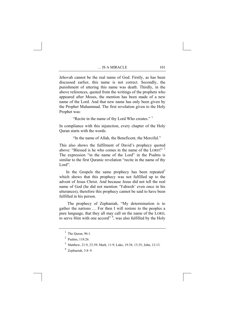Jehovah cannot be the real name of God. Firstly, as has been discussed earlier, this name is not correct. Secondly, the punishment of uttering this name was death. Thirdly, in the above references, quoted from the writings of the prophets who appeared after Moses, the mention has been made of a new name of the Lord. And that new name has only been given by the Prophet Muhammad. The first revelation given to the Holy Prophet was:

"Recite in the name of thy Lord Who creates." [1](#page-109-0)

In compliance with this injunction, every chapter of the Holy Quran starts with the words:

"In the name of Allah, the Beneficent, the Merciful."

This also shows the fulfilment of David's prophecy quoted above: "Blessed is he who comes in the name of the LORD!"<sup>[2](#page-109-1)</sup> The expression "in the name of the Lord" in the Psalms is similar to the first Quranic revelation "recite in the name of thy Lord".

In the Gospels the same prophecy has been repeated  $3$ which shows that this prophecy was not fulfilled up to the advent of Jesus Christ. And because Jesus did not tell the real name of God (he did not mention 'Yahweh' even once in his utterances), therefore this prophecy cannot be said to have been fulfilled in his person.

 The prophecy of Zephaniah, "My determination is to gather the nations … For then I will restore to the peoples a pure language, that they all may call on the name of the LORD, to serve Him with one accord"  $4$ , was also fulfilled by the Holy

<span id="page-109-0"></span> $<sup>1</sup>$  The Quran, 96:1.</sup>

<span id="page-109-2"></span><span id="page-109-1"></span> $2^2$  Psalms, 118:26.

<sup>3</sup> Matthew, 21:9, 23:39; Mark, 11:9; Luke, 19:38, 13:35; John, 12:13.

<span id="page-109-3"></span><sup>4</sup> Zephaniah, 3:8–9.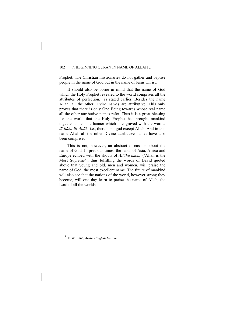Prophet. The Christian missionaries do not gather and baptise people in the name of God but in the name of Jesus Christ.

 It should also be borne in mind that the name of God which the Holy Prophet revealed to the world comprises all the attributes of perfection,<sup>[1](#page-110-0)</sup> as stated earlier. Besides the name Allah, all the other Divine names are attributive. This only proves that there is only One Being towards whose real name all the other attributive names refer. Thus it is a great blessing for the world that the Holy Prophet has brought mankind together under one banner which is engraved with the words: *lā-ilāha ill-Allāh*, i.e., there is no god except Allah. And in this name Allah all the other Divine attributive names have also been comprised.

 This is not, however, an abstract discussion about the name of God. In previous times, the lands of Asia, Africa and Europe echoed with the shouts of *Allāhu-akbar* ('Allah is the Most Supreme'), thus fulfilling the words of David quoted above that young and old, men and women, will praise the name of God, the most excellent name. The future of mankind will also see that the nations of the world, however strong they become, will one day learn to praise the name of Allah, the Lord of all the worlds.

<span id="page-110-0"></span><sup>1</sup> E. W. Lane, *Arabic-English Lexicon*.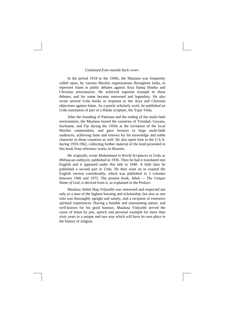## *Continued from outside back cover:*

 In the period 1918 to the 1940s, the Maulana was frequently called upon, by various Muslim organizations throughout India, to represent Islam in public debates against Arya Samaj Hindus and Christian missionaries. He achieved supreme triumph in these debates, and his name became renowned and legendary. He also wrote several Urdu books in response to the Arya and Christian objections against Islam. As a purely scholarly work, he published an Urdu translation of part of a Hindu scripture, the Yajur Veda.

 After the founding of Pakistan and the ending of the multi-faith environment, the Maulana toured the countries of Trinidad, Guyana, Suriname, and Fiji during the 1950s at the invitation of the local Muslim communities, and gave lectures to large multi-faith audiences, achieving fame and renown for his knowledge and noble character in those countries as well. He also spent time in the U.S.A. during 1959-1962, collecting further material of the kind presented in this book from reference works in libraries.

 He originally wrote *Muhammad in World Scriptures* in Urdu as *Mithaq-un-nabiyyin,* published in 1936. Then he had it translated into English and it appeared under this title in 1940. A little later he published a second part in Urdu. He then went on to expand the English version considerably, which was published in 3 volumes between 1966 and 1975. The present book, *Allah — The Unique Name of God,* is derived from it, as explained in the Preface.

 Maulana Abdul Haq Vidyarthi was renowned and respected not only as a man of the highest learning and scholarship, but also as one who was thoroughly upright and saintly, and a recipient of extensive spiritual experiences. Having a humble and unassuming nature, and well-known for his good humour, Maulana Vidyarthi served the cause of Islam by pen, speech and personal example for more than sixty years in a unique and rare way which will have its own place in the history of religion.